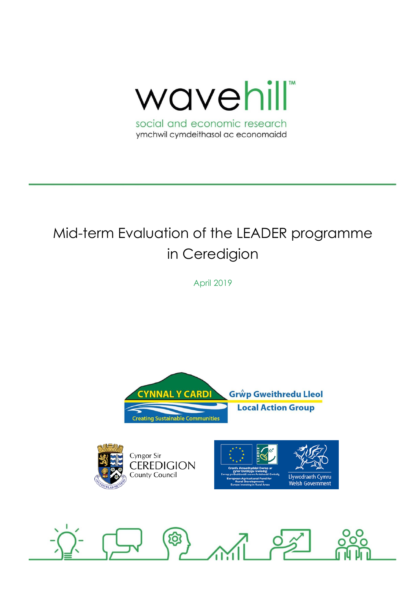

# Mid-term Evaluation of the LEADER programme in Ceredigion

April 2019







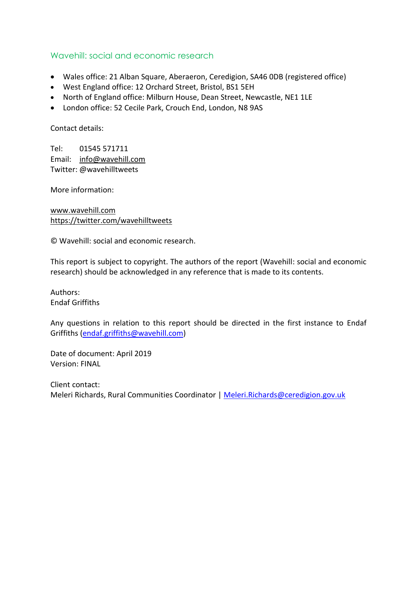### Wavehill: social and economic research

- Wales office: 21 Alban Square, Aberaeron, Ceredigion, SA46 0DB (registered office)
- West England office: 12 Orchard Street, Bristol, BS1 5EH
- North of England office: Milburn House, Dean Street, Newcastle, NE1 1LE
- London office: 52 Cecile Park, Crouch End, London, N8 9AS

Contact details:

Tel: 01545 571711 Email: [info@wavehill.com](mailto:info@wavehill.com) Twitter: @wavehilltweets

More information:

[www.wavehill.com](http://www.wavehill.com/) <https://twitter.com/wavehilltweets>

© Wavehill: social and economic research.

This report is subject to copyright. The authors of the report (Wavehill: social and economic research) should be acknowledged in any reference that is made to its contents.

Authors: Endaf Griffiths

Any questions in relation to this report should be directed in the first instance to Endaf Griffiths [\(endaf.griffiths@wavehill.com\)](mailto:endaf.griffiths@wavehill.com)

Date of document: April 2019 Version: FINAL

Client contact: Meleri Richards, Rural Communities Coordinator | [Meleri.Richards@ceredigion.gov.uk](mailto:Meleri.Richards@ceredigion.gov.uk)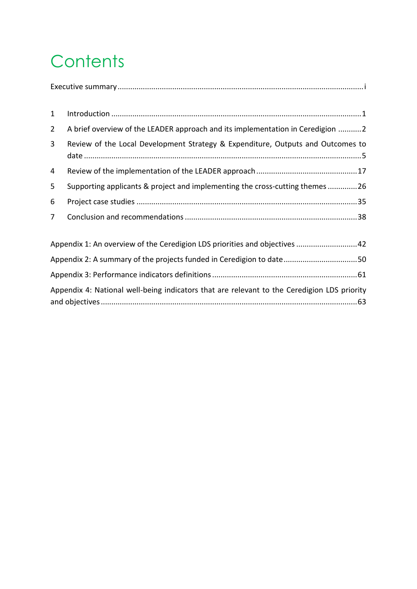# **Contents**

| 1           |                                                                                 |
|-------------|---------------------------------------------------------------------------------|
| $2^{\circ}$ | A brief overview of the LEADER approach and its implementation in Ceredigion 2  |
| 3           | Review of the Local Development Strategy & Expenditure, Outputs and Outcomes to |
| 4           |                                                                                 |
| 5.          | Supporting applicants & project and implementing the cross-cutting themes 26    |
| 6           |                                                                                 |
| $7^{\circ}$ |                                                                                 |
|             |                                                                                 |

| Appendix 1: An overview of the Ceredigion LDS priorities and objectives 42                  |  |
|---------------------------------------------------------------------------------------------|--|
| Appendix 2: A summary of the projects funded in Ceredigion to date50                        |  |
|                                                                                             |  |
| Appendix 4: National well-being indicators that are relevant to the Ceredigion LDS priority |  |
|                                                                                             |  |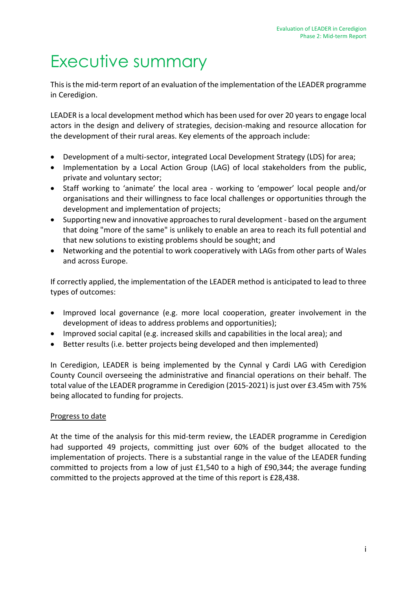# <span id="page-3-0"></span>Executive summary

This is the mid-term report of an evaluation of the implementation of the LEADER programme in Ceredigion.

LEADER is a local development method which has been used for over 20 years to engage local actors in the design and delivery of strategies, decision-making and resource allocation for the development of their rural areas. Key elements of the approach include:

- Development of a multi-sector, integrated Local Development Strategy (LDS) for area;
- Implementation by a Local Action Group (LAG) of local stakeholders from the public, private and voluntary sector;
- Staff working to 'animate' the local area working to 'empower' local people and/or organisations and their willingness to face local challenges or opportunities through the development and implementation of projects;
- Supporting new and innovative approaches to rural development based on the argument that doing "more of the same" is unlikely to enable an area to reach its full potential and that new solutions to existing problems should be sought; and
- Networking and the potential to work cooperatively with LAGs from other parts of Wales and across Europe.

If correctly applied, the implementation of the LEADER method is anticipated to lead to three types of outcomes:

- Improved local governance (e.g. more local cooperation, greater involvement in the development of ideas to address problems and opportunities);
- Improved social capital (e.g. increased skills and capabilities in the local area); and
- Better results (i.e. better projects being developed and then implemented)

In Ceredigion, LEADER is being implemented by the Cynnal y Cardi LAG with Ceredigion County Council overseeing the administrative and financial operations on their behalf. The total value of the LEADER programme in Ceredigion (2015-2021) is just over £3.45m with 75% being allocated to funding for projects.

#### Progress to date

At the time of the analysis for this mid-term review, the LEADER programme in Ceredigion had supported 49 projects, committing just over 60% of the budget allocated to the implementation of projects. There is a substantial range in the value of the LEADER funding committed to projects from a low of just £1,540 to a high of £90,344; the average funding committed to the projects approved at the time of this report is £28,438.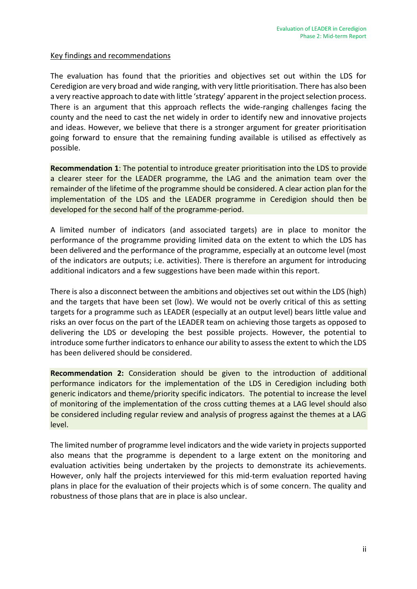#### Key findings and recommendations

The evaluation has found that the priorities and objectives set out within the LDS for Ceredigion are very broad and wide ranging, with very little prioritisation. There has also been a very reactive approach to date with little 'strategy' apparent in the project selection process. There is an argument that this approach reflects the wide-ranging challenges facing the county and the need to cast the net widely in order to identify new and innovative projects and ideas. However, we believe that there is a stronger argument for greater prioritisation going forward to ensure that the remaining funding available is utilised as effectively as possible.

**Recommendation 1**: The potential to introduce greater prioritisation into the LDS to provide a clearer steer for the LEADER programme, the LAG and the animation team over the remainder of the lifetime of the programme should be considered. A clear action plan for the implementation of the LDS and the LEADER programme in Ceredigion should then be developed for the second half of the programme-period.

A limited number of indicators (and associated targets) are in place to monitor the performance of the programme providing limited data on the extent to which the LDS has been delivered and the performance of the programme, especially at an outcome level (most of the indicators are outputs; i.e. activities). There is therefore an argument for introducing additional indicators and a few suggestions have been made within this report.

There is also a disconnect between the ambitions and objectives set out within the LDS (high) and the targets that have been set (low). We would not be overly critical of this as setting targets for a programme such as LEADER (especially at an output level) bears little value and risks an over focus on the part of the LEADER team on achieving those targets as opposed to delivering the LDS or developing the best possible projects. However, the potential to introduce some further indicators to enhance our ability to assess the extent to which the LDS has been delivered should be considered.

**Recommendation 2:** Consideration should be given to the introduction of additional performance indicators for the implementation of the LDS in Ceredigion including both generic indicators and theme/priority specific indicators. The potential to increase the level of monitoring of the implementation of the cross cutting themes at a LAG level should also be considered including regular review and analysis of progress against the themes at a LAG level.

The limited number of programme level indicators and the wide variety in projects supported also means that the programme is dependent to a large extent on the monitoring and evaluation activities being undertaken by the projects to demonstrate its achievements. However, only half the projects interviewed for this mid-term evaluation reported having plans in place for the evaluation of their projects which is of some concern. The quality and robustness of those plans that are in place is also unclear.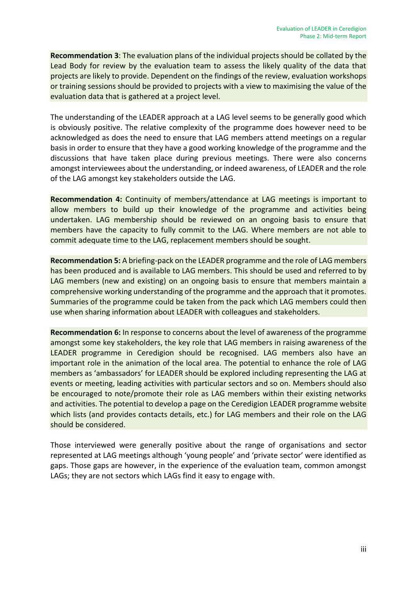**Recommendation 3**: The evaluation plans of the individual projects should be collated by the Lead Body for review by the evaluation team to assess the likely quality of the data that projects are likely to provide. Dependent on the findings of the review, evaluation workshops or training sessions should be provided to projects with a view to maximising the value of the evaluation data that is gathered at a project level.

The understanding of the LEADER approach at a LAG level seems to be generally good which is obviously positive. The relative complexity of the programme does however need to be acknowledged as does the need to ensure that LAG members attend meetings on a regular basis in order to ensure that they have a good working knowledge of the programme and the discussions that have taken place during previous meetings. There were also concerns amongst interviewees about the understanding, or indeed awareness, of LEADER and the role of the LAG amongst key stakeholders outside the LAG.

**Recommendation 4:** Continuity of members/attendance at LAG meetings is important to allow members to build up their knowledge of the programme and activities being undertaken. LAG membership should be reviewed on an ongoing basis to ensure that members have the capacity to fully commit to the LAG. Where members are not able to commit adequate time to the LAG, replacement members should be sought.

**Recommendation 5:** A briefing-pack on the LEADER programme and the role of LAG members has been produced and is available to LAG members. This should be used and referred to by LAG members (new and existing) on an ongoing basis to ensure that members maintain a comprehensive working understanding of the programme and the approach that it promotes. Summaries of the programme could be taken from the pack which LAG members could then use when sharing information about LEADER with colleagues and stakeholders.

**Recommendation 6:** In response to concerns about the level of awareness of the programme amongst some key stakeholders, the key role that LAG members in raising awareness of the LEADER programme in Ceredigion should be recognised. LAG members also have an important role in the animation of the local area. The potential to enhance the role of LAG members as 'ambassadors' for LEADER should be explored including representing the LAG at events or meeting, leading activities with particular sectors and so on. Members should also be encouraged to note/promote their role as LAG members within their existing networks and activities. The potential to develop a page on the Ceredigion LEADER programme website which lists (and provides contacts details, etc.) for LAG members and their role on the LAG should be considered.

Those interviewed were generally positive about the range of organisations and sector represented at LAG meetings although 'young people' and 'private sector' were identified as gaps. Those gaps are however, in the experience of the evaluation team, common amongst LAGs; they are not sectors which LAGs find it easy to engage with.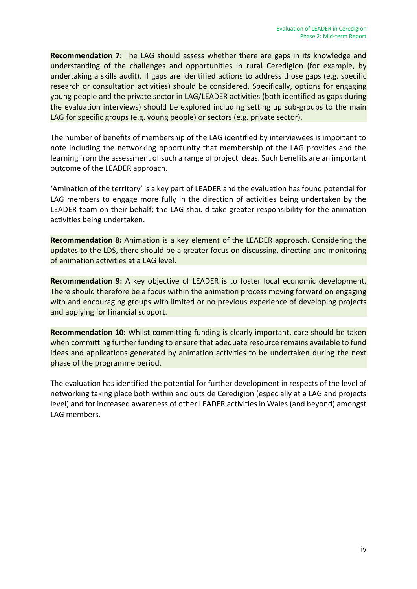**Recommendation 7:** The LAG should assess whether there are gaps in its knowledge and understanding of the challenges and opportunities in rural Ceredigion (for example, by undertaking a skills audit). If gaps are identified actions to address those gaps (e.g. specific research or consultation activities) should be considered. Specifically, options for engaging young people and the private sector in LAG/LEADER activities (both identified as gaps during the evaluation interviews) should be explored including setting up sub-groups to the main LAG for specific groups (e.g. young people) or sectors (e.g. private sector).

The number of benefits of membership of the LAG identified by interviewees is important to note including the networking opportunity that membership of the LAG provides and the learning from the assessment of such a range of project ideas. Such benefits are an important outcome of the LEADER approach.

'Amination of the territory' is a key part of LEADER and the evaluation has found potential for LAG members to engage more fully in the direction of activities being undertaken by the LEADER team on their behalf; the LAG should take greater responsibility for the animation activities being undertaken.

**Recommendation 8:** Animation is a key element of the LEADER approach. Considering the updates to the LDS, there should be a greater focus on discussing, directing and monitoring of animation activities at a LAG level.

**Recommendation 9:** A key objective of LEADER is to foster local economic development. There should therefore be a focus within the animation process moving forward on engaging with and encouraging groups with limited or no previous experience of developing projects and applying for financial support.

**Recommendation 10:** Whilst committing funding is clearly important, care should be taken when committing further funding to ensure that adequate resource remains available to fund ideas and applications generated by animation activities to be undertaken during the next phase of the programme period.

The evaluation has identified the potential for further development in respects of the level of networking taking place both within and outside Ceredigion (especially at a LAG and projects level) and for increased awareness of other LEADER activities in Wales (and beyond) amongst LAG members.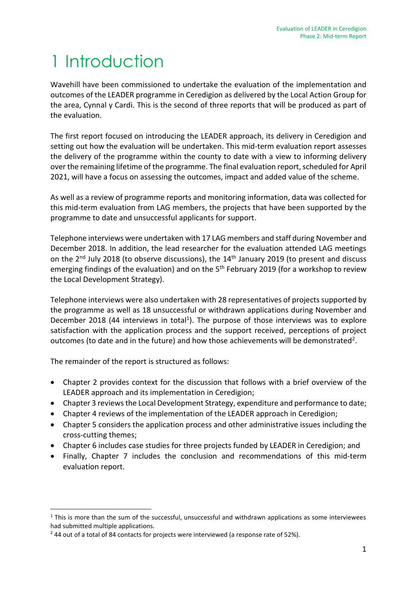# <span id="page-7-0"></span>1 Introduction

Wavehill have been commissioned to undertake the evaluation of the implementation and outcomes of the LEADER programme in Ceredigion as delivered by the Local Action Group for the area, Cynnal y Cardi. This is the second of three reports that will be produced as part of the evaluation.

The first report focused on introducing the LEADER approach, its delivery in Ceredigion and setting out how the evaluation will be undertaken. This mid-term evaluation report assesses the delivery of the programme within the county to date with a view to informing delivery over the remaining lifetime of the programme. The final evaluation report, scheduled for April 2021, will have a focus on assessing the outcomes, impact and added value of the scheme.

As well as a review of programme reports and monitoring information, data was collected for this mid-term evaluation from LAG members, the projects that have been supported by the programme to date and unsuccessful applicants for support.

Telephone interviews were undertaken with 17 LAG members and staff during November and December 2018. In addition, the lead researcher for the evaluation attended LAG meetings on the 2<sup>nd</sup> July 2018 (to observe discussions), the 14<sup>th</sup> January 2019 (to present and discuss emerging findings of the evaluation) and on the 5<sup>th</sup> February 2019 (for a workshop to review the Local Development Strategy).

Telephone interviews were also undertaken with 28 representatives of projects supported by the programme as well as 18 unsuccessful or withdrawn applications during November and December 2018 (44 interviews in total<sup>1</sup>). The purpose of those interviews was to explore satisfaction with the application process and the support received, perceptions of project outcomes (to date and in the future) and how those achievements will be demonstrated<sup>2</sup>.

The remainder of the report is structured as follows:

1

- Chapter 2 provides context for the discussion that follows with a brief overview of the LEADER approach and its implementation in Ceredigion;
- Chapter 3 reviews the Local Development Strategy, expenditure and performance to date;
- Chapter 4 reviews of the implementation of the LEADER approach in Ceredigion;
- Chapter 5 considers the application process and other administrative issues including the cross-cutting themes;
- Chapter 6 includes case studies for three projects funded by LEADER in Ceredigion; and
- Finally, Chapter 7 includes the conclusion and recommendations of this mid-term evaluation report.

 $1$  This is more than the sum of the successful, unsuccessful and withdrawn applications as some interviewees had submitted multiple applications.

<sup>&</sup>lt;sup>2</sup> 44 out of a total of 84 contacts for projects were interviewed (a response rate of 52%).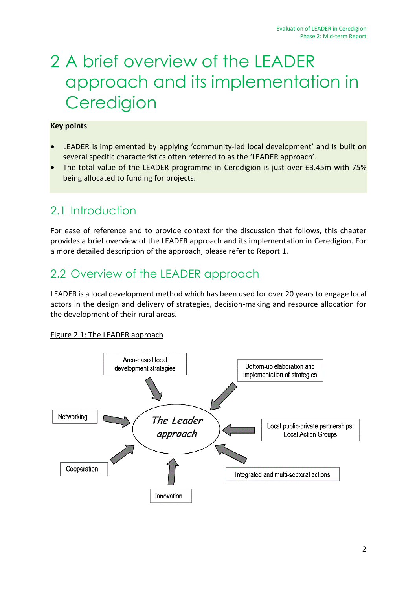# <span id="page-8-0"></span>2 A brief overview of the LEADER approach and its implementation in **Ceredigion**

#### **Key points**

- LEADER is implemented by applying 'community-led local development' and is built on several specific characteristics often referred to as the 'LEADER approach'.
- The total value of the LEADER programme in Ceredigion is just over £3.45m with 75% being allocated to funding for projects.

## 2.1 Introduction

For ease of reference and to provide context for the discussion that follows, this chapter provides a brief overview of the LEADER approach and its implementation in Ceredigion. For a more detailed description of the approach, please refer to Report 1.

## 2.2 Overview of the LEADER approach

LEADER is a local development method which has been used for over 20 years to engage local actors in the design and delivery of strategies, decision-making and resource allocation for the development of their rural areas.

#### Figure 2.1: The LEADER approach

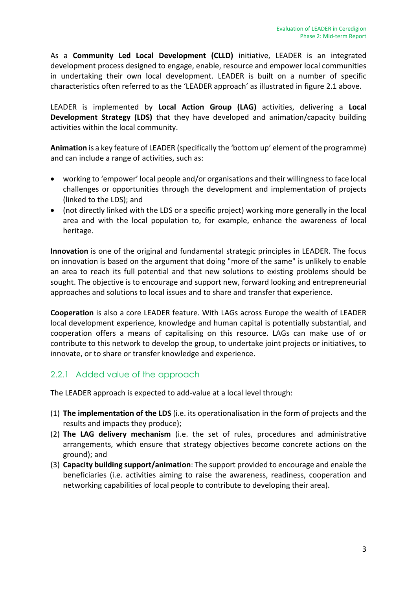As a **Community Led Local Development (CLLD)** initiative, LEADER is an integrated development process designed to engage, enable, resource and empower local communities in undertaking their own local development. LEADER is built on a number of specific characteristics often referred to as the 'LEADER approach' as illustrated in figure 2.1 above.

LEADER is implemented by **Local Action Group (LAG)** activities, delivering a **Local Development Strategy (LDS)** that they have developed and animation/capacity building activities within the local community.

**Animation** is a key feature of LEADER (specifically the 'bottom up' element of the programme) and can include a range of activities, such as:

- working to 'empower' local people and/or organisations and their willingness to face local challenges or opportunities through the development and implementation of projects (linked to the LDS); and
- (not directly linked with the LDS or a specific project) working more generally in the local area and with the local population to, for example, enhance the awareness of local heritage.

**Innovation** is one of the original and fundamental strategic principles in LEADER. The focus on innovation is based on the argument that doing "more of the same" is unlikely to enable an area to reach its full potential and that new solutions to existing problems should be sought. The objective is to encourage and support new, forward looking and entrepreneurial approaches and solutions to local issues and to share and transfer that experience.

**Cooperation** is also a core LEADER feature. With LAGs across Europe the wealth of LEADER local development experience, knowledge and human capital is potentially substantial, and cooperation offers a means of capitalising on this resource. LAGs can make use of or contribute to this network to develop the group, to undertake joint projects or initiatives, to innovate, or to share or transfer knowledge and experience.

## 2.2.1 Added value of the approach

The LEADER approach is expected to add-value at a local level through:

- (1) **The implementation of the LDS** (i.e. its operationalisation in the form of projects and the results and impacts they produce);
- (2) **The LAG delivery mechanism** (i.e. the set of rules, procedures and administrative arrangements, which ensure that strategy objectives become concrete actions on the ground); and
- (3) **Capacity building support/animation**: The support provided to encourage and enable the beneficiaries (i.e. activities aiming to raise the awareness, readiness, cooperation and networking capabilities of local people to contribute to developing their area).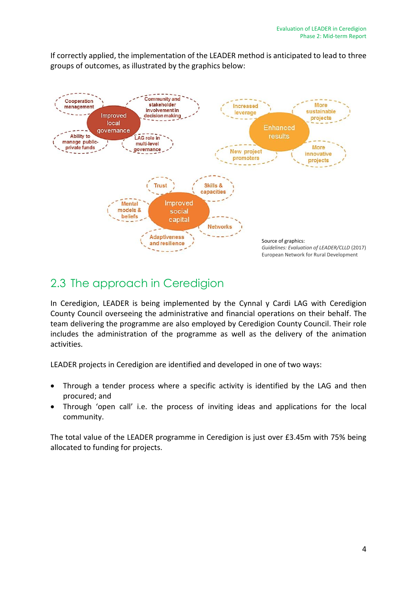If correctly applied, the implementation of the LEADER method is anticipated to lead to three groups of outcomes, as illustrated by the graphics below:



# 2.3 The approach in Ceredigion

In Ceredigion, LEADER is being implemented by the Cynnal y Cardi LAG with Ceredigion County Council overseeing the administrative and financial operations on their behalf. The team delivering the programme are also employed by Ceredigion County Council. Their role includes the administration of the programme as well as the delivery of the animation activities.

LEADER projects in Ceredigion are identified and developed in one of two ways:

- Through a tender process where a specific activity is identified by the LAG and then procured; and
- Through 'open call' i.e. the process of inviting ideas and applications for the local community.

The total value of the LEADER programme in Ceredigion is just over £3.45m with 75% being allocated to funding for projects.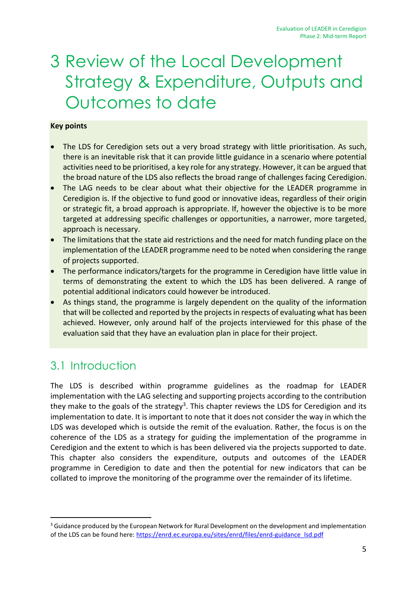# <span id="page-11-0"></span>3 Review of the Local Development Strategy & Expenditure, Outputs and Outcomes to date

#### **Key points**

- The LDS for Ceredigion sets out a very broad strategy with little prioritisation. As such, there is an inevitable risk that it can provide little guidance in a scenario where potential activities need to be prioritised, a key role for any strategy. However, it can be argued that the broad nature of the LDS also reflects the broad range of challenges facing Ceredigion.
- The LAG needs to be clear about what their objective for the LEADER programme in Ceredigion is. If the objective to fund good or innovative ideas, regardless of their origin or strategic fit, a broad approach is appropriate. If, however the objective is to be more targeted at addressing specific challenges or opportunities, a narrower, more targeted, approach is necessary.
- The limitations that the state aid restrictions and the need for match funding place on the implementation of the LEADER programme need to be noted when considering the range of projects supported.
- The performance indicators/targets for the programme in Ceredigion have little value in terms of demonstrating the extent to which the LDS has been delivered. A range of potential additional indicators could however be introduced.
- As things stand, the programme is largely dependent on the quality of the information that will be collected and reported by the projects in respects of evaluating what has been achieved. However, only around half of the projects interviewed for this phase of the evaluation said that they have an evaluation plan in place for their project.

## 3.1 Introduction

-

The LDS is described within programme guidelines as the roadmap for LEADER implementation with the LAG selecting and supporting projects according to the contribution they make to the goals of the strategy<sup>3</sup>. This chapter reviews the LDS for Ceredigion and its implementation to date. It is important to note that it does not consider the way in which the LDS was developed which is outside the remit of the evaluation. Rather, the focus is on the coherence of the LDS as a strategy for guiding the implementation of the programme in Ceredigion and the extent to which is has been delivered via the projects supported to date. This chapter also considers the expenditure, outputs and outcomes of the LEADER programme in Ceredigion to date and then the potential for new indicators that can be collated to improve the monitoring of the programme over the remainder of its lifetime.

 $3$  Guidance produced by the European Network for Rural Development on the development and implementation of the LDS can be found here[: https://enrd.ec.europa.eu/sites/enrd/files/enrd-guidance\\_lsd.pdf](https://enrd.ec.europa.eu/sites/enrd/files/enrd-guidance_lsd.pdf)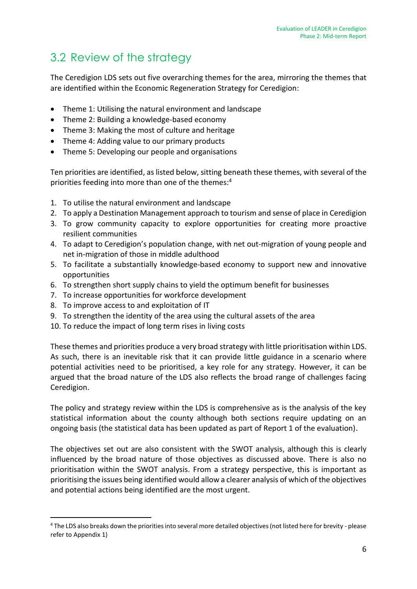## 3.2 Review of the strategy

The Ceredigion LDS sets out five overarching themes for the area, mirroring the themes that are identified within the Economic Regeneration Strategy for Ceredigion:

- Theme 1: Utilising the natural environment and landscape
- Theme 2: Building a knowledge-based economy
- Theme 3: Making the most of culture and heritage
- Theme 4: Adding value to our primary products
- Theme 5: Developing our people and organisations

Ten priorities are identified, as listed below, sitting beneath these themes, with several of the priorities feeding into more than one of the themes: 4

- 1. To utilise the natural environment and landscape
- 2. To apply a Destination Management approach to tourism and sense of place in Ceredigion
- 3. To grow community capacity to explore opportunities for creating more proactive resilient communities
- 4. To adapt to Ceredigion's population change, with net out-migration of young people and net in-migration of those in middle adulthood
- 5. To facilitate a substantially knowledge-based economy to support new and innovative opportunities
- 6. To strengthen short supply chains to yield the optimum benefit for businesses
- 7. To increase opportunities for workforce development
- 8. To improve access to and exploitation of IT

-

- 9. To strengthen the identity of the area using the cultural assets of the area
- 10. To reduce the impact of long term rises in living costs

These themes and priorities produce a very broad strategy with little prioritisation within LDS. As such, there is an inevitable risk that it can provide little guidance in a scenario where potential activities need to be prioritised, a key role for any strategy. However, it can be argued that the broad nature of the LDS also reflects the broad range of challenges facing Ceredigion.

The policy and strategy review within the LDS is comprehensive as is the analysis of the key statistical information about the county although both sections require updating on an ongoing basis (the statistical data has been updated as part of Report 1 of the evaluation).

The objectives set out are also consistent with the SWOT analysis, although this is clearly influenced by the broad nature of those objectives as discussed above. There is also no prioritisation within the SWOT analysis. From a strategy perspective, this is important as prioritising the issues being identified would allow a clearer analysis of which of the objectives and potential actions being identified are the most urgent.

<sup>4</sup> The LDS also breaks down the priorities into several more detailed objectives (not listed here for brevity - please refer to Appendix 1)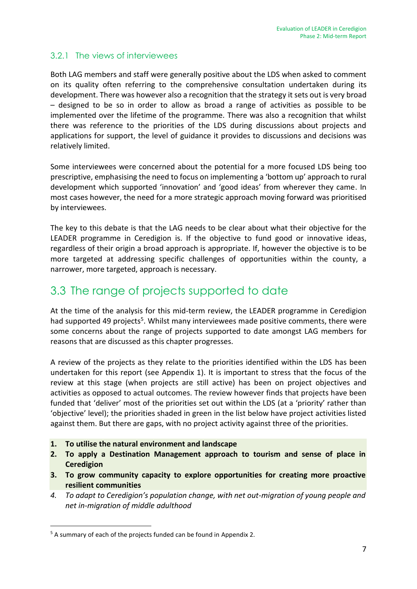### 3.2.1 The views of interviewees

Both LAG members and staff were generally positive about the LDS when asked to comment on its quality often referring to the comprehensive consultation undertaken during its development. There was however also a recognition that the strategy it sets out is very broad – designed to be so in order to allow as broad a range of activities as possible to be implemented over the lifetime of the programme. There was also a recognition that whilst there was reference to the priorities of the LDS during discussions about projects and applications for support, the level of guidance it provides to discussions and decisions was relatively limited.

Some interviewees were concerned about the potential for a more focused LDS being too prescriptive, emphasising the need to focus on implementing a 'bottom up' approach to rural development which supported 'innovation' and 'good ideas' from wherever they came. In most cases however, the need for a more strategic approach moving forward was prioritised by interviewees.

The key to this debate is that the LAG needs to be clear about what their objective for the LEADER programme in Ceredigion is. If the objective to fund good or innovative ideas, regardless of their origin a broad approach is appropriate. If, however the objective is to be more targeted at addressing specific challenges of opportunities within the county, a narrower, more targeted, approach is necessary.

## 3.3 The range of projects supported to date

At the time of the analysis for this mid-term review, the LEADER programme in Ceredigion had supported 49 projects<sup>5</sup>. Whilst many interviewees made positive comments, there were some concerns about the range of projects supported to date amongst LAG members for reasons that are discussed as this chapter progresses.

A review of the projects as they relate to the priorities identified within the LDS has been undertaken for this report (see Appendix 1). It is important to stress that the focus of the review at this stage (when projects are still active) has been on project objectives and activities as opposed to actual outcomes. The review however finds that projects have been funded that 'deliver' most of the priorities set out within the LDS (at a 'priority' rather than 'objective' level); the priorities shaded in green in the list below have project activities listed against them. But there are gaps, with no project activity against three of the priorities.

- **1. To utilise the natural environment and landscape**
- **2. To apply a Destination Management approach to tourism and sense of place in Ceredigion**
- **3. To grow community capacity to explore opportunities for creating more proactive resilient communities**
- *4. To adapt to Ceredigion's population change, with net out-migration of young people and net in-migration of middle adulthood*

1

<sup>&</sup>lt;sup>5</sup> A summary of each of the projects funded can be found in Appendix 2.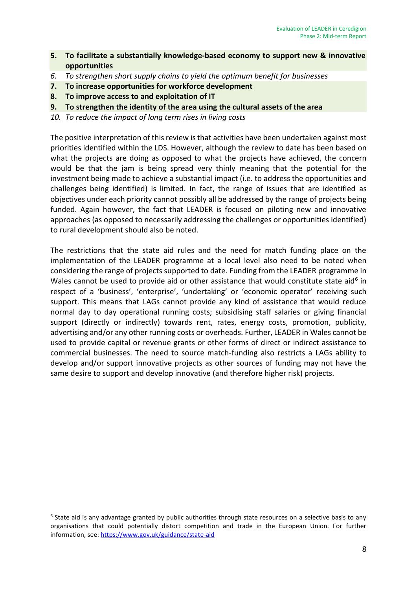- **5. To facilitate a substantially knowledge-based economy to support new & innovative opportunities**
- *6. To strengthen short supply chains to yield the optimum benefit for businesses*
- **7. To increase opportunities for workforce development**
- **8. To improve access to and exploitation of IT**
- **9. To strengthen the identity of the area using the cultural assets of the area**
- *10. To reduce the impact of long term rises in living costs*

The positive interpretation of this review is that activities have been undertaken against most priorities identified within the LDS. However, although the review to date has been based on what the projects are doing as opposed to what the projects have achieved, the concern would be that the jam is being spread very thinly meaning that the potential for the investment being made to achieve a substantial impact (i.e. to address the opportunities and challenges being identified) is limited. In fact, the range of issues that are identified as objectives under each priority cannot possibly all be addressed by the range of projects being funded. Again however, the fact that LEADER is focused on piloting new and innovative approaches (as opposed to necessarily addressing the challenges or opportunities identified) to rural development should also be noted.

The restrictions that the state aid rules and the need for match funding place on the implementation of the LEADER programme at a local level also need to be noted when considering the range of projects supported to date. Funding from the LEADER programme in Wales cannot be used to provide aid or other assistance that would constitute state aid<sup>6</sup> in respect of a 'business', 'enterprise', 'undertaking' or 'economic operator' receiving such support. This means that LAGs cannot provide any kind of assistance that would reduce normal day to day operational running costs; subsidising staff salaries or giving financial support (directly or indirectly) towards rent, rates, energy costs, promotion, publicity, advertising and/or any other running costs or overheads. Further, LEADER in Wales cannot be used to provide capital or revenue grants or other forms of direct or indirect assistance to commercial businesses. The need to source match-funding also restricts a LAGs ability to develop and/or support innovative projects as other sources of funding may not have the same desire to support and develop innovative (and therefore higher risk) projects.

<sup>1</sup> <sup>6</sup> State aid is any advantage granted by public authorities through state resources on a selective basis to any organisations that could potentially distort competition and trade in the European Union. For further information, see:<https://www.gov.uk/guidance/state-aid>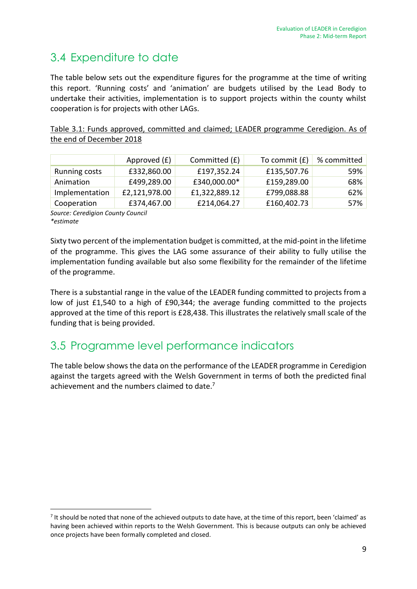# 3.4 Expenditure to date

The table below sets out the expenditure figures for the programme at the time of writing this report. 'Running costs' and 'animation' are budgets utilised by the Lead Body to undertake their activities, implementation is to support projects within the county whilst cooperation is for projects with other LAGs.

Table 3.1: Funds approved, committed and claimed; LEADER programme Ceredigion. As of the end of December 2018

|                | Approved (£)  | Committed (£) | To commit $(E)$ | % committed |
|----------------|---------------|---------------|-----------------|-------------|
| Running costs  | £332,860.00   | £197,352.24   | £135,507.76     | 59%         |
| Animation      | £499,289.00   | £340,000.00*  | £159,289.00     | 68%         |
| Implementation | £2,121,978.00 | £1,322,889.12 | £799,088.88     | 62%         |
| Cooperation    | £374,467.00   | £214,064.27   | £160,402.73     | 57%         |

*Source: Ceredigion County Council \*estimate*

1

Sixty two percent of the implementation budget is committed, at the mid-point in the lifetime of the programme. This gives the LAG some assurance of their ability to fully utilise the implementation funding available but also some flexibility for the remainder of the lifetime of the programme.

There is a substantial range in the value of the LEADER funding committed to projects from a low of just £1,540 to a high of £90,344; the average funding committed to the projects approved at the time of this report is £28,438. This illustrates the relatively small scale of the funding that is being provided.

## 3.5 Programme level performance indicators

The table below shows the data on the performance of the LEADER programme in Ceredigion against the targets agreed with the Welsh Government in terms of both the predicted final achievement and the numbers claimed to date.<sup>7</sup>

<sup>&</sup>lt;sup>7</sup> It should be noted that none of the achieved outputs to date have, at the time of this report, been 'claimed' as having been achieved within reports to the Welsh Government. This is because outputs can only be achieved once projects have been formally completed and closed.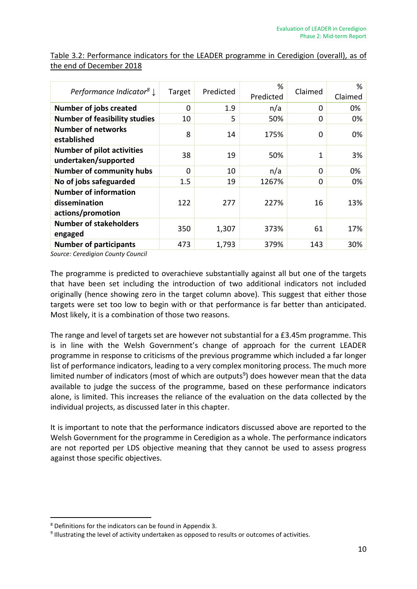| Performance Indicator <sup>8</sup> $\downarrow$                    | Target | Predicted | %<br>Predicted | Claimed  | %<br>Claimed |
|--------------------------------------------------------------------|--------|-----------|----------------|----------|--------------|
| <b>Number of jobs created</b>                                      | 0      | 1.9       | n/a            | 0        | 0%           |
| <b>Number of feasibility studies</b>                               | 10     | 5         | 50%            | $\Omega$ | 0%           |
| <b>Number of networks</b><br>established                           | 8      | 14        | 175%           | 0        | 0%           |
| <b>Number of pilot activities</b><br>undertaken/supported          | 38     | 19        | 50%            | 1        | 3%           |
| <b>Number of community hubs</b>                                    | 0      | 10        | n/a            | $\Omega$ | 0%           |
| No of jobs safeguarded                                             | 1.5    | 19        | 1267%          | 0        | 0%           |
| <b>Number of information</b><br>dissemination<br>actions/promotion | 122    | 277       | 227%           | 16       | 13%          |
| <b>Number of stakeholders</b><br>engaged                           | 350    | 1,307     | 373%           | 61       | 17%          |
| <b>Number of participants</b>                                      | 473    | 1,793     | 379%           | 143      | 30%          |

Table 3.2: Performance indicators for the LEADER programme in Ceredigion (overall), as of the end of December 2018

*Source: Ceredigion County Council* 

The programme is predicted to overachieve substantially against all but one of the targets that have been set including the introduction of two additional indicators not included originally (hence showing zero in the target column above). This suggest that either those targets were set too low to begin with or that performance is far better than anticipated. Most likely, it is a combination of those two reasons.

The range and level of targets set are however not substantial for a £3.45m programme. This is in line with the Welsh Government's change of approach for the current LEADER programme in response to criticisms of the previous programme which included a far longer list of performance indicators, leading to a very complex monitoring process. The much more limited number of indicators (most of which are outputs<sup>9</sup>) does however mean that the data available to judge the success of the programme, based on these performance indicators alone, is limited. This increases the reliance of the evaluation on the data collected by the individual projects, as discussed later in this chapter.

It is important to note that the performance indicators discussed above are reported to the Welsh Government for the programme in Ceredigion as a whole. The performance indicators are not reported per LDS objective meaning that they cannot be used to assess progress against those specific objectives.

-

<sup>8</sup> Definitions for the indicators can be found in Appendix 3.

<sup>&</sup>lt;sup>9</sup> Illustrating the level of activity undertaken as opposed to results or outcomes of activities.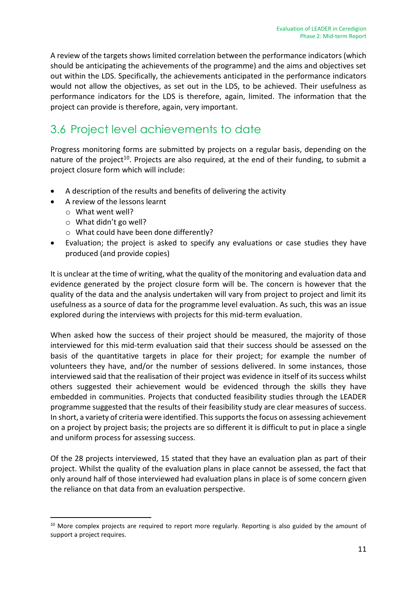A review of the targets shows limited correlation between the performance indicators (which should be anticipating the achievements of the programme) and the aims and objectives set out within the LDS. Specifically, the achievements anticipated in the performance indicators would not allow the objectives, as set out in the LDS, to be achieved. Their usefulness as performance indicators for the LDS is therefore, again, limited. The information that the project can provide is therefore, again, very important.

# 3.6 Project level achievements to date

Progress monitoring forms are submitted by projects on a regular basis, depending on the nature of the project<sup>10</sup>. Projects are also required, at the end of their funding, to submit a project closure form which will include:

- A description of the results and benefits of delivering the activity
- A review of the lessons learnt
	- o What went well?

-

- o What didn't go well?
- o What could have been done differently?
- Evaluation; the project is asked to specify any evaluations or case studies they have produced (and provide copies)

It is unclear at the time of writing, what the quality of the monitoring and evaluation data and evidence generated by the project closure form will be. The concern is however that the quality of the data and the analysis undertaken will vary from project to project and limit its usefulness as a source of data for the programme level evaluation. As such, this was an issue explored during the interviews with projects for this mid-term evaluation.

When asked how the success of their project should be measured, the majority of those interviewed for this mid-term evaluation said that their success should be assessed on the basis of the quantitative targets in place for their project; for example the number of volunteers they have, and/or the number of sessions delivered. In some instances, those interviewed said that the realisation of their project was evidence in itself of its success whilst others suggested their achievement would be evidenced through the skills they have embedded in communities. Projects that conducted feasibility studies through the LEADER programme suggested that the results of their feasibility study are clear measures of success. In short, a variety of criteria were identified. This supports the focus on assessing achievement on a project by project basis; the projects are so different it is difficult to put in place a single and uniform process for assessing success.

Of the 28 projects interviewed, 15 stated that they have an evaluation plan as part of their project. Whilst the quality of the evaluation plans in place cannot be assessed, the fact that only around half of those interviewed had evaluation plans in place is of some concern given the reliance on that data from an evaluation perspective.

<sup>&</sup>lt;sup>10</sup> More complex projects are required to report more regularly. Reporting is also guided by the amount of support a project requires.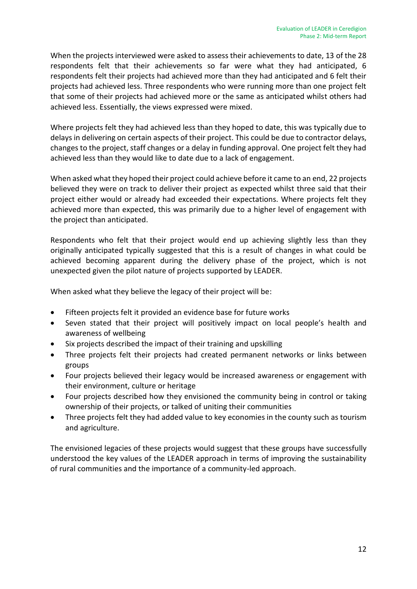When the projects interviewed were asked to assess their achievements to date, 13 of the 28 respondents felt that their achievements so far were what they had anticipated, 6 respondents felt their projects had achieved more than they had anticipated and 6 felt their projects had achieved less. Three respondents who were running more than one project felt that some of their projects had achieved more or the same as anticipated whilst others had achieved less. Essentially, the views expressed were mixed.

Where projects felt they had achieved less than they hoped to date, this was typically due to delays in delivering on certain aspects of their project. This could be due to contractor delays, changes to the project, staff changes or a delay in funding approval. One project felt they had achieved less than they would like to date due to a lack of engagement.

When asked what they hoped their project could achieve before it came to an end, 22 projects believed they were on track to deliver their project as expected whilst three said that their project either would or already had exceeded their expectations. Where projects felt they achieved more than expected, this was primarily due to a higher level of engagement with the project than anticipated.

Respondents who felt that their project would end up achieving slightly less than they originally anticipated typically suggested that this is a result of changes in what could be achieved becoming apparent during the delivery phase of the project, which is not unexpected given the pilot nature of projects supported by LEADER.

When asked what they believe the legacy of their project will be:

- Fifteen projects felt it provided an evidence base for future works
- Seven stated that their project will positively impact on local people's health and awareness of wellbeing
- Six projects described the impact of their training and upskilling
- Three projects felt their projects had created permanent networks or links between groups
- Four projects believed their legacy would be increased awareness or engagement with their environment, culture or heritage
- Four projects described how they envisioned the community being in control or taking ownership of their projects, or talked of uniting their communities
- Three projects felt they had added value to key economies in the county such as tourism and agriculture.

The envisioned legacies of these projects would suggest that these groups have successfully understood the key values of the LEADER approach in terms of improving the sustainability of rural communities and the importance of a community-led approach.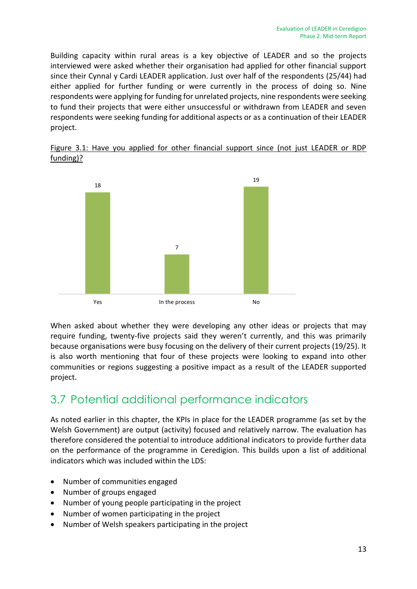Building capacity within rural areas is a key objective of LEADER and so the projects interviewed were asked whether their organisation had applied for other financial support since their Cynnal y Cardi LEADER application. Just over half of the respondents (25/44) had either applied for further funding or were currently in the process of doing so. Nine respondents were applying for funding for unrelated projects, nine respondents were seeking to fund their projects that were either unsuccessful or withdrawn from LEADER and seven respondents were seeking funding for additional aspects or as a continuation of their LEADER project.





When asked about whether they were developing any other ideas or projects that may require funding, twenty-five projects said they weren't currently, and this was primarily because organisations were busy focusing on the delivery of their current projects (19/25). It is also worth mentioning that four of these projects were looking to expand into other communities or regions suggesting a positive impact as a result of the LEADER supported project.

# 3.7 Potential additional performance indicators

As noted earlier in this chapter, the KPIs in place for the LEADER programme (as set by the Welsh Government) are output (activity) focused and relatively narrow. The evaluation has therefore considered the potential to introduce additional indicators to provide further data on the performance of the programme in Ceredigion. This builds upon a list of additional indicators which was included within the LDS:

- Number of communities engaged
- Number of groups engaged
- Number of young people participating in the project
- Number of women participating in the project
- Number of Welsh speakers participating in the project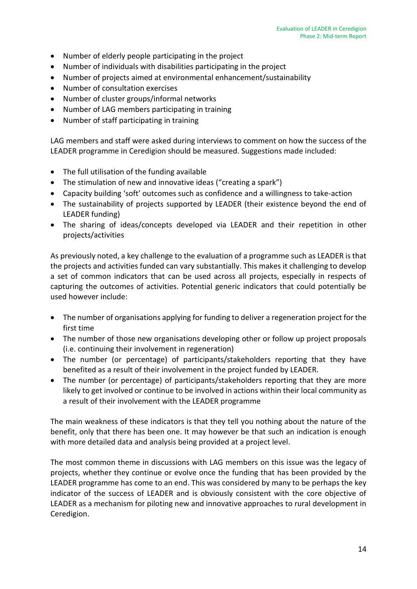- Number of elderly people participating in the project
- Number of individuals with disabilities participating in the project
- Number of projects aimed at environmental enhancement/sustainability
- Number of consultation exercises
- Number of cluster groups/informal networks
- Number of LAG members participating in training
- Number of staff participating in training

LAG members and staff were asked during interviews to comment on how the success of the LEADER programme in Ceredigion should be measured. Suggestions made included:

- The full utilisation of the funding available
- The stimulation of new and innovative ideas ("creating a spark")
- Capacity building 'soft' outcomes such as confidence and a willingness to take-action
- The sustainability of projects supported by LEADER (their existence beyond the end of LEADER funding)
- The sharing of ideas/concepts developed via LEADER and their repetition in other projects/activities

As previously noted, a key challenge to the evaluation of a programme such as LEADER is that the projects and activities funded can vary substantially. This makes it challenging to develop a set of common indicators that can be used across all projects, especially in respects of capturing the outcomes of activities. Potential generic indicators that could potentially be used however include:

- The number of organisations applying for funding to deliver a regeneration project for the first time
- The number of those new organisations developing other or follow up project proposals (i.e. continuing their involvement in regeneration)
- The number (or percentage) of participants/stakeholders reporting that they have benefited as a result of their involvement in the project funded by LEADER.
- The number (or percentage) of participants/stakeholders reporting that they are more likely to get involved or continue to be involved in actions within their local community as a result of their involvement with the LEADER programme

The main weakness of these indicators is that they tell you nothing about the nature of the benefit, only that there has been one. It may however be that such an indication is enough with more detailed data and analysis being provided at a project level.

The most common theme in discussions with LAG members on this issue was the legacy of projects, whether they continue or evolve once the funding that has been provided by the LEADER programme has come to an end. This was considered by many to be perhaps the key indicator of the success of LEADER and is obviously consistent with the core objective of LEADER as a mechanism for piloting new and innovative approaches to rural development in Ceredigion.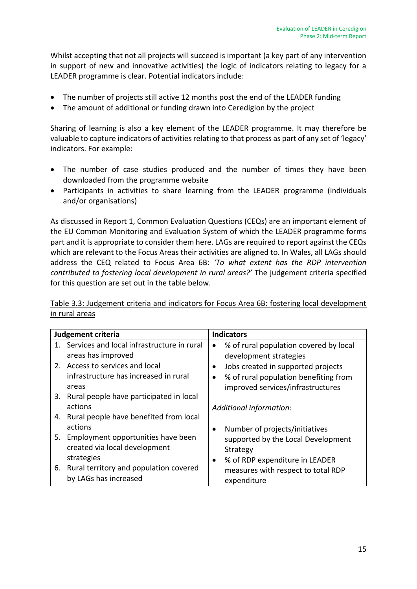Whilst accepting that not all projects will succeed is important (a key part of any intervention in support of new and innovative activities) the logic of indicators relating to legacy for a LEADER programme is clear. Potential indicators include:

- The number of projects still active 12 months post the end of the LEADER funding
- The amount of additional or funding drawn into Ceredigion by the project

Sharing of learning is also a key element of the LEADER programme. It may therefore be valuable to capture indicators of activities relating to that process as part of any set of 'legacy' indicators. For example:

- The number of case studies produced and the number of times they have been downloaded from the programme website
- Participants in activities to share learning from the LEADER programme (individuals and/or organisations)

As discussed in Report 1, Common Evaluation Questions (CEQs) are an important element of the EU Common Monitoring and Evaluation System of which the LEADER programme forms part and it is appropriate to consider them here. LAGs are required to report against the CEQs which are relevant to the Focus Areas their activities are aligned to. In Wales, all LAGs should address the CEQ related to Focus Area 6B: *'To what extent has the RDP intervention contributed to fostering local development in rural areas?'* The judgement criteria specified for this question are set out in the table below.

| Table 3.3: Judgement criteria and indicators for Focus Area 6B: fostering local development |  |  |  |
|---------------------------------------------------------------------------------------------|--|--|--|
| in rural areas                                                                              |  |  |  |

| Judgement criteria                            | <b>Indicators</b>                                   |  |  |
|-----------------------------------------------|-----------------------------------------------------|--|--|
| 1. Services and local infrastructure in rural | % of rural population covered by local<br>$\bullet$ |  |  |
| areas has improved                            | development strategies                              |  |  |
| 2. Access to services and local               | Jobs created in supported projects<br>$\bullet$     |  |  |
| infrastructure has increased in rural         | % of rural population benefiting from               |  |  |
| areas                                         | improved services/infrastructures                   |  |  |
| 3. Rural people have participated in local    |                                                     |  |  |
| actions                                       | Additional information:                             |  |  |
| 4. Rural people have benefited from local     |                                                     |  |  |
| actions                                       | Number of projects/initiatives<br>$\bullet$         |  |  |
| 5. Employment opportunities have been         | supported by the Local Development                  |  |  |
| created via local development                 | Strategy                                            |  |  |
| strategies                                    | % of RDP expenditure in LEADER<br>$\bullet$         |  |  |
| 6. Rural territory and population covered     | measures with respect to total RDP                  |  |  |
| by LAGs has increased                         | expenditure                                         |  |  |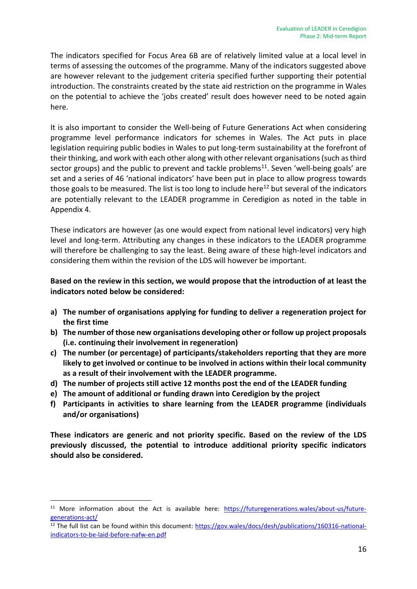The indicators specified for Focus Area 6B are of relatively limited value at a local level in terms of assessing the outcomes of the programme. Many of the indicators suggested above are however relevant to the judgement criteria specified further supporting their potential introduction. The constraints created by the state aid restriction on the programme in Wales on the potential to achieve the 'jobs created' result does however need to be noted again here.

It is also important to consider the Well-being of Future Generations Act when considering programme level performance indicators for schemes in Wales. The Act puts in place legislation requiring public bodies in Wales to put long-term sustainability at the forefront of their thinking, and work with each other along with other relevant organisations (such as third sector groups) and the public to prevent and tackle problems<sup>11</sup>. Seven 'well-being goals' are set and a series of 46 'national indicators' have been put in place to allow progress towards those goals to be measured. The list is too long to include here<sup>12</sup> but several of the indicators are potentially relevant to the LEADER programme in Ceredigion as noted in the table in Appendix 4.

These indicators are however (as one would expect from national level indicators) very high level and long-term. Attributing any changes in these indicators to the LEADER programme will therefore be challenging to say the least. Being aware of these high-level indicators and considering them within the revision of the LDS will however be important.

#### **Based on the review in this section, we would propose that the introduction of at least the indicators noted below be considered:**

- **a) The number of organisations applying for funding to deliver a regeneration project for the first time**
- **b) The number of those new organisations developing other or follow up project proposals (i.e. continuing their involvement in regeneration)**
- **c) The number (or percentage) of participants/stakeholders reporting that they are more likely to get involved or continue to be involved in actions within their local community as a result of their involvement with the LEADER programme.**
- **d) The number of projects still active 12 months post the end of the LEADER funding**
- **e) The amount of additional or funding drawn into Ceredigion by the project**

-

**f) Participants in activities to share learning from the LEADER programme (individuals and/or organisations)**

**These indicators are generic and not priority specific. Based on the review of the LDS previously discussed, the potential to introduce additional priority specific indicators should also be considered.**

<sup>&</sup>lt;sup>11</sup> More information about the Act is available here: [https://futuregenerations.wales/about-us/future](https://futuregenerations.wales/about-us/future-generations-act/)[generations-act/](https://futuregenerations.wales/about-us/future-generations-act/)

<sup>&</sup>lt;sup>12</sup> The full list can be found within this document: [https://gov.wales/docs/desh/publications/160316-national](https://gov.wales/docs/desh/publications/160316-national-indicators-to-be-laid-before-nafw-en.pdf)[indicators-to-be-laid-before-nafw-en.pdf](https://gov.wales/docs/desh/publications/160316-national-indicators-to-be-laid-before-nafw-en.pdf)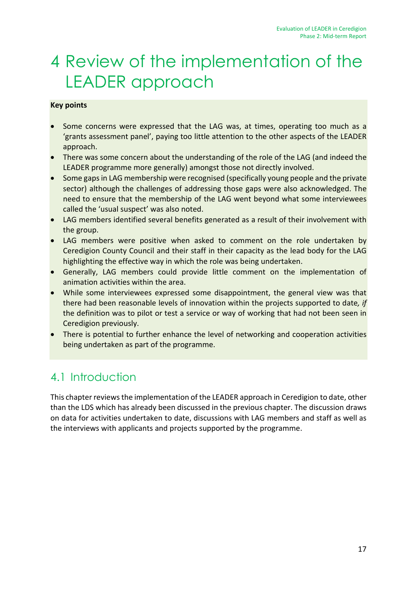# <span id="page-23-0"></span>4 Review of the implementation of the LEADER approach

### **Key points**

- Some concerns were expressed that the LAG was, at times, operating too much as a 'grants assessment panel', paying too little attention to the other aspects of the LEADER approach.
- There was some concern about the understanding of the role of the LAG (and indeed the LEADER programme more generally) amongst those not directly involved.
- Some gaps in LAG membership were recognised (specifically young people and the private sector) although the challenges of addressing those gaps were also acknowledged. The need to ensure that the membership of the LAG went beyond what some interviewees called the 'usual suspect' was also noted.
- LAG members identified several benefits generated as a result of their involvement with the group.
- LAG members were positive when asked to comment on the role undertaken by Ceredigion County Council and their staff in their capacity as the lead body for the LAG highlighting the effective way in which the role was being undertaken.
- Generally, LAG members could provide little comment on the implementation of animation activities within the area.
- While some interviewees expressed some disappointment, the general view was that there had been reasonable levels of innovation within the projects supported to date*, if* the definition was to pilot or test a service or way of working that had not been seen in Ceredigion previously.
- There is potential to further enhance the level of networking and cooperation activities being undertaken as part of the programme.

## 4.1 Introduction

This chapter reviewsthe implementation of the LEADER approach in Ceredigion to date, other than the LDS which has already been discussed in the previous chapter. The discussion draws on data for activities undertaken to date, discussions with LAG members and staff as well as the interviews with applicants and projects supported by the programme.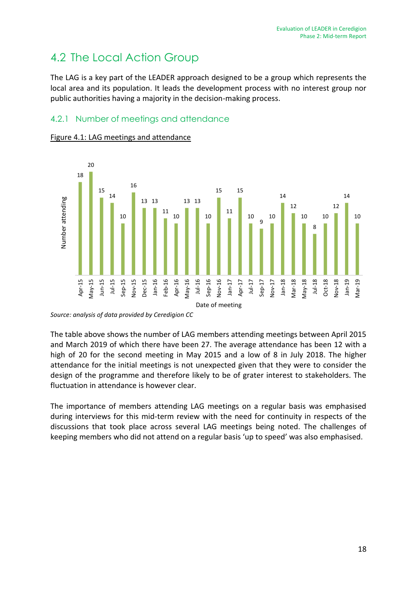# 4.2 The Local Action Group

The LAG is a key part of the LEADER approach designed to be a group which represents the local area and its population. It leads the development process with no interest group nor public authorities having a majority in the decision-making process.

## 4.2.1 Number of meetings and attendance



#### Figure 4.1: LAG meetings and attendance

*Source: analysis of data provided by Ceredigion CC* 

The table above shows the number of LAG members attending meetings between April 2015 and March 2019 of which there have been 27. The average attendance has been 12 with a high of 20 for the second meeting in May 2015 and a low of 8 in July 2018. The higher attendance for the initial meetings is not unexpected given that they were to consider the design of the programme and therefore likely to be of grater interest to stakeholders. The fluctuation in attendance is however clear.

The importance of members attending LAG meetings on a regular basis was emphasised during interviews for this mid-term review with the need for continuity in respects of the discussions that took place across several LAG meetings being noted. The challenges of keeping members who did not attend on a regular basis 'up to speed' was also emphasised.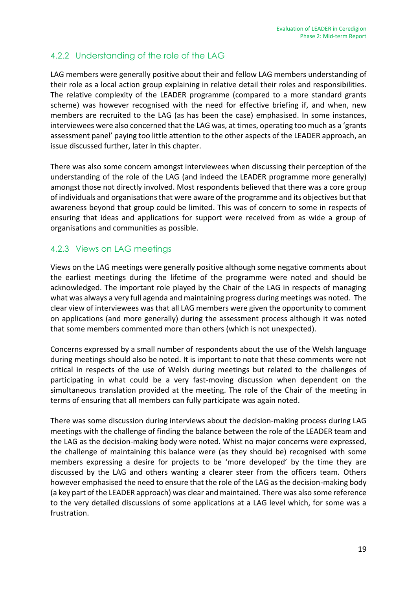## 4.2.2 Understanding of the role of the LAG

LAG members were generally positive about their and fellow LAG members understanding of their role as a local action group explaining in relative detail their roles and responsibilities. The relative complexity of the LEADER programme (compared to a more standard grants scheme) was however recognised with the need for effective briefing if, and when, new members are recruited to the LAG (as has been the case) emphasised. In some instances, interviewees were also concerned that the LAG was, at times, operating too much as a 'grants assessment panel' paying too little attention to the other aspects of the LEADER approach, an issue discussed further, later in this chapter.

There was also some concern amongst interviewees when discussing their perception of the understanding of the role of the LAG (and indeed the LEADER programme more generally) amongst those not directly involved. Most respondents believed that there was a core group of individuals and organisations that were aware of the programme and its objectives but that awareness beyond that group could be limited. This was of concern to some in respects of ensuring that ideas and applications for support were received from as wide a group of organisations and communities as possible.

### 4.2.3 Views on LAG meetings

Views on the LAG meetings were generally positive although some negative comments about the earliest meetings during the lifetime of the programme were noted and should be acknowledged. The important role played by the Chair of the LAG in respects of managing what was always a very full agenda and maintaining progress during meetings was noted. The clear view of interviewees was that all LAG members were given the opportunity to comment on applications (and more generally) during the assessment process although it was noted that some members commented more than others (which is not unexpected).

Concerns expressed by a small number of respondents about the use of the Welsh language during meetings should also be noted. It is important to note that these comments were not critical in respects of the use of Welsh during meetings but related to the challenges of participating in what could be a very fast-moving discussion when dependent on the simultaneous translation provided at the meeting. The role of the Chair of the meeting in terms of ensuring that all members can fully participate was again noted.

There was some discussion during interviews about the decision-making process during LAG meetings with the challenge of finding the balance between the role of the LEADER team and the LAG as the decision-making body were noted. Whist no major concerns were expressed, the challenge of maintaining this balance were (as they should be) recognised with some members expressing a desire for projects to be 'more developed' by the time they are discussed by the LAG and others wanting a clearer steer from the officers team. Others however emphasised the need to ensure that the role of the LAG as the decision-making body (a key part of the LEADER approach) was clear and maintained. There was also some reference to the very detailed discussions of some applications at a LAG level which, for some was a frustration.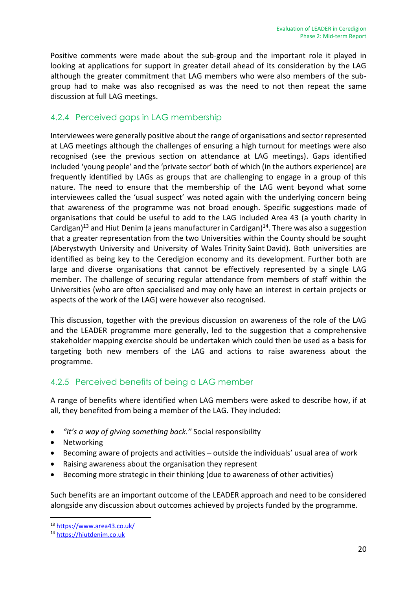Positive comments were made about the sub-group and the important role it played in looking at applications for support in greater detail ahead of its consideration by the LAG although the greater commitment that LAG members who were also members of the subgroup had to make was also recognised as was the need to not then repeat the same discussion at full LAG meetings.

### 4.2.4 Perceived gaps in LAG membership

Interviewees were generally positive about the range of organisations and sector represented at LAG meetings although the challenges of ensuring a high turnout for meetings were also recognised (see the previous section on attendance at LAG meetings). Gaps identified included 'young people' and the 'private sector' both of which (in the authors experience) are frequently identified by LAGs as groups that are challenging to engage in a group of this nature. The need to ensure that the membership of the LAG went beyond what some interviewees called the 'usual suspect' was noted again with the underlying concern being that awareness of the programme was not broad enough. Specific suggestions made of organisations that could be useful to add to the LAG included Area 43 (a youth charity in Cardigan)<sup>13</sup> and Hiut Denim (a jeans manufacturer in Cardigan)<sup>14</sup>. There was also a suggestion that a greater representation from the two Universities within the County should be sought (Aberystwyth University and University of Wales Trinity Saint David). Both universities are identified as being key to the Ceredigion economy and its development. Further both are large and diverse organisations that cannot be effectively represented by a single LAG member. The challenge of securing regular attendance from members of staff within the Universities (who are often specialised and may only have an interest in certain projects or aspects of the work of the LAG) were however also recognised.

This discussion, together with the previous discussion on awareness of the role of the LAG and the LEADER programme more generally, led to the suggestion that a comprehensive stakeholder mapping exercise should be undertaken which could then be used as a basis for targeting both new members of the LAG and actions to raise awareness about the programme.

### 4.2.5 Perceived benefits of being a LAG member

A range of benefits where identified when LAG members were asked to describe how, if at all, they benefited from being a member of the LAG. They included:

- *"It's a way of giving something back."* Social responsibility
- Networking

-

- Becoming aware of projects and activities outside the individuals' usual area of work
- Raising awareness about the organisation they represent
- Becoming more strategic in their thinking (due to awareness of other activities)

Such benefits are an important outcome of the LEADER approach and need to be considered alongside any discussion about outcomes achieved by projects funded by the programme.

<sup>13</sup> <https://www.area43.co.uk/>

<sup>14</sup> [https://hiutdenim.co.uk](https://hiutdenim.co.uk/)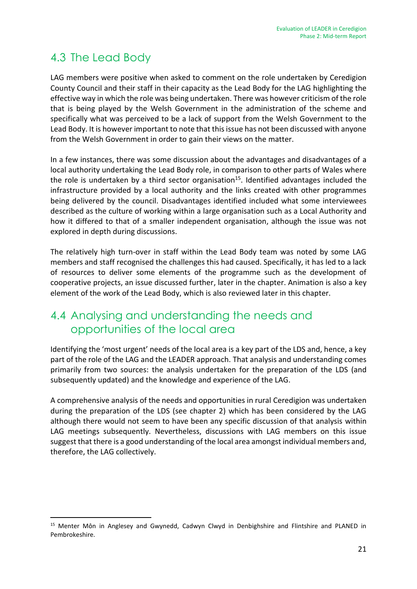# 4.3 The Lead Body

-

LAG members were positive when asked to comment on the role undertaken by Ceredigion County Council and their staff in their capacity as the Lead Body for the LAG highlighting the effective way in which the role was being undertaken. There was however criticism of the role that is being played by the Welsh Government in the administration of the scheme and specifically what was perceived to be a lack of support from the Welsh Government to the Lead Body. It is however important to note that this issue has not been discussed with anyone from the Welsh Government in order to gain their views on the matter.

In a few instances, there was some discussion about the advantages and disadvantages of a local authority undertaking the Lead Body role, in comparison to other parts of Wales where the role is undertaken by a third sector organisation<sup>15</sup>. Identified advantages included the infrastructure provided by a local authority and the links created with other programmes being delivered by the council. Disadvantages identified included what some interviewees described as the culture of working within a large organisation such as a Local Authority and how it differed to that of a smaller independent organisation, although the issue was not explored in depth during discussions.

The relatively high turn-over in staff within the Lead Body team was noted by some LAG members and staff recognised the challenges this had caused. Specifically, it has led to a lack of resources to deliver some elements of the programme such as the development of cooperative projects, an issue discussed further, later in the chapter. Animation is also a key element of the work of the Lead Body, which is also reviewed later in this chapter.

## 4.4 Analysing and understanding the needs and opportunities of the local area

Identifying the 'most urgent' needs of the local area is a key part of the LDS and, hence, a key part of the role of the LAG and the LEADER approach. That analysis and understanding comes primarily from two sources: the analysis undertaken for the preparation of the LDS (and subsequently updated) and the knowledge and experience of the LAG.

A comprehensive analysis of the needs and opportunities in rural Ceredigion was undertaken during the preparation of the LDS (see chapter 2) which has been considered by the LAG although there would not seem to have been any specific discussion of that analysis within LAG meetings subsequently. Nevertheless, discussions with LAG members on this issue suggest that there is a good understanding of the local area amongst individual members and, therefore, the LAG collectively.

<sup>&</sup>lt;sup>15</sup> Menter Môn in Anglesey and Gwynedd, Cadwyn Clwyd in Denbighshire and Flintshire and PLANED in Pembrokeshire.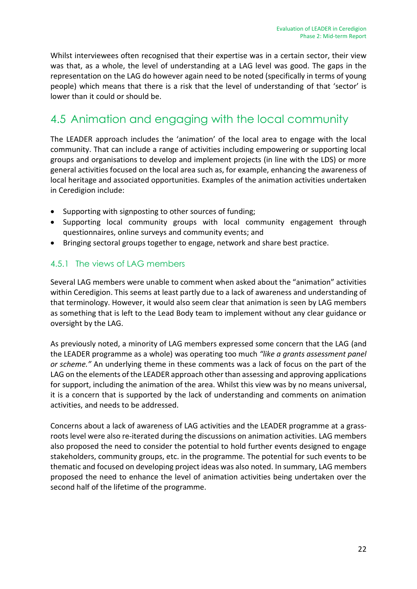Whilst interviewees often recognised that their expertise was in a certain sector, their view was that, as a whole, the level of understanding at a LAG level was good. The gaps in the representation on the LAG do however again need to be noted (specifically in terms of young people) which means that there is a risk that the level of understanding of that 'sector' is lower than it could or should be.

## 4.5 Animation and engaging with the local community

The LEADER approach includes the 'animation' of the local area to engage with the local community. That can include a range of activities including empowering or supporting local groups and organisations to develop and implement projects (in line with the LDS) or more general activities focused on the local area such as, for example, enhancing the awareness of local heritage and associated opportunities. Examples of the animation activities undertaken in Ceredigion include:

- Supporting with signposting to other sources of funding;
- Supporting local community groups with local community engagement through questionnaires, online surveys and community events; and
- Bringing sectoral groups together to engage, network and share best practice.

### 4.5.1 The views of LAG members

Several LAG members were unable to comment when asked about the "animation" activities within Ceredigion. This seems at least partly due to a lack of awareness and understanding of that terminology. However, it would also seem clear that animation is seen by LAG members as something that is left to the Lead Body team to implement without any clear guidance or oversight by the LAG.

As previously noted, a minority of LAG members expressed some concern that the LAG (and the LEADER programme as a whole) was operating too much *"like a grants assessment panel or scheme."* An underlying theme in these comments was a lack of focus on the part of the LAG on the elements of the LEADER approach other than assessing and approving applications for support, including the animation of the area. Whilst this view was by no means universal, it is a concern that is supported by the lack of understanding and comments on animation activities, and needs to be addressed.

Concerns about a lack of awareness of LAG activities and the LEADER programme at a grassroots level were also re-iterated during the discussions on animation activities. LAG members also proposed the need to consider the potential to hold further events designed to engage stakeholders, community groups, etc. in the programme. The potential for such events to be thematic and focused on developing project ideas was also noted. In summary, LAG members proposed the need to enhance the level of animation activities being undertaken over the second half of the lifetime of the programme.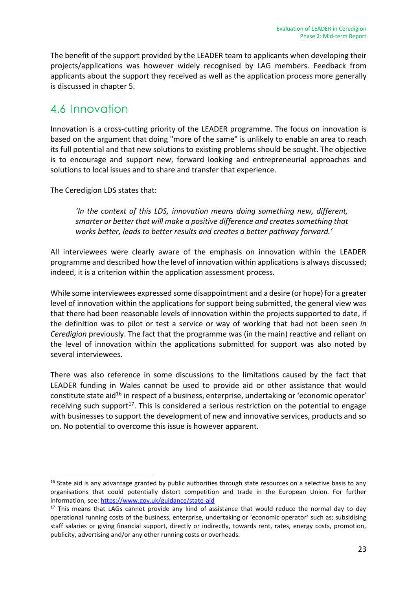The benefit of the support provided by the LEADER team to applicants when developing their projects/applications was however widely recognised by LAG members. Feedback from applicants about the support they received as well as the application process more generally is discussed in chapter 5.

## 4.6 Innovation

Innovation is a cross-cutting priority of the LEADER programme. The focus on innovation is based on the argument that doing "more of the same" is unlikely to enable an area to reach its full potential and that new solutions to existing problems should be sought. The objective is to encourage and support new, forward looking and entrepreneurial approaches and solutions to local issues and to share and transfer that experience.

The Ceredigion LDS states that:

-

*'In the context of this LDS, innovation means doing something new, different, smarter or better that will make a positive difference and creates something that works better, leads to better results and creates a better pathway forward.'*

All interviewees were clearly aware of the emphasis on innovation within the LEADER programme and described how the level of innovation within applications is always discussed; indeed, it is a criterion within the application assessment process.

While some interviewees expressed some disappointment and a desire (or hope) for a greater level of innovation within the applications for support being submitted, the general view was that there had been reasonable levels of innovation within the projects supported to date, if the definition was to pilot or test a service or way of working that had not been seen *in Ceredigion* previously. The fact that the programme was (in the main) reactive and reliant on the level of innovation within the applications submitted for support was also noted by several interviewees.

There was also reference in some discussions to the limitations caused by the fact that LEADER funding in Wales cannot be used to provide aid or other assistance that would constitute state aid<sup>16</sup> in respect of a business, enterprise, undertaking or 'economic operator' receiving such support<sup>17</sup>. This is considered a serious restriction on the potential to engage with businesses to support the development of new and innovative services, products and so on. No potential to overcome this issue is however apparent.

 $16$  State aid is any advantage granted by public authorities through state resources on a selective basis to any organisations that could potentially distort competition and trade in the European Union. For further information, see:<https://www.gov.uk/guidance/state-aid>

 $17$  This means that LAGs cannot provide any kind of assistance that would reduce the normal day to day operational running costs of the business, enterprise, undertaking or 'economic operator' such as; subsidising staff salaries or giving financial support, directly or indirectly, towards rent, rates, energy costs, promotion, publicity, advertising and/or any other running costs or overheads.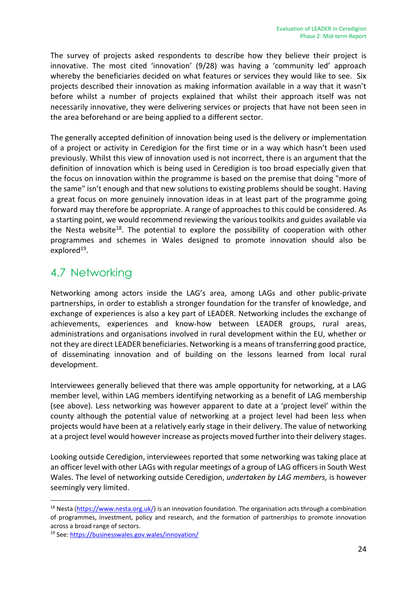The survey of projects asked respondents to describe how they believe their project is innovative. The most cited 'innovation' (9/28) was having a 'community led' approach whereby the beneficiaries decided on what features or services they would like to see. Six projects described their innovation as making information available in a way that it wasn't before whilst a number of projects explained that whilst their approach itself was not necessarily innovative, they were delivering services or projects that have not been seen in the area beforehand or are being applied to a different sector.

The generally accepted definition of innovation being used is the delivery or implementation of a project or activity in Ceredigion for the first time or in a way which hasn't been used previously. Whilst this view of innovation used is not incorrect, there is an argument that the definition of innovation which is being used in Ceredigion is too broad especially given that the focus on innovation within the programme is based on the premise that doing "more of the same" isn't enough and that new solutions to existing problems should be sought. Having a great focus on more genuinely innovation ideas in at least part of the programme going forward may therefore be appropriate. A range of approaches to this could be considered. As a starting point, we would recommend reviewing the various toolkits and guides available via the Nesta website<sup>18</sup>. The potential to explore the possibility of cooperation with other programmes and schemes in Wales designed to promote innovation should also be explored<sup>19</sup>.

## 4.7 Networking

Networking among actors inside the LAG's area, among LAGs and other public-private partnerships, in order to establish a stronger foundation for the transfer of knowledge, and exchange of experiences is also a key part of LEADER. Networking includes the exchange of achievements, experiences and know-how between LEADER groups, rural areas, administrations and organisations involved in rural development within the EU, whether or not they are direct LEADER beneficiaries. Networking is a means of transferring good practice, of disseminating innovation and of building on the lessons learned from local rural development.

Interviewees generally believed that there was ample opportunity for networking, at a LAG member level, within LAG members identifying networking as a benefit of LAG membership (see above). Less networking was however apparent to date at a 'project level' within the county although the potential value of networking at a project level had been less when projects would have been at a relatively early stage in their delivery. The value of networking at a project level would however increase as projects moved further into their delivery stages.

Looking outside Ceredigion, interviewees reported that some networking was taking place at an officer level with other LAGs with regular meetings of a group of LAG officers in South West Wales. The level of networking outside Ceredigion, *undertaken by LAG members,* is however seemingly very limited.

-

<sup>&</sup>lt;sup>18</sup> Nesta [\(https://www.nesta.org.uk/\)](https://www.nesta.org.uk/) is an innovation foundation. The organisation acts through a combination of programmes, investment, policy and research, and the formation of partnerships to promote innovation across a broad range of sectors.

<sup>19</sup> See: <https://businesswales.gov.wales/innovation/>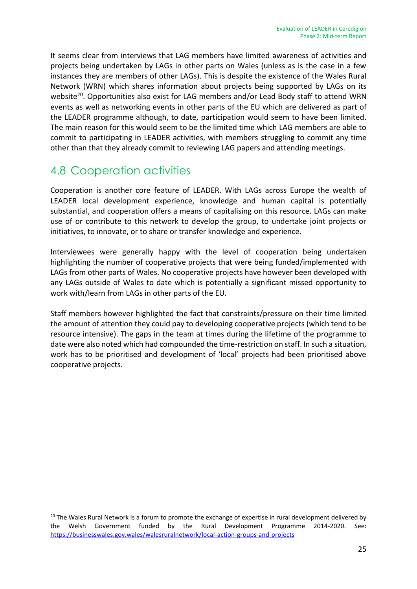It seems clear from interviews that LAG members have limited awareness of activities and projects being undertaken by LAGs in other parts on Wales (unless as is the case in a few instances they are members of other LAGs). This is despite the existence of the Wales Rural Network (WRN) which shares information about projects being supported by LAGs on its website<sup>20</sup>. Opportunities also exist for LAG members and/or Lead Body staff to attend WRN events as well as networking events in other parts of the EU which are delivered as part of the LEADER programme although, to date, participation would seem to have been limited. The main reason for this would seem to be the limited time which LAG members are able to commit to participating in LEADER activities, with members struggling to commit any time other than that they already commit to reviewing LAG papers and attending meetings.

## 4.8 Cooperation activities

Cooperation is another core feature of LEADER. With LAGs across Europe the wealth of LEADER local development experience, knowledge and human capital is potentially substantial, and cooperation offers a means of capitalising on this resource. LAGs can make use of or contribute to this network to develop the group, to undertake joint projects or initiatives, to innovate, or to share or transfer knowledge and experience.

Interviewees were generally happy with the level of cooperation being undertaken highlighting the number of cooperative projects that were being funded/implemented with LAGs from other parts of Wales. No cooperative projects have however been developed with any LAGs outside of Wales to date which is potentially a significant missed opportunity to work with/learn from LAGs in other parts of the EU.

Staff members however highlighted the fact that constraints/pressure on their time limited the amount of attention they could pay to developing cooperative projects (which tend to be resource intensive). The gaps in the team at times during the lifetime of the programme to date were also noted which had compounded the time-restriction on staff. In such a situation, work has to be prioritised and development of 'local' projects had been prioritised above cooperative projects.

<sup>1</sup> <sup>20</sup> The Wales Rural Network is a forum to promote the exchange of expertise in rural development delivered by the Welsh Government funded by the Rural Development Programme 2014-2020. See: <https://businesswales.gov.wales/walesruralnetwork/local-action-groups-and-projects>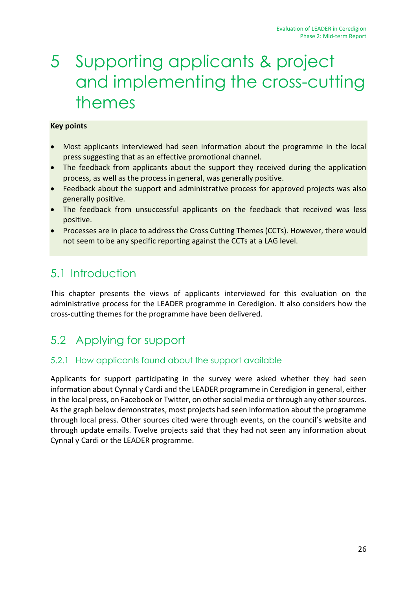# <span id="page-32-0"></span>5 Supporting applicants & project and implementing the cross-cutting themes

#### **Key points**

- Most applicants interviewed had seen information about the programme in the local press suggesting that as an effective promotional channel.
- The feedback from applicants about the support they received during the application process, as well as the process in general, was generally positive.
- Feedback about the support and administrative process for approved projects was also generally positive.
- The feedback from unsuccessful applicants on the feedback that received was less positive.
- Processes are in place to address the Cross Cutting Themes (CCTs). However, there would not seem to be any specific reporting against the CCTs at a LAG level.

## 5.1 Introduction

This chapter presents the views of applicants interviewed for this evaluation on the administrative process for the LEADER programme in Ceredigion. It also considers how the cross-cutting themes for the programme have been delivered.

# 5.2 Applying for support

### 5.2.1 How applicants found about the support available

Applicants for support participating in the survey were asked whether they had seen information about Cynnal y Cardi and the LEADER programme in Ceredigion in general, either in the local press, on Facebook or Twitter, on other social media or through any other sources. As the graph below demonstrates, most projects had seen information about the programme through local press. Other sources cited were through events, on the council's website and through update emails. Twelve projects said that they had not seen any information about Cynnal y Cardi or the LEADER programme.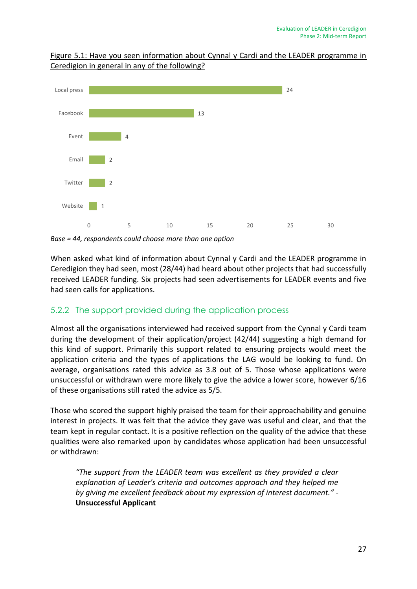

Figure 5.1: Have you seen information about Cynnal y Cardi and the LEADER programme in Ceredigion in general in any of the following?

*Base = 44, respondents could choose more than one option*

When asked what kind of information about Cynnal y Cardi and the LEADER programme in Ceredigion they had seen, most (28/44) had heard about other projects that had successfully received LEADER funding. Six projects had seen advertisements for LEADER events and five had seen calls for applications.

#### 5.2.2 The support provided during the application process

Almost all the organisations interviewed had received support from the Cynnal y Cardi team during the development of their application/project (42/44) suggesting a high demand for this kind of support. Primarily this support related to ensuring projects would meet the application criteria and the types of applications the LAG would be looking to fund. On average, organisations rated this advice as 3.8 out of 5. Those whose applications were unsuccessful or withdrawn were more likely to give the advice a lower score, however 6/16 of these organisations still rated the advice as 5/5.

Those who scored the support highly praised the team for their approachability and genuine interest in projects. It was felt that the advice they gave was useful and clear, and that the team kept in regular contact. It is a positive reflection on the quality of the advice that these qualities were also remarked upon by candidates whose application had been unsuccessful or withdrawn:

*"The support from the LEADER team was excellent as they provided a clear explanation of Leader's criteria and outcomes approach and they helped me by giving me excellent feedback about my expression of interest document." -* **Unsuccessful Applicant**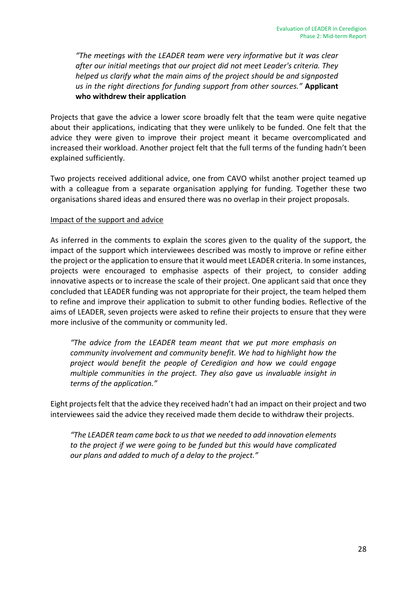*"The meetings with the LEADER team were very informative but it was clear after our initial meetings that our project did not meet Leader's criteria. They helped us clarify what the main aims of the project should be and signposted us in the right directions for funding support from other sources."* **Applicant who withdrew their application**

Projects that gave the advice a lower score broadly felt that the team were quite negative about their applications, indicating that they were unlikely to be funded. One felt that the advice they were given to improve their project meant it became overcomplicated and increased their workload. Another project felt that the full terms of the funding hadn't been explained sufficiently.

Two projects received additional advice, one from CAVO whilst another project teamed up with a colleague from a separate organisation applying for funding. Together these two organisations shared ideas and ensured there was no overlap in their project proposals.

#### Impact of the support and advice

As inferred in the comments to explain the scores given to the quality of the support, the impact of the support which interviewees described was mostly to improve or refine either the project or the application to ensure that it would meet LEADER criteria. In some instances, projects were encouraged to emphasise aspects of their project, to consider adding innovative aspects or to increase the scale of their project. One applicant said that once they concluded that LEADER funding was not appropriate for their project, the team helped them to refine and improve their application to submit to other funding bodies. Reflective of the aims of LEADER, seven projects were asked to refine their projects to ensure that they were more inclusive of the community or community led.

*"The advice from the LEADER team meant that we put more emphasis on community involvement and community benefit. We had to highlight how the project would benefit the people of Ceredigion and how we could engage multiple communities in the project. They also gave us invaluable insight in terms of the application."*

Eight projects felt that the advice they received hadn't had an impact on their project and two interviewees said the advice they received made them decide to withdraw their projects.

*"The LEADER team came back to us that we needed to add innovation elements to the project if we were going to be funded but this would have complicated our plans and added to much of a delay to the project."*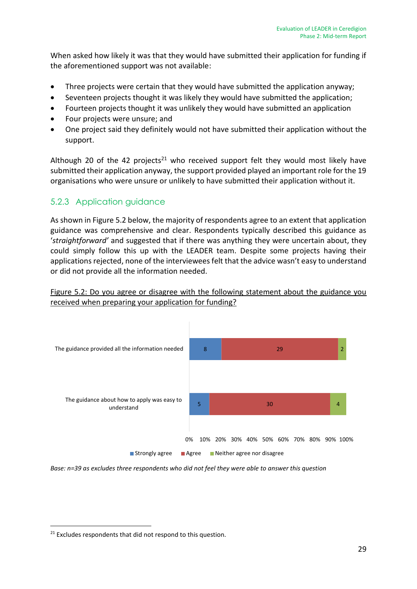When asked how likely it was that they would have submitted their application for funding if the aforementioned support was not available:

- Three projects were certain that they would have submitted the application anyway;
- Seventeen projects thought it was likely they would have submitted the application;
- Fourteen projects thought it was unlikely they would have submitted an application
- Four projects were unsure; and
- One project said they definitely would not have submitted their application without the support.

Although 20 of the 42 projects<sup>21</sup> who received support felt they would most likely have submitted their application anyway, the support provided played an important role for the 19 organisations who were unsure or unlikely to have submitted their application without it.

## 5.2.3 Application guidance

As shown in Figure 5.2 below, the majority of respondents agree to an extent that application guidance was comprehensive and clear. Respondents typically described this guidance as '*straightforward'* and suggested that if there was anything they were uncertain about, they could simply follow this up with the LEADER team. Despite some projects having their applications rejected, none of the interviewees felt that the advice wasn't easy to understand or did not provide all the information needed.





*Base: n=39 as excludes three respondents who did not feel they were able to answer this question*

1

<sup>&</sup>lt;sup>21</sup> Excludes respondents that did not respond to this question.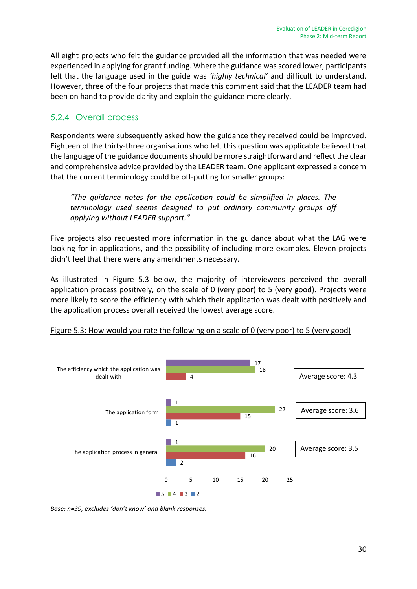All eight projects who felt the guidance provided all the information that was needed were experienced in applying for grant funding. Where the guidance was scored lower, participants felt that the language used in the guide was *'highly technical'* and difficult to understand. However, three of the four projects that made this comment said that the LEADER team had been on hand to provide clarity and explain the guidance more clearly.

### 5.2.4 Overall process

Respondents were subsequently asked how the guidance they received could be improved. Eighteen of the thirty-three organisations who felt this question was applicable believed that the language of the guidance documents should be more straightforward and reflect the clear and comprehensive advice provided by the LEADER team. One applicant expressed a concern that the current terminology could be off-putting for smaller groups:

*"The guidance notes for the application could be simplified in places. The terminology used seems designed to put ordinary community groups off applying without LEADER support."*

Five projects also requested more information in the guidance about what the LAG were looking for in applications, and the possibility of including more examples. Eleven projects didn't feel that there were any amendments necessary.

As illustrated in Figure 5.3 below, the majority of interviewees perceived the overall application process positively, on the scale of 0 (very poor) to 5 (very good). Projects were more likely to score the efficiency with which their application was dealt with positively and the application process overall received the lowest average score.



Figure 5.3: How would you rate the following on a scale of 0 (very poor) to 5 (very good)

*Base: n=39, excludes 'don't know' and blank responses.*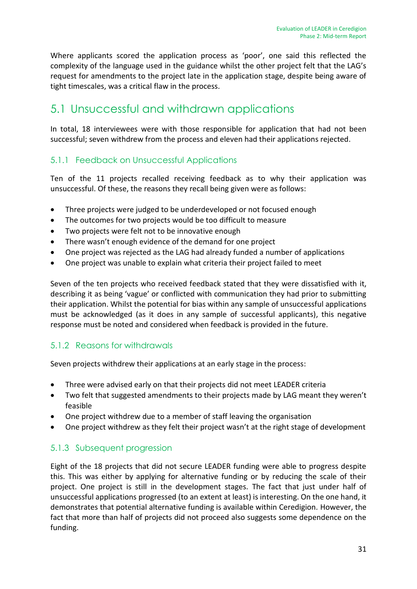Where applicants scored the application process as 'poor', one said this reflected the complexity of the language used in the guidance whilst the other project felt that the LAG's request for amendments to the project late in the application stage, despite being aware of tight timescales, was a critical flaw in the process.

## 5.1 Unsuccessful and withdrawn applications

In total, 18 interviewees were with those responsible for application that had not been successful; seven withdrew from the process and eleven had their applications rejected.

### 5.1.1 Feedback on Unsuccessful Applications

Ten of the 11 projects recalled receiving feedback as to why their application was unsuccessful. Of these, the reasons they recall being given were as follows:

- Three projects were judged to be underdeveloped or not focused enough
- The outcomes for two projects would be too difficult to measure
- Two projects were felt not to be innovative enough
- There wasn't enough evidence of the demand for one project
- One project was rejected as the LAG had already funded a number of applications
- One project was unable to explain what criteria their project failed to meet

Seven of the ten projects who received feedback stated that they were dissatisfied with it, describing it as being 'vague' or conflicted with communication they had prior to submitting their application. Whilst the potential for bias within any sample of unsuccessful applications must be acknowledged (as it does in any sample of successful applicants), this negative response must be noted and considered when feedback is provided in the future.

### 5.1.2 Reasons for withdrawals

Seven projects withdrew their applications at an early stage in the process:

- Three were advised early on that their projects did not meet LEADER criteria
- Two felt that suggested amendments to their projects made by LAG meant they weren't feasible
- One project withdrew due to a member of staff leaving the organisation
- One project withdrew as they felt their project wasn't at the right stage of development

### 5.1.3 Subsequent progression

Eight of the 18 projects that did not secure LEADER funding were able to progress despite this. This was either by applying for alternative funding or by reducing the scale of their project. One project is still in the development stages. The fact that just under half of unsuccessful applications progressed (to an extent at least) is interesting. On the one hand, it demonstrates that potential alternative funding is available within Ceredigion. However, the fact that more than half of projects did not proceed also suggests some dependence on the funding.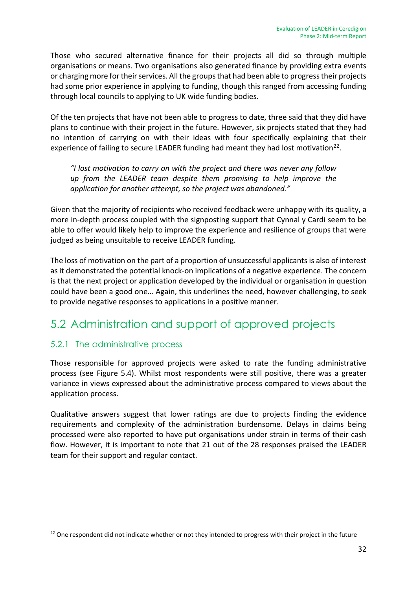Those who secured alternative finance for their projects all did so through multiple organisations or means. Two organisations also generated finance by providing extra events or charging more for their services. All the groups that had been able to progress their projects had some prior experience in applying to funding, though this ranged from accessing funding through local councils to applying to UK wide funding bodies.

Of the ten projects that have not been able to progress to date, three said that they did have plans to continue with their project in the future. However, six projects stated that they had no intention of carrying on with their ideas with four specifically explaining that their experience of failing to secure LEADER funding had meant they had lost motivation<sup>22</sup>.

*"I lost motivation to carry on with the project and there was never any follow up from the LEADER team despite them promising to help improve the application for another attempt, so the project was abandoned."*

Given that the majority of recipients who received feedback were unhappy with its quality, a more in-depth process coupled with the signposting support that Cynnal y Cardi seem to be able to offer would likely help to improve the experience and resilience of groups that were judged as being unsuitable to receive LEADER funding.

The loss of motivation on the part of a proportion of unsuccessful applicants is also of interest as it demonstrated the potential knock-on implications of a negative experience. The concern is that the next project or application developed by the individual or organisation in question could have been a good one… Again, this underlines the need, however challenging, to seek to provide negative responses to applications in a positive manner.

## 5.2 Administration and support of approved projects

### 5.2.1 The administrative process

1

Those responsible for approved projects were asked to rate the funding administrative process (see Figure 5.4). Whilst most respondents were still positive, there was a greater variance in views expressed about the administrative process compared to views about the application process.

Qualitative answers suggest that lower ratings are due to projects finding the evidence requirements and complexity of the administration burdensome. Delays in claims being processed were also reported to have put organisations under strain in terms of their cash flow. However, it is important to note that 21 out of the 28 responses praised the LEADER team for their support and regular contact.

<sup>&</sup>lt;sup>22</sup> One respondent did not indicate whether or not they intended to progress with their project in the future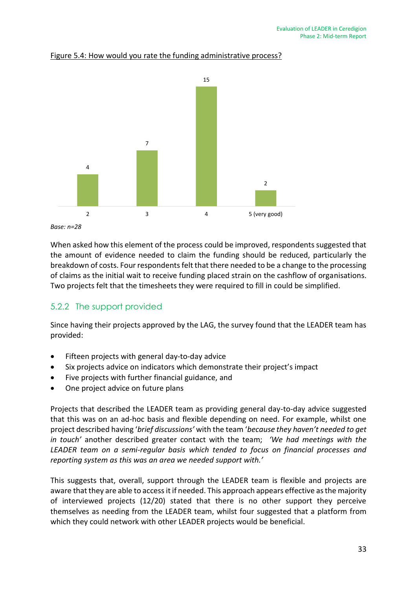

#### Figure 5.4: How would you rate the funding administrative process?

```
Base: n=28
```
When asked how this element of the process could be improved, respondents suggested that the amount of evidence needed to claim the funding should be reduced, particularly the breakdown of costs. Four respondents felt that there needed to be a change to the processing of claims as the initial wait to receive funding placed strain on the cashflow of organisations. Two projects felt that the timesheets they were required to fill in could be simplified.

### 5.2.2 The support provided

Since having their projects approved by the LAG, the survey found that the LEADER team has provided:

- Fifteen projects with general day-to-day advice
- Six projects advice on indicators which demonstrate their project's impact
- Five projects with further financial guidance, and
- One project advice on future plans

Projects that described the LEADER team as providing general day-to-day advice suggested that this was on an ad-hoc basis and flexible depending on need. For example, whilst one project described having '*brief discussions'* with the team '*because they haven't needed to get in touch'* another described greater contact with the team; *'We had meetings with the LEADER team on a semi-regular basis which tended to focus on financial processes and reporting system as this was an area we needed support with.'* 

This suggests that, overall, support through the LEADER team is flexible and projects are aware that they are able to access it if needed. This approach appears effective as the majority of interviewed projects (12/20) stated that there is no other support they perceive themselves as needing from the LEADER team, whilst four suggested that a platform from which they could network with other LEADER projects would be beneficial.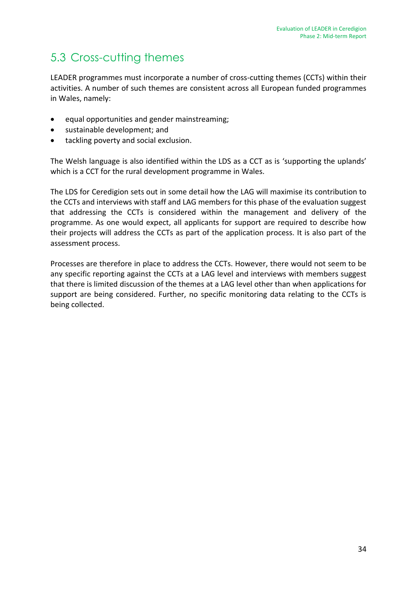## 5.3 Cross-cutting themes

LEADER programmes must incorporate a number of cross-cutting themes (CCTs) within their activities. A number of such themes are consistent across all European funded programmes in Wales, namely:

- equal opportunities and gender mainstreaming;
- sustainable development; and
- tackling poverty and social exclusion.

The Welsh language is also identified within the LDS as a CCT as is 'supporting the uplands' which is a CCT for the rural development programme in Wales.

The LDS for Ceredigion sets out in some detail how the LAG will maximise its contribution to the CCTs and interviews with staff and LAG members for this phase of the evaluation suggest that addressing the CCTs is considered within the management and delivery of the programme. As one would expect, all applicants for support are required to describe how their projects will address the CCTs as part of the application process. It is also part of the assessment process.

Processes are therefore in place to address the CCTs. However, there would not seem to be any specific reporting against the CCTs at a LAG level and interviews with members suggest that there is limited discussion of the themes at a LAG level other than when applications for support are being considered. Further, no specific monitoring data relating to the CCTs is being collected.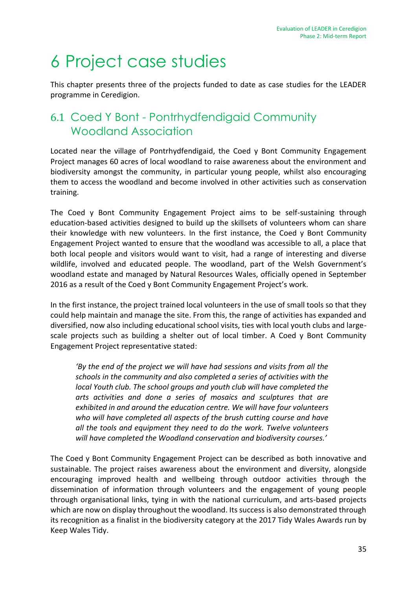# 6 Project case studies

This chapter presents three of the projects funded to date as case studies for the LEADER programme in Ceredigion.

## 6.1 Coed Y Bont - Pontrhydfendigaid Community Woodland Association

Located near the village of Pontrhydfendigaid, the Coed y Bont Community Engagement Project manages 60 acres of local woodland to raise awareness about the environment and biodiversity amongst the community, in particular young people, whilst also encouraging them to access the woodland and become involved in other activities such as conservation training.

The Coed y Bont Community Engagement Project aims to be self-sustaining through education-based activities designed to build up the skillsets of volunteers whom can share their knowledge with new volunteers. In the first instance, the Coed y Bont Community Engagement Project wanted to ensure that the woodland was accessible to all, a place that both local people and visitors would want to visit, had a range of interesting and diverse wildlife, involved and educated people. The woodland, part of the Welsh Government's woodland estate and managed by Natural Resources Wales, officially opened in September 2016 as a result of the Coed y Bont Community Engagement Project's work.

In the first instance, the project trained local volunteers in the use of small tools so that they could help maintain and manage the site. From this, the range of activities has expanded and diversified, now also including educational school visits, ties with local youth clubs and largescale projects such as building a shelter out of local timber. A Coed y Bont Community Engagement Project representative stated:

*'By the end of the project we will have had sessions and visits from all the schools in the community and also completed a series of activities with the local Youth club. The school groups and youth club will have completed the arts activities and done a series of mosaics and sculptures that are exhibited in and around the education centre. We will have four volunteers who will have completed all aspects of the brush cutting course and have all the tools and equipment they need to do the work. Twelve volunteers will have completed the Woodland conservation and biodiversity courses.'*

The Coed y Bont Community Engagement Project can be described as both innovative and sustainable. The project raises awareness about the environment and diversity, alongside encouraging improved health and wellbeing through outdoor activities through the dissemination of information through volunteers and the engagement of young people through organisational links, tying in with the national curriculum, and arts-based projects which are now on display throughout the woodland. Its success is also demonstrated through its recognition as a finalist in the biodiversity category at the 2017 Tidy Wales Awards run by Keep Wales Tidy.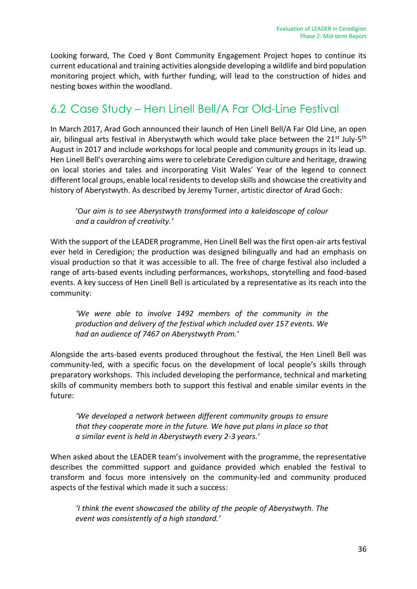Looking forward, The Coed y Bont Community Engagement Project hopes to continue its current educational and training activities alongside developing a wildlife and bird population monitoring project which, with further funding, will lead to the construction of hides and nesting boxes within the woodland.

## 6.2 Case Study – Hen Linell Bell/A Far Old-Line Festival

In March 2017, Arad Goch announced their launch of Hen Linell Bell/A Far Old Line, an open air, bilingual arts festival in Aberystwyth which would take place between the 21<sup>st</sup> July-5<sup>th</sup> August in 2017 and include workshops for local people and community groups in its lead up. Hen Linell Bell's overarching aims were to celebrate Ceredigion culture and heritage, drawing on local stories and tales and incorporating Visit Wales' Year of the legend to connect different local groups, enable local residents to develop skills and showcase the creativity and history of Aberystwyth. As described by Jeremy Turner, artistic director of Arad Goch:

'O*ur aim is to see Aberystwyth transformed into a kaleidoscope of colour and a cauldron of creativity.'* 

With the support of the LEADER programme, Hen Linell Bell was the first open-air arts festival ever held in Ceredigion; the production was designed bilingually and had an emphasis on visual production so that it was accessible to all. The free of charge festival also included a range of arts-based events including performances, workshops, storytelling and food-based events. A key success of Hen Linell Bell is articulated by a representative as its reach into the community:

*'We were able to involve 1492 members of the community in the production and delivery of the festival which included over 157 events. We had an audience of 7467 on Aberystwyth Prom.'* 

Alongside the arts-based events produced throughout the festival, the Hen Linell Bell was community-led, with a specific focus on the development of local people's skills through preparatory workshops. This included developing the performance, technical and marketing skills of community members both to support this festival and enable similar events in the future:

*'We developed a network between different community groups to ensure that they cooperate more in the future. We have put plans in place so that a similar event is held in Aberystwyth every 2-3 years.'*

When asked about the LEADER team's involvement with the programme, the representative describes the committed support and guidance provided which enabled the festival to transform and focus more intensively on the community-led and community produced aspects of the festival which made it such a success:

*'I think the event showcased the ability of the people of Aberystwyth. The event was consistently of a high standard.'*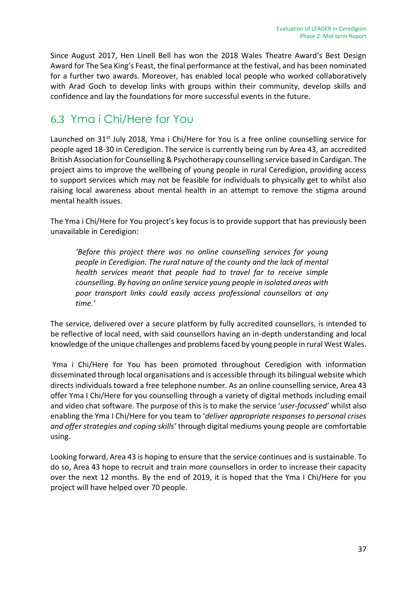Since August 2017, Hen Linell Bell has won the 2018 Wales Theatre Award's Best Design Award for The Sea King's Feast, the final performance at the festival, and has been nominated for a further two awards. Moreover, has enabled local people who worked collaboratively with Arad Goch to develop links with groups within their community, develop skills and confidence and lay the foundations for more successful events in the future.

## 6.3 Yma i Chi/Here for You

Launched on 31<sup>st</sup> July 2018, Yma i Chi/Here for You is a free online counselling service for people aged 18-30 in Ceredigion. The service is currently being run by Area 43, an accredited British Association for Counselling & Psychotherapy counselling service based in Cardigan. The project aims to improve the wellbeing of young people in rural Ceredigion, providing access to support services which may not be feasible for individuals to physically get to whilst also raising local awareness about mental health in an attempt to remove the stigma around mental health issues.

The Yma i Chi/Here for You project's key focus is to provide support that has previously been unavailable in Ceredigion:

*'Before this project there was no online counselling services for young people in Ceredigion. The rural nature of the county and the lack of mental health services meant that people had to travel far to receive simple counselling. By having an online service young people in isolated areas with poor transport links could easily access professional counsellors at any time.'*

The service, delivered over a secure platform by fully accredited counsellors, is intended to be reflective of local need, with said counsellors having an in-depth understanding and local knowledge of the unique challenges and problems faced by young people in rural West Wales.

Yma i Chi/Here for You has been promoted throughout Ceredigion with information disseminated through local organisations and is accessible through its bilingual website which directs individuals toward a free telephone number. As an online counselling service, Area 43 offer Yma I Chi/Here for you counselling through a variety of digital methods including email and video chat software. The purpose of this is to make the service '*user-focussed'* whilst also enabling the Yma I Chi/Here for you team to '*deliver appropriate responses to personal crises and offer strategies and coping skills'* through digital mediums young people are comfortable using.

Looking forward, Area 43 is hoping to ensure that the service continues and is sustainable. To do so, Area 43 hope to recruit and train more counsellors in order to increase their capacity over the next 12 months. By the end of 2019, it is hoped that the Yma I Chi/Here for you project will have helped over 70 people.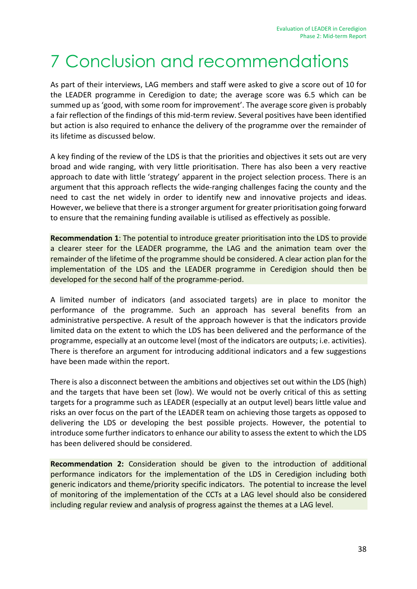# 7 Conclusion and recommendations

As part of their interviews, LAG members and staff were asked to give a score out of 10 for the LEADER programme in Ceredigion to date; the average score was 6.5 which can be summed up as 'good, with some room for improvement'. The average score given is probably a fair reflection of the findings of this mid-term review. Several positives have been identified but action is also required to enhance the delivery of the programme over the remainder of its lifetime as discussed below.

A key finding of the review of the LDS is that the priorities and objectives it sets out are very broad and wide ranging, with very little prioritisation. There has also been a very reactive approach to date with little 'strategy' apparent in the project selection process. There is an argument that this approach reflects the wide-ranging challenges facing the county and the need to cast the net widely in order to identify new and innovative projects and ideas. However, we believe that there is a stronger argument for greater prioritisation going forward to ensure that the remaining funding available is utilised as effectively as possible.

**Recommendation 1**: The potential to introduce greater prioritisation into the LDS to provide a clearer steer for the LEADER programme, the LAG and the animation team over the remainder of the lifetime of the programme should be considered. A clear action plan for the implementation of the LDS and the LEADER programme in Ceredigion should then be developed for the second half of the programme-period.

A limited number of indicators (and associated targets) are in place to monitor the performance of the programme. Such an approach has several benefits from an administrative perspective. A result of the approach however is that the indicators provide limited data on the extent to which the LDS has been delivered and the performance of the programme, especially at an outcome level (most of the indicators are outputs; i.e. activities). There is therefore an argument for introducing additional indicators and a few suggestions have been made within the report.

There is also a disconnect between the ambitions and objectives set out within the LDS (high) and the targets that have been set (low). We would not be overly critical of this as setting targets for a programme such as LEADER (especially at an output level) bears little value and risks an over focus on the part of the LEADER team on achieving those targets as opposed to delivering the LDS or developing the best possible projects. However, the potential to introduce some further indicators to enhance our ability to assess the extent to which the LDS has been delivered should be considered.

**Recommendation 2:** Consideration should be given to the introduction of additional performance indicators for the implementation of the LDS in Ceredigion including both generic indicators and theme/priority specific indicators. The potential to increase the level of monitoring of the implementation of the CCTs at a LAG level should also be considered including regular review and analysis of progress against the themes at a LAG level.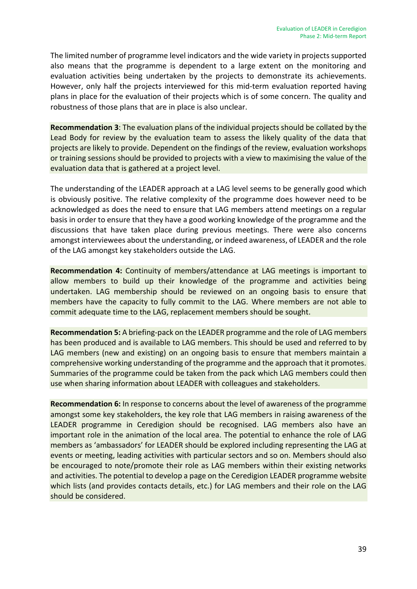The limited number of programme level indicators and the wide variety in projects supported also means that the programme is dependent to a large extent on the monitoring and evaluation activities being undertaken by the projects to demonstrate its achievements. However, only half the projects interviewed for this mid-term evaluation reported having plans in place for the evaluation of their projects which is of some concern. The quality and robustness of those plans that are in place is also unclear.

**Recommendation 3**: The evaluation plans of the individual projects should be collated by the Lead Body for review by the evaluation team to assess the likely quality of the data that projects are likely to provide. Dependent on the findings of the review, evaluation workshops or training sessions should be provided to projects with a view to maximising the value of the evaluation data that is gathered at a project level.

The understanding of the LEADER approach at a LAG level seems to be generally good which is obviously positive. The relative complexity of the programme does however need to be acknowledged as does the need to ensure that LAG members attend meetings on a regular basis in order to ensure that they have a good working knowledge of the programme and the discussions that have taken place during previous meetings. There were also concerns amongst interviewees about the understanding, or indeed awareness, of LEADER and the role of the LAG amongst key stakeholders outside the LAG.

**Recommendation 4:** Continuity of members/attendance at LAG meetings is important to allow members to build up their knowledge of the programme and activities being undertaken. LAG membership should be reviewed on an ongoing basis to ensure that members have the capacity to fully commit to the LAG. Where members are not able to commit adequate time to the LAG, replacement members should be sought.

**Recommendation 5:** A briefing-pack on the LEADER programme and the role of LAG members has been produced and is available to LAG members. This should be used and referred to by LAG members (new and existing) on an ongoing basis to ensure that members maintain a comprehensive working understanding of the programme and the approach that it promotes. Summaries of the programme could be taken from the pack which LAG members could then use when sharing information about LEADER with colleagues and stakeholders.

**Recommendation 6:** In response to concerns about the level of awareness of the programme amongst some key stakeholders, the key role that LAG members in raising awareness of the LEADER programme in Ceredigion should be recognised. LAG members also have an important role in the animation of the local area. The potential to enhance the role of LAG members as 'ambassadors' for LEADER should be explored including representing the LAG at events or meeting, leading activities with particular sectors and so on. Members should also be encouraged to note/promote their role as LAG members within their existing networks and activities. The potential to develop a page on the Ceredigion LEADER programme website which lists (and provides contacts details, etc.) for LAG members and their role on the LAG should be considered.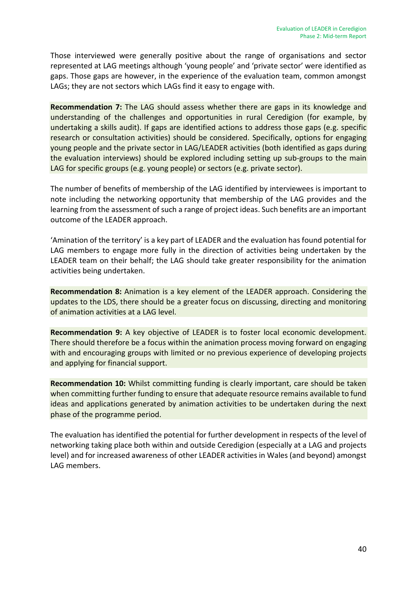Those interviewed were generally positive about the range of organisations and sector represented at LAG meetings although 'young people' and 'private sector' were identified as gaps. Those gaps are however, in the experience of the evaluation team, common amongst LAGs; they are not sectors which LAGs find it easy to engage with.

**Recommendation 7:** The LAG should assess whether there are gaps in its knowledge and understanding of the challenges and opportunities in rural Ceredigion (for example, by undertaking a skills audit). If gaps are identified actions to address those gaps (e.g. specific research or consultation activities) should be considered. Specifically, options for engaging young people and the private sector in LAG/LEADER activities (both identified as gaps during the evaluation interviews) should be explored including setting up sub-groups to the main LAG for specific groups (e.g. young people) or sectors (e.g. private sector).

The number of benefits of membership of the LAG identified by interviewees is important to note including the networking opportunity that membership of the LAG provides and the learning from the assessment of such a range of project ideas. Such benefits are an important outcome of the LEADER approach.

'Amination of the territory' is a key part of LEADER and the evaluation has found potential for LAG members to engage more fully in the direction of activities being undertaken by the LEADER team on their behalf; the LAG should take greater responsibility for the animation activities being undertaken.

**Recommendation 8:** Animation is a key element of the LEADER approach. Considering the updates to the LDS, there should be a greater focus on discussing, directing and monitoring of animation activities at a LAG level.

**Recommendation 9:** A key objective of LEADER is to foster local economic development. There should therefore be a focus within the animation process moving forward on engaging with and encouraging groups with limited or no previous experience of developing projects and applying for financial support.

**Recommendation 10:** Whilst committing funding is clearly important, care should be taken when committing further funding to ensure that adequate resource remains available to fund ideas and applications generated by animation activities to be undertaken during the next phase of the programme period.

The evaluation has identified the potential for further development in respects of the level of networking taking place both within and outside Ceredigion (especially at a LAG and projects level) and for increased awareness of other LEADER activities in Wales (and beyond) amongst LAG members.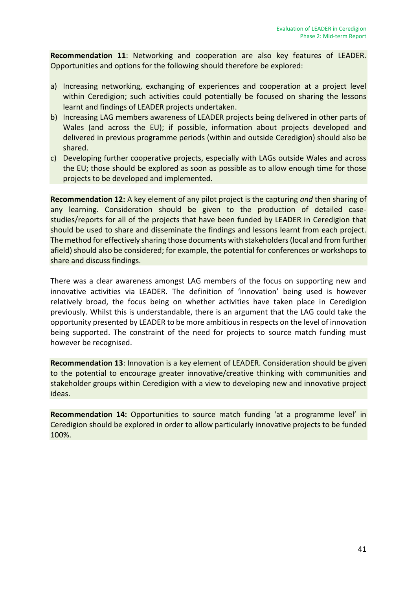**Recommendation 11**: Networking and cooperation are also key features of LEADER. Opportunities and options for the following should therefore be explored:

- a) Increasing networking, exchanging of experiences and cooperation at a project level within Ceredigion; such activities could potentially be focused on sharing the lessons learnt and findings of LEADER projects undertaken.
- b) Increasing LAG members awareness of LEADER projects being delivered in other parts of Wales (and across the EU); if possible, information about projects developed and delivered in previous programme periods (within and outside Ceredigion) should also be shared.
- c) Developing further cooperative projects, especially with LAGs outside Wales and across the EU; those should be explored as soon as possible as to allow enough time for those projects to be developed and implemented.

**Recommendation 12:** A key element of any pilot project is the capturing *and* then sharing of any learning. Consideration should be given to the production of detailed casestudies/reports for all of the projects that have been funded by LEADER in Ceredigion that should be used to share and disseminate the findings and lessons learnt from each project. The method for effectively sharing those documents with stakeholders (local and from further afield) should also be considered; for example, the potential for conferences or workshops to share and discuss findings.

There was a clear awareness amongst LAG members of the focus on supporting new and innovative activities via LEADER. The definition of 'innovation' being used is however relatively broad, the focus being on whether activities have taken place in Ceredigion previously. Whilst this is understandable, there is an argument that the LAG could take the opportunity presented by LEADER to be more ambitious in respects on the level of innovation being supported. The constraint of the need for projects to source match funding must however be recognised.

**Recommendation 13**: Innovation is a key element of LEADER. Consideration should be given to the potential to encourage greater innovative/creative thinking with communities and stakeholder groups within Ceredigion with a view to developing new and innovative project ideas.

**Recommendation 14:** Opportunities to source match funding 'at a programme level' in Ceredigion should be explored in order to allow particularly innovative projects to be funded 100%.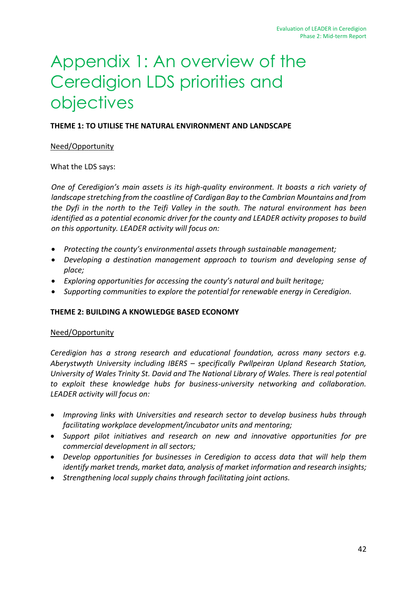# Appendix 1: An overview of the Ceredigion LDS priorities and objectives

#### **THEME 1: TO UTILISE THE NATURAL ENVIRONMENT AND LANDSCAPE**

#### Need/Opportunity

What the LDS says:

*One of Ceredigion's main assets is its high-quality environment. It boasts a rich variety of landscape stretching from the coastline of Cardigan Bay to the Cambrian Mountains and from the Dyfi in the north to the Teifi Valley in the south. The natural environment has been identified as a potential economic driver for the county and LEADER activity proposes to build on this opportunity. LEADER activity will focus on:* 

- *Protecting the county's environmental assets through sustainable management;*
- *Developing a destination management approach to tourism and developing sense of place;*
- *Exploring opportunities for accessing the county's natural and built heritage;*
- *Supporting communities to explore the potential for renewable energy in Ceredigion.*

#### **THEME 2: BUILDING A KNOWLEDGE BASED ECONOMY**

#### Need/Opportunity

*Ceredigion has a strong research and educational foundation, across many sectors e.g. Aberystwyth University including IBERS – specifically Pwllpeiran Upland Research Station, University of Wales Trinity St. David and The National Library of Wales. There is real potential to exploit these knowledge hubs for business-university networking and collaboration. LEADER activity will focus on:* 

- *Improving links with Universities and research sector to develop business hubs through facilitating workplace development/incubator units and mentoring;*
- *Support pilot initiatives and research on new and innovative opportunities for pre commercial development in all sectors;*
- *Develop opportunities for businesses in Ceredigion to access data that will help them identify market trends, market data, analysis of market information and research insights;*
- *Strengthening local supply chains through facilitating joint actions.*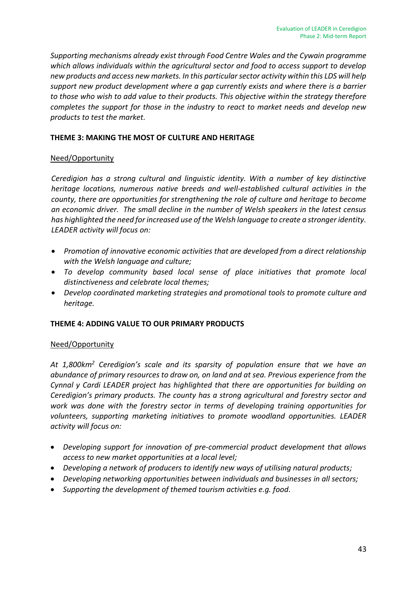*Supporting mechanisms already exist through Food Centre Wales and the Cywain programme which allows individuals within the agricultural sector and food to access support to develop new products and access new markets. In this particular sector activity within this LDS will help support new product development where a gap currently exists and where there is a barrier to those who wish to add value to their products. This objective within the strategy therefore completes the support for those in the industry to react to market needs and develop new products to test the market.*

#### **THEME 3: MAKING THE MOST OF CULTURE AND HERITAGE**

#### Need/Opportunity

*Ceredigion has a strong cultural and linguistic identity. With a number of key distinctive heritage locations, numerous native breeds and well-established cultural activities in the county, there are opportunities for strengthening the role of culture and heritage to become an economic driver. The small decline in the number of Welsh speakers in the latest census has highlighted the need for increased use of the Welsh language to create a stronger identity. LEADER activity will focus on:* 

- *Promotion of innovative economic activities that are developed from a direct relationship with the Welsh language and culture;*
- *To develop community based local sense of place initiatives that promote local distinctiveness and celebrate local themes;*
- *Develop coordinated marketing strategies and promotional tools to promote culture and heritage.*

#### **THEME 4: ADDING VALUE TO OUR PRIMARY PRODUCTS**

#### Need/Opportunity

*At 1,800km<sup>2</sup> Ceredigion's scale and its sparsity of population ensure that we have an abundance of primary resources to draw on, on land and at sea. Previous experience from the Cynnal y Cardi LEADER project has highlighted that there are opportunities for building on Ceredigion's primary products. The county has a strong agricultural and forestry sector and work was done with the forestry sector in terms of developing training opportunities for volunteers, supporting marketing initiatives to promote woodland opportunities. LEADER activity will focus on:* 

- *Developing support for innovation of pre-commercial product development that allows access to new market opportunities at a local level;*
- *Developing a network of producers to identify new ways of utilising natural products;*
- *Developing networking opportunities between individuals and businesses in all sectors;*
- *Supporting the development of themed tourism activities e.g. food.*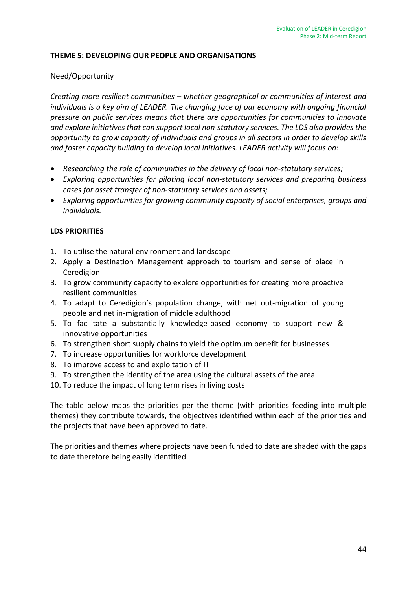#### **THEME 5: DEVELOPING OUR PEOPLE AND ORGANISATIONS**

#### Need/Opportunity

*Creating more resilient communities – whether geographical or communities of interest and individuals is a key aim of LEADER. The changing face of our economy with ongoing financial pressure on public services means that there are opportunities for communities to innovate and explore initiatives that can support local non-statutory services. The LDS also provides the opportunity to grow capacity of individuals and groups in all sectors in order to develop skills and foster capacity building to develop local initiatives. LEADER activity will focus on:* 

- *Researching the role of communities in the delivery of local non-statutory services;*
- *Exploring opportunities for piloting local non-statutory services and preparing business cases for asset transfer of non-statutory services and assets;*
- *Exploring opportunities for growing community capacity of social enterprises, groups and individuals.*

#### **LDS PRIORITIES**

- 1. To utilise the natural environment and landscape
- 2. Apply a Destination Management approach to tourism and sense of place in Ceredigion
- 3. To grow community capacity to explore opportunities for creating more proactive resilient communities
- 4. To adapt to Ceredigion's population change, with net out-migration of young people and net in-migration of middle adulthood
- 5. To facilitate a substantially knowledge-based economy to support new & innovative opportunities
- 6. To strengthen short supply chains to yield the optimum benefit for businesses
- 7. To increase opportunities for workforce development
- 8. To improve access to and exploitation of IT
- 9. To strengthen the identity of the area using the cultural assets of the area
- 10. To reduce the impact of long term rises in living costs

The table below maps the priorities per the theme (with priorities feeding into multiple themes) they contribute towards, the objectives identified within each of the priorities and the projects that have been approved to date.

The priorities and themes where projects have been funded to date are shaded with the gaps to date therefore being easily identified.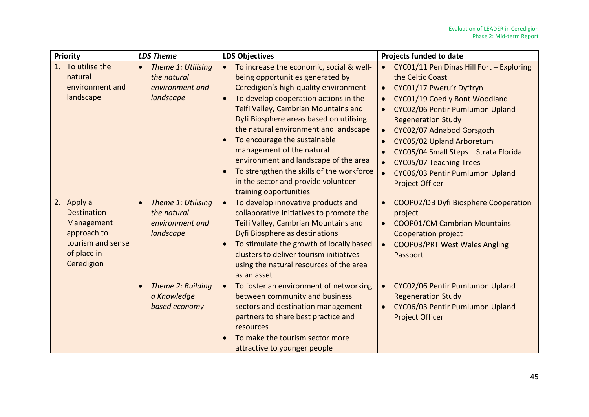| Priority                                                                                                        | <b>LDS Theme</b>                                                               | <b>LDS Objectives</b>                                                                                                                                                                                                                                                                                                                                                                                                                                                                                                       | <b>Projects funded to date</b>                                                                                                                                                                                                                                                                                                                                                                    |
|-----------------------------------------------------------------------------------------------------------------|--------------------------------------------------------------------------------|-----------------------------------------------------------------------------------------------------------------------------------------------------------------------------------------------------------------------------------------------------------------------------------------------------------------------------------------------------------------------------------------------------------------------------------------------------------------------------------------------------------------------------|---------------------------------------------------------------------------------------------------------------------------------------------------------------------------------------------------------------------------------------------------------------------------------------------------------------------------------------------------------------------------------------------------|
| 1. To utilise the<br>natural<br>environment and<br>landscape                                                    | Theme 1: Utilising<br>$\bullet$<br>the natural<br>environment and<br>landscape | To increase the economic, social & well-<br>being opportunities generated by<br>Ceredigion's high-quality environment<br>To develop cooperation actions in the<br>$\bullet$<br>Teifi Valley, Cambrian Mountains and<br>Dyfi Biosphere areas based on utilising<br>the natural environment and landscape<br>To encourage the sustainable<br>management of the natural<br>environment and landscape of the area<br>To strengthen the skills of the workforce<br>in the sector and provide volunteer<br>training opportunities | CYC01/11 Pen Dinas Hill Fort - Exploring<br>$\bullet$<br>the Celtic Coast<br>CYC01/17 Pweru'r Dyffryn<br>CYC01/19 Coed y Bont Woodland<br>CYC02/06 Pentir Pumlumon Upland<br><b>Regeneration Study</b><br>CYC02/07 Adnabod Gorsgoch<br>CYC05/02 Upland Arboretum<br>CYC05/04 Small Steps - Strata Florida<br>CYC05/07 Teaching Trees<br>CYC06/03 Pentir Pumlumon Upland<br><b>Project Officer</b> |
| 2. Apply a<br><b>Destination</b><br>Management<br>approach to<br>tourism and sense<br>of place in<br>Ceredigion | Theme 1: Utilising<br>$\bullet$<br>the natural<br>environment and<br>landscape | To develop innovative products and<br>collaborative initiatives to promote the<br>Teifi Valley, Cambrian Mountains and<br>Dyfi Biosphere as destinations<br>To stimulate the growth of locally based<br>clusters to deliver tourism initiatives<br>using the natural resources of the area<br>as an asset                                                                                                                                                                                                                   | COOP02/DB Dyfi Biosphere Cooperation<br>project<br><b>COOP01/CM Cambrian Mountains</b><br>Cooperation project<br><b>COOP03/PRT West Wales Angling</b><br>Passport                                                                                                                                                                                                                                 |
|                                                                                                                 | Theme 2: Building<br>a Knowledge<br>based economy                              | To foster an environment of networking<br>between community and business<br>sectors and destination management<br>partners to share best practice and<br>resources<br>To make the tourism sector more<br>attractive to younger people                                                                                                                                                                                                                                                                                       | CYC02/06 Pentir Pumlumon Upland<br><b>Regeneration Study</b><br>CYC06/03 Pentir Pumlumon Upland<br><b>Project Officer</b>                                                                                                                                                                                                                                                                         |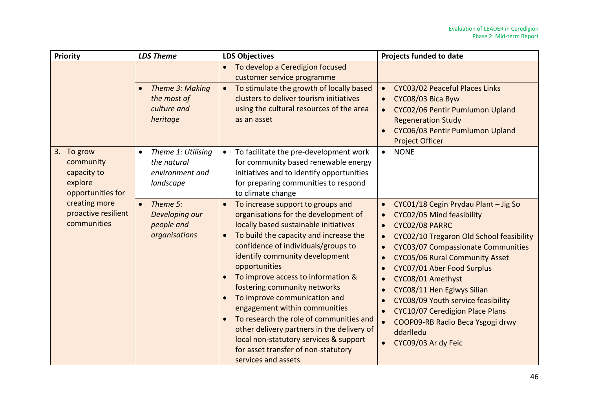| Priority                                                               | <b>LDS Theme</b>                                                       | <b>LDS Objectives</b>                                                                                                                                                                                                                                                                                                                                                                                                                                                                                                                                                                                       | Projects funded to date                                                                                                                                                                                                                                                                                                                                                                                                                                                    |
|------------------------------------------------------------------------|------------------------------------------------------------------------|-------------------------------------------------------------------------------------------------------------------------------------------------------------------------------------------------------------------------------------------------------------------------------------------------------------------------------------------------------------------------------------------------------------------------------------------------------------------------------------------------------------------------------------------------------------------------------------------------------------|----------------------------------------------------------------------------------------------------------------------------------------------------------------------------------------------------------------------------------------------------------------------------------------------------------------------------------------------------------------------------------------------------------------------------------------------------------------------------|
|                                                                        |                                                                        | To develop a Ceredigion focused<br>customer service programme                                                                                                                                                                                                                                                                                                                                                                                                                                                                                                                                               |                                                                                                                                                                                                                                                                                                                                                                                                                                                                            |
|                                                                        | Theme 3: Making<br>the most of<br>culture and<br>heritage              | To stimulate the growth of locally based<br>clusters to deliver tourism initiatives<br>using the cultural resources of the area<br>as an asset                                                                                                                                                                                                                                                                                                                                                                                                                                                              | CYC03/02 Peaceful Places Links<br>CYC08/03 Bica Byw<br>CYC02/06 Pentir Pumlumon Upland<br><b>Regeneration Study</b><br>CYC06/03 Pentir Pumlumon Upland<br><b>Project Officer</b>                                                                                                                                                                                                                                                                                           |
| 3. To grow<br>community<br>capacity to<br>explore<br>opportunities for | Theme 1: Utilising<br>the natural<br>environment and<br>landscape      | To facilitate the pre-development work<br>for community based renewable energy<br>initiatives and to identify opportunities<br>for preparing communities to respond<br>to climate change                                                                                                                                                                                                                                                                                                                                                                                                                    | <b>NONE</b><br>$\bullet$                                                                                                                                                                                                                                                                                                                                                                                                                                                   |
| creating more<br>proactive resilient<br>communities                    | Theme 5:<br>$\bullet$<br>Developing our<br>people and<br>organisations | To increase support to groups and<br>organisations for the development of<br>locally based sustainable initiatives<br>To build the capacity and increase the<br>$\bullet$<br>confidence of individuals/groups to<br>identify community development<br>opportunities<br>To improve access to information &<br>fostering community networks<br>To improve communication and<br>engagement within communities<br>To research the role of communities and<br>other delivery partners in the delivery of<br>local non-statutory services & support<br>for asset transfer of non-statutory<br>services and assets | CYC01/18 Cegin Prydau Plant - Jig So<br>CYC02/05 Mind feasibility<br>CYC02/08 PARRC<br>$\bullet$<br>CYC02/10 Tregaron Old School feasibility<br>CYC03/07 Compassionate Communities<br>CYC05/06 Rural Community Asset<br>CYC07/01 Aber Food Surplus<br>CYC08/01 Amethyst<br>CYC08/11 Hen Eglwys Silian<br>CYC08/09 Youth service feasibility<br><b>CYC10/07 Ceredigion Place Plans</b><br>COOP09-RB Radio Beca Ysgogi drwy<br>ddarlledu<br>CYC09/03 Ar dy Feic<br>$\bullet$ |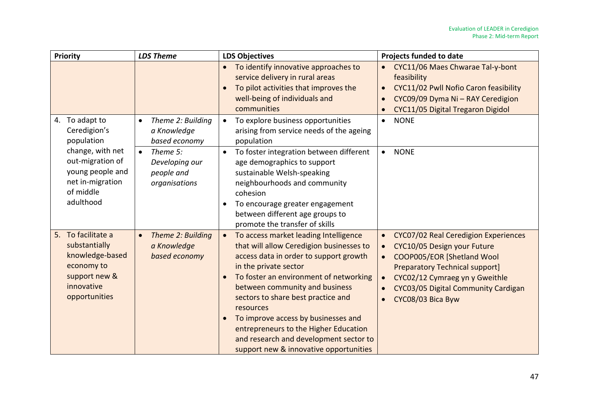|    | Priority                                                                                                          | <b>LDS Theme</b>                                                       | <b>LDS Objectives</b>                                                                                                                                                                                                                                                                                                                                                                                                                                                                          | <b>Projects funded to date</b>                                                                                                                                                                                                                        |  |
|----|-------------------------------------------------------------------------------------------------------------------|------------------------------------------------------------------------|------------------------------------------------------------------------------------------------------------------------------------------------------------------------------------------------------------------------------------------------------------------------------------------------------------------------------------------------------------------------------------------------------------------------------------------------------------------------------------------------|-------------------------------------------------------------------------------------------------------------------------------------------------------------------------------------------------------------------------------------------------------|--|
|    |                                                                                                                   |                                                                        | To identify innovative approaches to<br>$\bullet$<br>service delivery in rural areas<br>To pilot activities that improves the<br>$\bullet$<br>well-being of individuals and<br>communities                                                                                                                                                                                                                                                                                                     | CYC11/06 Maes Chwarae Tal-y-bont<br>feasibility<br>CYC11/02 Pwll Nofio Caron feasibility<br>CYC09/09 Dyma Ni - RAY Ceredigion<br>CYC11/05 Digital Tregaron Digidol                                                                                    |  |
| 4. | To adapt to<br>Ceredigion's<br>population                                                                         | Theme 2: Building<br>$\bullet$<br>a Knowledge<br>based economy         | To explore business opportunities<br>$\bullet$<br>arising from service needs of the ageing<br>population                                                                                                                                                                                                                                                                                                                                                                                       | <b>NONE</b><br>$\bullet$                                                                                                                                                                                                                              |  |
|    | change, with net<br>out-migration of<br>young people and<br>net in-migration<br>of middle<br>adulthood            | Theme 5:<br>$\bullet$<br>Developing our<br>people and<br>organisations | To foster integration between different<br>$\bullet$<br>age demographics to support<br>sustainable Welsh-speaking<br>neighbourhoods and community<br>cohesion<br>To encourage greater engagement<br>$\bullet$<br>between different age groups to<br>promote the transfer of skills                                                                                                                                                                                                             | <b>NONE</b><br>$\bullet$                                                                                                                                                                                                                              |  |
| 5. | To facilitate a<br>substantially<br>knowledge-based<br>economy to<br>support new &<br>innovative<br>opportunities | Theme 2: Building<br>$\bullet$<br>a Knowledge<br>based economy         | To access market leading Intelligence<br>$\bullet$<br>that will allow Ceredigion businesses to<br>access data in order to support growth<br>in the private sector<br>To foster an environment of networking<br>$\bullet$<br>between community and business<br>sectors to share best practice and<br>resources<br>To improve access by businesses and<br>$\bullet$<br>entrepreneurs to the Higher Education<br>and research and development sector to<br>support new & innovative opportunities | CYC07/02 Real Ceredigion Experiences<br>$\bullet$<br>CYC10/05 Design your Future<br>COOP005/EOR [Shetland Wool<br><b>Preparatory Technical support]</b><br>CYC02/12 Cymraeg yn y Gweithle<br>CYC03/05 Digital Community Cardigan<br>CYC08/03 Bica Byw |  |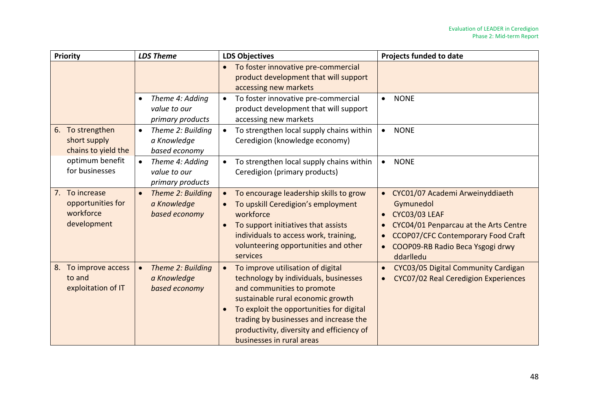| Priority                                                           | <b>LDS Theme</b>                                                 | <b>LDS Objectives</b>                                                                                                                                                                                                                                                                                                      | <b>Projects funded to date</b>                                                                                                                                                                                           |
|--------------------------------------------------------------------|------------------------------------------------------------------|----------------------------------------------------------------------------------------------------------------------------------------------------------------------------------------------------------------------------------------------------------------------------------------------------------------------------|--------------------------------------------------------------------------------------------------------------------------------------------------------------------------------------------------------------------------|
|                                                                    |                                                                  | To foster innovative pre-commercial<br>$\bullet$<br>product development that will support<br>accessing new markets                                                                                                                                                                                                         |                                                                                                                                                                                                                          |
|                                                                    | Theme 4: Adding<br>$\bullet$<br>value to our<br>primary products | To foster innovative pre-commercial<br>$\bullet$<br>product development that will support<br>accessing new markets                                                                                                                                                                                                         | <b>NONE</b><br>$\bullet$                                                                                                                                                                                                 |
| To strengthen<br>6.<br>short supply<br>chains to yield the         | Theme 2: Building<br>$\bullet$<br>a Knowledge<br>based economy   | To strengthen local supply chains within<br>Ceredigion (knowledge economy)                                                                                                                                                                                                                                                 | <b>NONE</b><br>$\bullet$                                                                                                                                                                                                 |
| optimum benefit<br>for businesses                                  | Theme 4: Adding<br>$\bullet$<br>value to our<br>primary products | To strengthen local supply chains within<br>$\bullet$<br>Ceredigion (primary products)                                                                                                                                                                                                                                     | <b>NONE</b><br>$\bullet$                                                                                                                                                                                                 |
| To increase<br>7.<br>opportunities for<br>workforce<br>development | Theme 2: Building<br>$\bullet$<br>a Knowledge<br>based economy   | To encourage leadership skills to grow<br>$\bullet$<br>To upskill Ceredigion's employment<br>$\bullet$<br>workforce<br>To support initiatives that assists<br>$\bullet$<br>individuals to access work, training,<br>volunteering opportunities and other<br>services                                                       | CYC01/07 Academi Arweinyddiaeth<br>$\bullet$<br>Gymunedol<br><b>CYC03/03 LEAF</b><br>CYC04/01 Penparcau at the Arts Centre<br><b>CCOP07/CFC Contemporary Food Craft</b><br>COOP09-RB Radio Beca Ysgogi drwy<br>ddarlledu |
| 8. To improve access<br>to and<br>exploitation of IT               | Theme 2: Building<br>a Knowledge<br>based economy                | To improve utilisation of digital<br>technology by individuals, businesses<br>and communities to promote<br>sustainable rural economic growth<br>To exploit the opportunities for digital<br>$\bullet$<br>trading by businesses and increase the<br>productivity, diversity and efficiency of<br>businesses in rural areas | CYC03/05 Digital Community Cardigan<br>CYC07/02 Real Ceredigion Experiences                                                                                                                                              |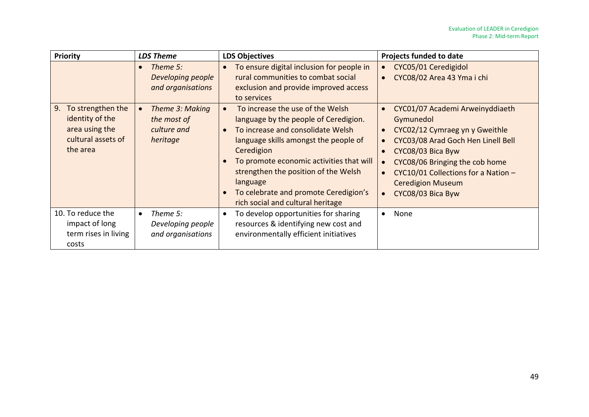| <b>Priority</b>                                                                                | <b>LDS Theme</b>                                                | <b>LDS Objectives</b>                                                                                                                                                                                                                                                                                                                               | <b>Projects funded to date</b>                                                                                                                                                                                                                                      |
|------------------------------------------------------------------------------------------------|-----------------------------------------------------------------|-----------------------------------------------------------------------------------------------------------------------------------------------------------------------------------------------------------------------------------------------------------------------------------------------------------------------------------------------------|---------------------------------------------------------------------------------------------------------------------------------------------------------------------------------------------------------------------------------------------------------------------|
|                                                                                                | Theme 5:<br>$\bullet$<br>Developing people<br>and organisations | To ensure digital inclusion for people in<br>rural communities to combat social<br>exclusion and provide improved access<br>to services                                                                                                                                                                                                             | CYC05/01 Ceredigidol<br>$\bullet$<br>CYC08/02 Area 43 Yma i chi                                                                                                                                                                                                     |
| To strengthen the<br>9.<br>identity of the<br>area using the<br>cultural assets of<br>the area | Theme 3: Making<br>the most of<br>culture and<br>heritage       | To increase the use of the Welsh<br>language by the people of Ceredigion.<br>To increase and consolidate Welsh<br>language skills amongst the people of<br>Ceredigion<br>To promote economic activities that will<br>strengthen the position of the Welsh<br>language<br>To celebrate and promote Ceredigion's<br>rich social and cultural heritage | CYC01/07 Academi Arweinyddiaeth<br>Gymunedol<br>CYC02/12 Cymraeg yn y Gweithle<br>CYC03/08 Arad Goch Hen Linell Bell<br>CYC08/03 Bica Byw<br>CYC08/06 Bringing the cob home<br>CYC10/01 Collections for a Nation -<br><b>Ceredigion Museum</b><br>CYC08/03 Bica Byw |
| 10. To reduce the<br>impact of long<br>term rises in living<br>costs                           | Theme 5:<br>$\bullet$<br>Developing people<br>and organisations | To develop opportunities for sharing<br>resources & identifying new cost and<br>environmentally efficient initiatives                                                                                                                                                                                                                               | None<br>$\bullet$                                                                                                                                                                                                                                                   |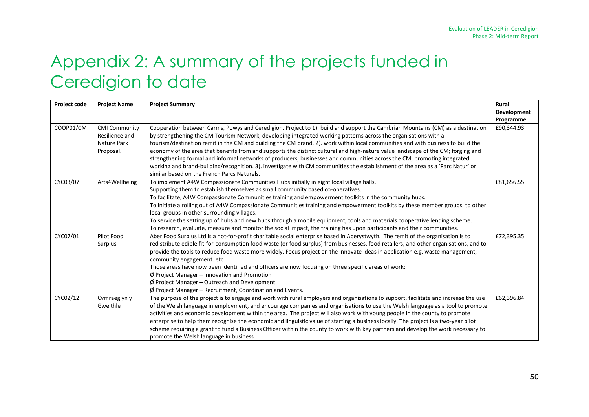# Appendix 2: A summary of the projects funded in Ceredigion to date

| Project code | <b>Project Name</b>  | <b>Project Summary</b>                                                                                                                | Rural       |
|--------------|----------------------|---------------------------------------------------------------------------------------------------------------------------------------|-------------|
|              |                      |                                                                                                                                       | Development |
|              |                      |                                                                                                                                       | Programme   |
| COOP01/CM    | <b>CMI Community</b> | Cooperation between Carms, Powys and Ceredigion. Project to 1). build and support the Cambrian Mountains (CM) as a destination        | £90,344.93  |
|              | Resilience and       | by strengthening the CM Tourism Network, developing integrated working patterns across the organisations with a                       |             |
|              | Nature Park          | tourism/destination remit in the CM and building the CM brand. 2). work within local communities and with business to build the       |             |
|              | Proposal.            | economy of the area that benefits from and supports the distinct cultural and high-nature value landscape of the CM; forging and      |             |
|              |                      | strengthening formal and informal networks of producers, businesses and communities across the CM; promoting integrated               |             |
|              |                      | working and brand-building/recognition. 3). investigate with CM communities the establishment of the area as a 'Parc Natur' or        |             |
|              |                      | similar based on the French Parcs Naturels.                                                                                           |             |
| CYC03/07     | Arts4Wellbeing       | To implement A4W Compassionate Communities Hubs initially in eight local village halls.                                               | £81,656.55  |
|              |                      | Supporting them to establish themselves as small community based co-operatives.                                                       |             |
|              |                      | To facilitate, A4W Compassionate Communities training and empowerment toolkits in the community hubs.                                 |             |
|              |                      | To initiate a rolling out of A4W Compassionate Communities training and empowerment toolkits by these member groups, to other         |             |
|              |                      | local groups in other surrounding villages.                                                                                           |             |
|              |                      | To service the setting up of hubs and new hubs through a mobile equipment, tools and materials cooperative lending scheme.            |             |
|              |                      | To research, evaluate, measure and monitor the social impact, the training has upon participants and their communities.               |             |
| CYC07/01     | Pilot Food           | Aber Food Surplus Ltd is a not-for-profit charitable social enterprise based in Aberystwyth. The remit of the organisation is to      | £72,395.35  |
|              | Surplus              | redistribute edible fit-for-consumption food waste (or food surplus) from businesses, food retailers, and other organisations, and to |             |
|              |                      | provide the tools to reduce food waste more widely. Focus project on the innovate ideas in application e.g. waste management,         |             |
|              |                      | community engagement. etc                                                                                                             |             |
|              |                      | Those areas have now been identified and officers are now focusing on three specific areas of work:                                   |             |
|              |                      | $\emptyset$ Project Manager – Innovation and Promotion                                                                                |             |
|              |                      | $\emptyset$ Project Manager – Outreach and Development                                                                                |             |
|              |                      | $\emptyset$ Project Manager – Recruitment, Coordination and Events.                                                                   |             |
| CYC02/12     | Cymraeg yn y         | The purpose of the project is to engage and work with rural employers and organisations to support, facilitate and increase the use   | £62,396.84  |
|              | Gweithle             | of the Welsh language in employment, and encourage companies and organisations to use the Welsh language as a tool to promote         |             |
|              |                      | activities and economic development within the area. The project will also work with young people in the county to promote            |             |
|              |                      | enterprise to help them recognise the economic and linguistic value of starting a business locally. The project is a two-year pilot   |             |
|              |                      | scheme requiring a grant to fund a Business Officer within the county to work with key partners and develop the work necessary to     |             |
|              |                      | promote the Welsh language in business.                                                                                               |             |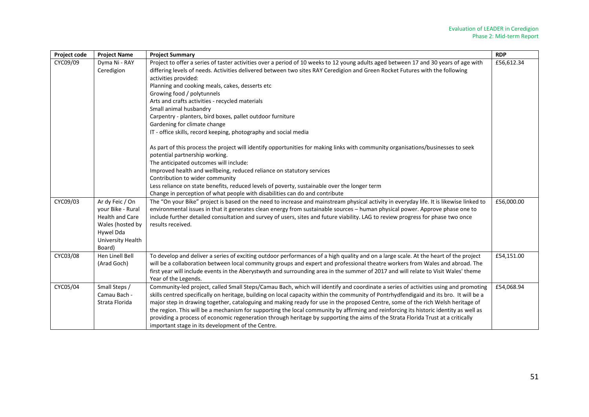| Project code | <b>Project Name</b>                                                                                                            | <b>Project Summary</b>                                                                                                                                                                                                                                                                                                                                                                                                                                                                                                                                                                                                                                                                                                                              | <b>RDP</b> |
|--------------|--------------------------------------------------------------------------------------------------------------------------------|-----------------------------------------------------------------------------------------------------------------------------------------------------------------------------------------------------------------------------------------------------------------------------------------------------------------------------------------------------------------------------------------------------------------------------------------------------------------------------------------------------------------------------------------------------------------------------------------------------------------------------------------------------------------------------------------------------------------------------------------------------|------------|
| CYC09/09     | Dyma Ni - RAY<br>Ceredigion                                                                                                    | Project to offer a series of taster activities over a period of 10 weeks to 12 young adults aged between 17 and 30 years of age with<br>differing levels of needs. Activities delivered between two sites RAY Ceredigion and Green Rocket Futures with the following<br>activities provided:<br>Planning and cooking meals, cakes, desserts etc<br>Growing food / polytunnels<br>Arts and crafts activities - recycled materials<br>Small animal husbandry<br>Carpentry - planters, bird boxes, pallet outdoor furniture<br>Gardening for climate change<br>IT - office skills, record keeping, photography and social media                                                                                                                        | £56,612.34 |
|              |                                                                                                                                | As part of this process the project will identify opportunities for making links with community organisations/businesses to seek<br>potential partnership working.<br>The anticipated outcomes will include:<br>Improved health and wellbeing, reduced reliance on statutory services<br>Contribution to wider community<br>Less reliance on state benefits, reduced levels of poverty, sustainable over the longer term<br>Change in perception of what people with disabilities can do and contribute                                                                                                                                                                                                                                             |            |
| CYC09/03     | Ar dy Feic / On<br>your Bike - Rural<br><b>Health and Care</b><br>Wales (hosted by<br>Hywel Dda<br>University Health<br>Board) | The "On your Bike" project is based on the need to increase and mainstream physical activity in everyday life. It is likewise linked to<br>environmental issues in that it generates clean energy from sustainable sources - human physical power. Approve phase one to<br>include further detailed consultation and survey of users, sites and future viability. LAG to review progress for phase two once<br>results received.                                                                                                                                                                                                                                                                                                                    | £56,000.00 |
| CYC03/08     | Hen Linell Bell<br>(Arad Goch)                                                                                                 | To develop and deliver a series of exciting outdoor performances of a high quality and on a large scale. At the heart of the project<br>will be a collaboration between local community groups and expert and professional theatre workers from Wales and abroad. The<br>first year will include events in the Aberystwyth and surrounding area in the summer of 2017 and will relate to Visit Wales' theme<br>Year of the Legends.                                                                                                                                                                                                                                                                                                                 | £54,151.00 |
| CYC05/04     | Small Steps /<br>Camau Bach -<br>Strata Florida                                                                                | Community-led project, called Small Steps/Camau Bach, which will identify and coordinate a series of activities using and promoting<br>skills centred specifically on heritage, building on local capacity within the community of Pontrhydfendigaid and its bro. It will be a<br>major step in drawing together, cataloguing and making ready for use in the proposed Centre, some of the rich Welsh heritage of<br>the region. This will be a mechanism for supporting the local community by affirming and reinforcing its historic identity as well as<br>providing a process of economic regeneration through heritage by supporting the aims of the Strata Florida Trust at a critically<br>important stage in its development of the Centre. | £54,068.94 |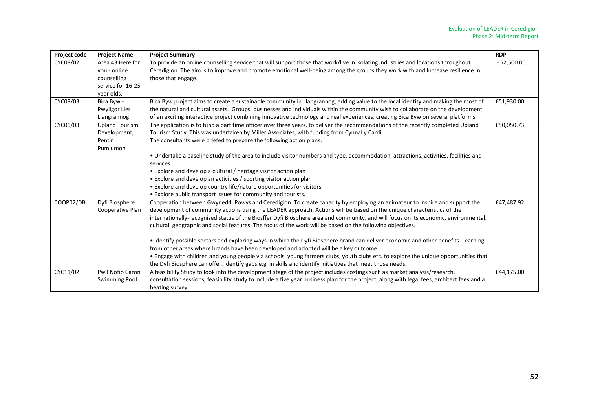| Project code | <b>Project Name</b>     | <b>Project Summary</b>                                                                                                                     | <b>RDP</b> |
|--------------|-------------------------|--------------------------------------------------------------------------------------------------------------------------------------------|------------|
| CYC08/02     | Area 43 Here for        | To provide an online counselling service that will support those that work/live in isolating industries and locations throughout           | £52,500.00 |
|              | you - online            | Ceredigion. The aim is to improve and promote emotional well-being among the groups they work with and Increase resilience in              |            |
|              | counselling             | those that engage.                                                                                                                         |            |
|              | service for 16-25       |                                                                                                                                            |            |
|              | year olds.              |                                                                                                                                            |            |
| CYC08/03     | Bica Byw -              | Bica Byw project aims to create a sustainable community in Llangrannog, adding value to the local identity and making the most of          | £51,930.00 |
|              | <b>Pwyllgor Lles</b>    | the natural and cultural assets. Groups, businesses and individuals within the community wish to collaborate on the development            |            |
|              | Llangrannog             | of an exciting interactive project combining innovative technology and real experiences, creating Bica Byw on several platforms.           |            |
| CYC06/03     | <b>Upland Tourism</b>   | The application is to fund a part time officer over three years, to deliver the recommendations of the recently completed Upland           | £50,050.73 |
|              | Development,            | Tourism Study. This was undertaken by Miller Associates, with funding from Cynnal y Cardi.                                                 |            |
|              | Pentir                  | The consultants were briefed to prepare the following action plans:                                                                        |            |
|              | Pumlumon                |                                                                                                                                            |            |
|              |                         | • Undertake a baseline study of the area to include visitor numbers and type, accommodation, attractions, activities, facilities and       |            |
|              |                         | services                                                                                                                                   |            |
|              |                         | • Explore and develop a cultural / heritage visitor action plan                                                                            |            |
|              |                         | • Explore and develop an activities / sporting visitor action plan                                                                         |            |
|              |                         | • Explore and develop country life/nature opportunities for visitors                                                                       |            |
|              |                         | • Explore public transport issues for community and tourists.                                                                              |            |
| COOP02/DB    | Dyfi Biosphere          | Cooperation between Gwynedd, Powys and Ceredigion. To create capacity by employing an animateur to inspire and support the                 | £47,487.92 |
|              | Cooperative Plan        | development of community actions using the LEADER approach. Actions will be based on the unique characteristics of the                     |            |
|              |                         | internationally-recognised status of the Biosffer Dyfi Biosphere area and community, and will focus on its economic, environmental,        |            |
|              |                         | cultural, geographic and social features. The focus of the work will be based on the following objectives.                                 |            |
|              |                         | • Identify possible sectors and exploring ways in which the Dyfi Biosphere brand can deliver economic and other benefits. Learning         |            |
|              |                         | from other areas where brands have been developed and adopted will be a key outcome.                                                       |            |
|              |                         | . Engage with children and young people via schools, young farmers clubs, youth clubs etc. to explore the unique opportunities that        |            |
|              |                         | the Dyfi Biosphere can offer. Identify gaps e.g. in skills and identify initiatives that meet those needs.                                 |            |
| CYC11/02     | <b>Pwll Nofio Caron</b> | A feasibility Study to look into the development stage of the project includes costings such as market analysis/research,                  | £44,175.00 |
|              | <b>Swimming Pool</b>    | consultation sessions, feasibility study to include a five year business plan for the project, along with legal fees, architect fees and a |            |
|              |                         | heating survey.                                                                                                                            |            |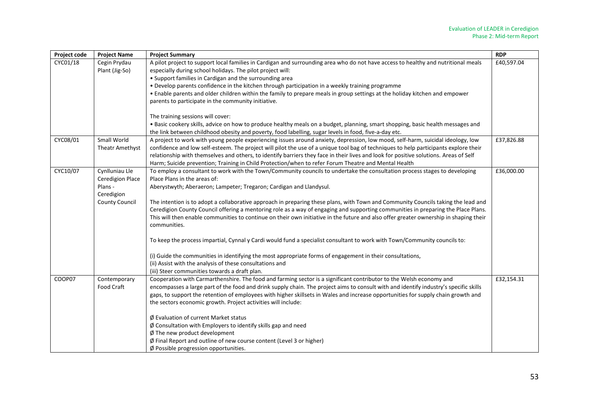| Project code | <b>Project Name</b>            | <b>Project Summary</b>                                                                                                                                                                                                                                                     | <b>RDP</b> |
|--------------|--------------------------------|----------------------------------------------------------------------------------------------------------------------------------------------------------------------------------------------------------------------------------------------------------------------------|------------|
| CYC01/18     | Cegin Prydau<br>Plant (Jig-So) | A pilot project to support local families in Cardigan and surrounding area who do not have access to healthy and nutritional meals<br>especially during school holidays. The pilot project will:                                                                           | £40,597.04 |
|              |                                | • Support families in Cardigan and the surrounding area                                                                                                                                                                                                                    |            |
|              |                                | • Develop parents confidence in the kitchen through participation in a weekly training programme                                                                                                                                                                           |            |
|              |                                | • Enable parents and older children within the family to prepare meals in group settings at the holiday kitchen and empower<br>parents to participate in the community initiative.                                                                                         |            |
|              |                                | The training sessions will cover:                                                                                                                                                                                                                                          |            |
|              |                                | • Basic cookery skills, advice on how to produce healthy meals on a budget, planning, smart shopping, basic health messages and                                                                                                                                            |            |
|              |                                | the link between childhood obesity and poverty, food labelling, sugar levels in food, five-a-day etc.                                                                                                                                                                      |            |
| CYC08/01     | Small World                    | A project to work with young people experiencing issues around anxiety, depression, low mood, self-harm, suicidal ideology, low                                                                                                                                            | £37,826.88 |
|              | Theatr Amethyst                | confidence and low self-esteem. The project will pilot the use of a unique tool bag of techniques to help participants explore their                                                                                                                                       |            |
|              |                                | relationship with themselves and others, to identify barriers they face in their lives and look for positive solutions. Areas of Self                                                                                                                                      |            |
|              |                                | Harm; Suicide prevention; Training in Child Protection/when to refer Forum Theatre and Mental Health                                                                                                                                                                       |            |
| CYC10/07     | Cynlluniau Lle                 | To employ a consultant to work with the Town/Community councils to undertake the consultation process stages to developing                                                                                                                                                 | £36,000.00 |
|              | <b>Ceredigion Place</b>        | Place Plans in the areas of:                                                                                                                                                                                                                                               |            |
|              | Plans -                        | Aberystwyth; Aberaeron; Lampeter; Tregaron; Cardigan and Llandysul.                                                                                                                                                                                                        |            |
|              | Ceredigion                     |                                                                                                                                                                                                                                                                            |            |
|              | <b>County Council</b>          | The intention is to adopt a collaborative approach in preparing these plans, with Town and Community Councils taking the lead and                                                                                                                                          |            |
|              |                                | Ceredigion County Council offering a mentoring role as a way of engaging and supporting communities in preparing the Place Plans.<br>This will then enable communities to continue on their own initiative in the future and also offer greater ownership in shaping their |            |
|              |                                | communities.                                                                                                                                                                                                                                                               |            |
|              |                                | To keep the process impartial, Cynnal y Cardi would fund a specialist consultant to work with Town/Community councils to:                                                                                                                                                  |            |
|              |                                | (i) Guide the communities in identifying the most appropriate forms of engagement in their consultations,                                                                                                                                                                  |            |
|              |                                | (ii) Assist with the analysis of these consultations and                                                                                                                                                                                                                   |            |
|              |                                | (iii) Steer communities towards a draft plan.                                                                                                                                                                                                                              |            |
| COOP07       | Contemporary                   | Cooperation with Carmarthenshire. The food and farming sector is a significant contributor to the Welsh economy and                                                                                                                                                        | £32,154.31 |
|              | Food Craft                     | encompasses a large part of the food and drink supply chain. The project aims to consult with and identify industry's specific skills                                                                                                                                      |            |
|              |                                | gaps, to support the retention of employees with higher skillsets in Wales and increase opportunities for supply chain growth and                                                                                                                                          |            |
|              |                                | the sectors economic growth. Project activities will include:                                                                                                                                                                                                              |            |
|              |                                | Ø Evaluation of current Market status                                                                                                                                                                                                                                      |            |
|              |                                | $\emptyset$ Consultation with Employers to identify skills gap and need                                                                                                                                                                                                    |            |
|              |                                | $\emptyset$ The new product development                                                                                                                                                                                                                                    |            |
|              |                                | Ø Final Report and outline of new course content (Level 3 or higher)                                                                                                                                                                                                       |            |
|              |                                | Ø Possible progression opportunities.                                                                                                                                                                                                                                      |            |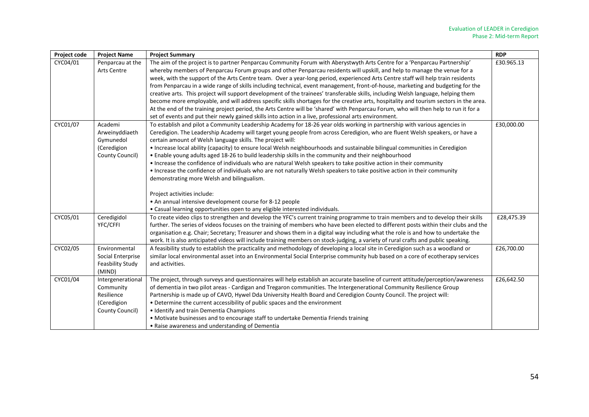| Project code | <b>Project Name</b>                                                            | <b>Project Summary</b>                                                                                                                                                                                                                                                                                                                                                                                                                                                                                                                                                                                                                                                                                                                                                                                                                                                                                                                                                                                                                                       | <b>RDP</b> |
|--------------|--------------------------------------------------------------------------------|--------------------------------------------------------------------------------------------------------------------------------------------------------------------------------------------------------------------------------------------------------------------------------------------------------------------------------------------------------------------------------------------------------------------------------------------------------------------------------------------------------------------------------------------------------------------------------------------------------------------------------------------------------------------------------------------------------------------------------------------------------------------------------------------------------------------------------------------------------------------------------------------------------------------------------------------------------------------------------------------------------------------------------------------------------------|------------|
| CYC04/01     | Penparcau at the<br><b>Arts Centre</b>                                         | The aim of the project is to partner Penparcau Community Forum with Aberystwyth Arts Centre for a 'Penparcau Partnership'<br>whereby members of Penparcau Forum groups and other Penparcau residents will upskill, and help to manage the venue for a<br>week, with the support of the Arts Centre team. Over a year-long period, experienced Arts Centre staff will help train residents<br>from Penparcau in a wide range of skills including technical, event management, front-of-house, marketing and budgeting for the<br>creative arts. This project will support development of the trainees' transferable skills, including Welsh language, helping them<br>become more employable, and will address specific skills shortages for the creative arts, hospitality and tourism sectors in the area.<br>At the end of the training project period, the Arts Centre will be 'shared' with Penparcau Forum, who will then help to run it for a<br>set of events and put their newly gained skills into action in a live, professional arts environment. | £30.965.13 |
| CYC01/07     | Academi<br>Arweinyddiaeth<br>Gymunedol<br>(Ceredigion<br>County Council)       | To establish and pilot a Community Leadership Academy for 18-26 year olds working in partnership with various agencies in<br>Ceredigion. The Leadership Academy will target young people from across Ceredigion, who are fluent Welsh speakers, or have a<br>certain amount of Welsh language skills. The project will:<br>• Increase local ability (capacity) to ensure local Welsh neighbourhoods and sustainable bilingual communities in Ceredigion<br>. Enable young adults aged 18-26 to build leadership skills in the community and their neighbourhood<br>• Increase the confidence of individuals who are natural Welsh speakers to take positive action in their community<br>• Increase the confidence of individuals who are not naturally Welsh speakers to take positive action in their community<br>demonstrating more Welsh and bilingualism.<br>Project activities include:<br>• An annual intensive development course for 8-12 people<br>• Casual learning opportunities open to any eligible interested individuals.                   | £30,000.00 |
| CYC05/01     | Ceredigidol<br>YFC/CFFI                                                        | To create video clips to strengthen and develop the YFC's current training programme to train members and to develop their skills<br>further. The series of videos focuses on the training of members who have been elected to different posts within their clubs and the<br>organisation e.g. Chair; Secretary; Treasurer and shows them in a digital way including what the role is and how to undertake the<br>work. It is also anticipated videos will include training members on stock-judging, a variety of rural crafts and public speaking.                                                                                                                                                                                                                                                                                                                                                                                                                                                                                                         | £28,475.39 |
| CYC02/05     | Environmental<br>Social Enterprise<br><b>Feasbility Study</b><br>(MIND)        | A feasibility study to establish the practicality and methodology of developing a local site in Ceredigion such as a woodland or<br>similar local environmental asset into an Environmental Social Enterprise community hub based on a core of ecotherapy services<br>and activities.                                                                                                                                                                                                                                                                                                                                                                                                                                                                                                                                                                                                                                                                                                                                                                        | £26,700.00 |
| CYC01/04     | Intergenerational<br>Community<br>Resilience<br>(Ceredigion<br>County Council) | The project, through surveys and questionnaires will help establish an accurate baseline of current attitude/perception/awareness<br>of dementia in two pilot areas - Cardigan and Tregaron communities. The Intergenerational Community Resilience Group<br>Partnership is made up of CAVO, Hywel Dda University Health Board and Ceredigion County Council. The project will:<br>• Determine the current accessibility of public spaces and the environment<br>• Identify and train Dementia Champions<br>• Motivate businesses and to encourage staff to undertake Dementia Friends training<br>• Raise awareness and understanding of Dementia                                                                                                                                                                                                                                                                                                                                                                                                           | £26,642.50 |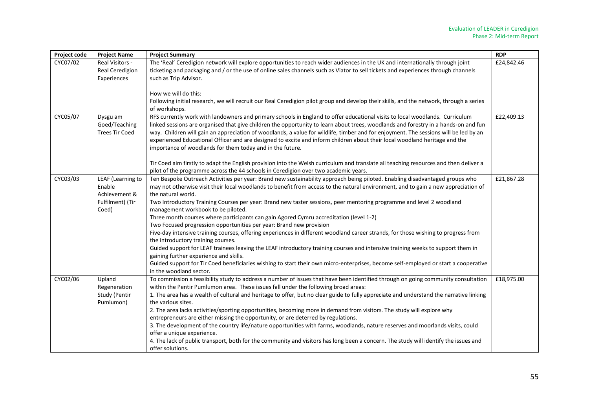| Project code | <b>Project Name</b>                                                       | <b>Project Summary</b>                                                                                                                                                                                                                                                                                                                                                                                                                                                                                                                                                                                                                                                                                                                                                                                                                                                                                                                                                                                                                                                                                                                             | <b>RDP</b> |
|--------------|---------------------------------------------------------------------------|----------------------------------------------------------------------------------------------------------------------------------------------------------------------------------------------------------------------------------------------------------------------------------------------------------------------------------------------------------------------------------------------------------------------------------------------------------------------------------------------------------------------------------------------------------------------------------------------------------------------------------------------------------------------------------------------------------------------------------------------------------------------------------------------------------------------------------------------------------------------------------------------------------------------------------------------------------------------------------------------------------------------------------------------------------------------------------------------------------------------------------------------------|------------|
| CYC07/02     | Real Visitors -<br>Real Ceredigion<br>Experiences                         | The 'Real' Ceredigion network will explore opportunities to reach wider audiences in the UK and internationally through joint<br>ticketing and packaging and / or the use of online sales channels such as Viator to sell tickets and experiences through channels<br>such as Trip Advisor.                                                                                                                                                                                                                                                                                                                                                                                                                                                                                                                                                                                                                                                                                                                                                                                                                                                        | £24,842.46 |
|              |                                                                           | How we will do this:<br>Following initial research, we will recruit our Real Ceredigion pilot group and develop their skills, and the network, through a series<br>of workshops.                                                                                                                                                                                                                                                                                                                                                                                                                                                                                                                                                                                                                                                                                                                                                                                                                                                                                                                                                                   |            |
| CYC05/07     | Dysgu am<br>Goed/Teaching<br><b>Trees Tir Coed</b>                        | RFS currently work with landowners and primary schools in England to offer educational visits to local woodlands. Curriculum<br>linked sessions are organised that give children the opportunity to learn about trees, woodlands and forestry in a hands-on and fun<br>way. Children will gain an appreciation of woodlands, a value for wildlife, timber and for enjoyment. The sessions will be led by an<br>experienced Educational Officer and are designed to excite and inform children about their local woodland heritage and the<br>importance of woodlands for them today and in the future.                                                                                                                                                                                                                                                                                                                                                                                                                                                                                                                                             | £22,409.13 |
|              |                                                                           | Tir Coed aim firstly to adapt the English provision into the Welsh curriculum and translate all teaching resources and then deliver a<br>pilot of the programme across the 44 schools in Ceredigion over two academic years.                                                                                                                                                                                                                                                                                                                                                                                                                                                                                                                                                                                                                                                                                                                                                                                                                                                                                                                       |            |
| CYC03/03     | LEAF (Learning to<br>Enable<br>Achievement &<br>Fulfilment) (Tir<br>Coed) | Ten Bespoke Outreach Activities per year: Brand new sustainability approach being piloted. Enabling disadvantaged groups who<br>may not otherwise visit their local woodlands to benefit from access to the natural environment, and to gain a new appreciation of<br>the natural world.<br>Two Introductory Training Courses per year: Brand new taster sessions, peer mentoring programme and level 2 woodland<br>management workbook to be piloted.<br>Three month courses where participants can gain Agored Cymru accreditation (level 1-2)<br>Two Focused progression opportunities per year: Brand new provision<br>Five-day intensive training courses, offering experiences in different woodland career strands, for those wishing to progress from<br>the introductory training courses.<br>Guided support for LEAF trainees leaving the LEAF introductory training courses and intensive training weeks to support them in<br>gaining further experience and skills.<br>Guided support for Tir Coed beneficiaries wishing to start their own micro-enterprises, become self-employed or start a cooperative<br>in the woodland sector. | £21,867.28 |
| CYC02/06     | Upland<br>Regeneration<br>Study (Pentir<br>Pumlumon)                      | To commission a feasibility study to address a number of issues that have been identified through on going community consultation<br>within the Pentir Pumlumon area. These issues fall under the following broad areas:<br>1. The area has a wealth of cultural and heritage to offer, but no clear guide to fully appreciate and understand the narrative linking<br>the various sites.<br>2. The area lacks activities/sporting opportunities, becoming more in demand from visitors. The study will explore why<br>entrepreneurs are either missing the opportunity, or are deterred by regulations.<br>3. The development of the country life/nature opportunities with farms, woodlands, nature reserves and moorlands visits, could<br>offer a unique experience.<br>4. The lack of public transport, both for the community and visitors has long been a concern. The study will identify the issues and<br>offer solutions.                                                                                                                                                                                                               | £18,975.00 |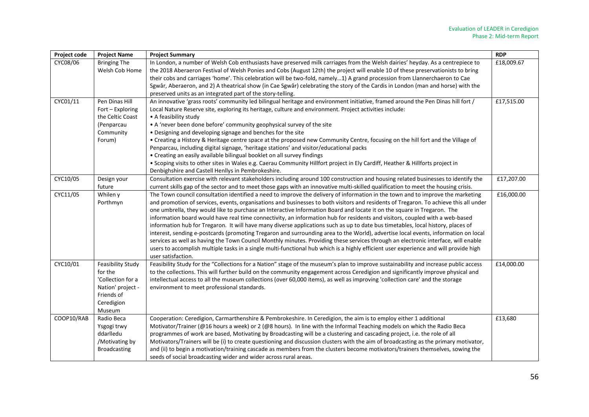| Project code | <b>Project Name</b>                                                                                                 | <b>Project Summary</b>                                                                                                                                                                                                                                                                                                                                                                                                                                                                                                                                                                                                                                                                                                                                                                                                                                                                                                                                                                                                                                                                                             | <b>RDP</b> |
|--------------|---------------------------------------------------------------------------------------------------------------------|--------------------------------------------------------------------------------------------------------------------------------------------------------------------------------------------------------------------------------------------------------------------------------------------------------------------------------------------------------------------------------------------------------------------------------------------------------------------------------------------------------------------------------------------------------------------------------------------------------------------------------------------------------------------------------------------------------------------------------------------------------------------------------------------------------------------------------------------------------------------------------------------------------------------------------------------------------------------------------------------------------------------------------------------------------------------------------------------------------------------|------------|
| CYC08/06     | <b>Bringing The</b><br>Welsh Cob Home                                                                               | In London, a number of Welsh Cob enthusiasts have preserved milk carriages from the Welsh dairies' heyday. As a centrepiece to<br>the 2018 Aberaeron Festival of Welsh Ponies and Cobs (August 12th) the project will enable 10 of these preservationists to bring<br>their cobs and carriages 'home'. This celebration will be two-fold, namely1) A grand procession from Llannerchaeron to Cae<br>Sgwâr, Aberaeron, and 2) A theatrical show (in Cae Sgwâr) celebrating the story of the Cardis in London (man and horse) with the<br>preserved units as an integrated part of the story-telling.                                                                                                                                                                                                                                                                                                                                                                                                                                                                                                                | £18,009.67 |
| CYC01/11     | Pen Dinas Hill<br>Fort - Exploring<br>the Celtic Coast<br>(Penparcau<br>Community<br>Forum)                         | An innovative 'grass roots' community led bilingual heritage and environment initiative, framed around the Pen Dinas hill fort /<br>Local Nature Reserve site, exploring its heritage, culture and environment. Project activities include:<br>• A feasibility study<br>• A 'never been done before' community geophysical survey of the site<br>• Designing and developing signage and benches for the site<br>• Creating a History & Heritage centre space at the proposed new Community Centre, focusing on the hill fort and the Village of<br>Penparcau, including digital signage, 'heritage stations' and visitor/educational packs<br>• Creating an easily available bilingual booklet on all survey findings<br>. Scoping visits to other sites in Wales e.g. Caerau Community Hillfort project in Ely Cardiff, Heather & Hillforts project in<br>Denbighshire and Castell Henllys in Pembrokeshire.                                                                                                                                                                                                      | £17,515.00 |
| CYC10/05     | Design your<br>future                                                                                               | Consultation exercise with relevant stakeholders including around 100 construction and housing related businesses to identify the<br>current skills gap of the sector and to meet those gaps with an innovative multi-skilled qualification to meet the housing crisis.                                                                                                                                                                                                                                                                                                                                                                                                                                                                                                                                                                                                                                                                                                                                                                                                                                            | £17,207.00 |
| CYC11/05     | Whilen y<br>Porthmyn                                                                                                | The Town council consultation identified a need to improve the delivery of information in the town and to improve the marketing<br>and promotion of services, events, organisations and businesses to both visitors and residents of Tregaron. To achieve this all under<br>one umbrella, they would like to purchase an Interactive Information Board and locate it on the square in Tregaron. The<br>information board would have real time connectivity, an information hub for residents and visitors, coupled with a web-based<br>information hub for Tregaron. It will have many diverse applications such as up to date bus timetables, local history, places of<br>interest, sending e-postcards (promoting Tregaron and surrounding area to the World), advertise local events, information on local<br>services as well as having the Town Council Monthly minutes. Providing these services through an electronic interface, will enable<br>users to accomplish multiple tasks in a single multi-functional hub which is a highly efficient user experience and will provide high<br>user satisfaction. | £16,000.00 |
| CYC10/01     | <b>Feasibility Study</b><br>for the<br>'Collection for a<br>Nation' project -<br>Friends of<br>Ceredigion<br>Museum | Feasibility Study for the "Collections for a Nation" stage of the museum's plan to improve sustainability and increase public access<br>to the collections. This will further build on the community engagement across Ceredigion and significantly improve physical and<br>intellectual access to all the museum collections (over 60,000 items), as well as improving 'collection care' and the storage<br>environment to meet professional standards.                                                                                                                                                                                                                                                                                                                                                                                                                                                                                                                                                                                                                                                           | £14,000.00 |
| COOP10/RAB   | Radio Beca<br>Ysgogi trwy<br>ddarlledu<br>/Motivating by<br><b>Broadcasting</b>                                     | Cooperation: Ceredigion, Carmarthenshire & Pembrokeshire. In Ceredigion, the aim is to employ either 1 additional<br>Motivator/Trainer (@16 hours a week) or 2 (@8 hours). In line with the Informal Teaching models on which the Radio Beca<br>programmes of work are based, Motivating by Broadcasting will be a clustering and cascading project, i.e. the role of all<br>Motivators/Trainers will be (i) to create questioning and discussion clusters with the aim of broadcasting as the primary motivator,<br>and (ii) to begin a motivation/training cascade as members from the clusters become motivators/trainers themselves, sowing the<br>seeds of social broadcasting wider and wider across rural areas.                                                                                                                                                                                                                                                                                                                                                                                            | £13,680    |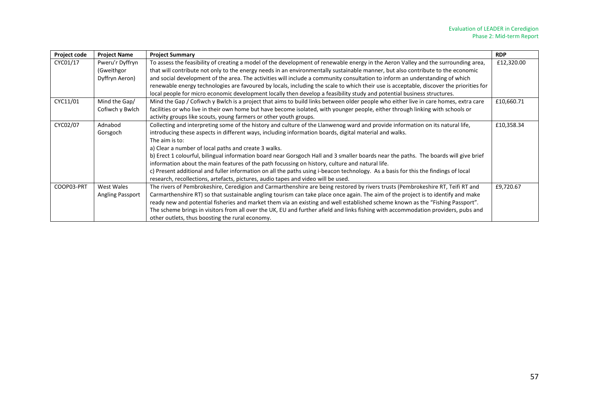| Project code | <b>Project Name</b>                             | <b>Project Summary</b>                                                                                                                                                                                                                                                                                                                                                                                                                                                                                                                                                                                                                                                                                                                                                                   | <b>RDP</b> |
|--------------|-------------------------------------------------|------------------------------------------------------------------------------------------------------------------------------------------------------------------------------------------------------------------------------------------------------------------------------------------------------------------------------------------------------------------------------------------------------------------------------------------------------------------------------------------------------------------------------------------------------------------------------------------------------------------------------------------------------------------------------------------------------------------------------------------------------------------------------------------|------------|
| CYC01/17     | Pweru'r Dyffryn<br>(Gweithgor<br>Dyffryn Aeron) | To assess the feasibility of creating a model of the development of renewable energy in the Aeron Valley and the surrounding area,<br>that will contribute not only to the energy needs in an environmentally sustainable manner, but also contribute to the economic<br>and social development of the area. The activities will include a community consultation to inform an understanding of which<br>renewable energy technologies are favoured by locals, including the scale to which their use is acceptable, discover the priorities for<br>local people for micro economic development locally then develop a feasibility study and potential business structures.                                                                                                              |            |
| CYC11/01     | Mind the Gap/<br>Cofiwch y Bwlch                | Mind the Gap / Cofiwch y Bwlch is a project that aims to build links between older people who either live in care homes, extra care<br>facilities or who live in their own home but have become isolated, with younger people, either through linking with schools or<br>activity groups like scouts, young farmers or other youth groups.                                                                                                                                                                                                                                                                                                                                                                                                                                               |            |
| CYC02/07     | Adnabod<br>Gorsgoch                             | Collecting and interpreting some of the history and culture of the Llanwenog ward and provide information on its natural life,<br>introducing these aspects in different ways, including information boards, digital material and walks.<br>The aim is to:<br>a) Clear a number of local paths and create 3 walks.<br>b) Erect 1 colourful, bilingual information board near Gorsgoch Hall and 3 smaller boards near the paths. The boards will give brief<br>information about the main features of the path focussing on history, culture and natural life.<br>c) Present additional and fuller information on all the paths using i-beacon technology. As a basis for this the findings of local<br>research, recollections, artefacts, pictures, audio tapes and video will be used. | £10,358.34 |
| COOP03-PRT   | West Wales<br><b>Angling Passport</b>           | The rivers of Pembrokeshire, Ceredigion and Carmarthenshire are being restored by rivers trusts (Pembrokeshire RT, Teifi RT and<br>Carmarthenshire RT) so that sustainable angling tourism can take place once again. The aim of the project is to identify and make<br>ready new and potential fisheries and market them via an existing and well established scheme known as the "Fishing Passport".<br>The scheme brings in visitors from all over the UK, EU and further afield and links fishing with accommodation providers, pubs and<br>other outlets, thus boosting the rural economy.                                                                                                                                                                                          | £9,720.67  |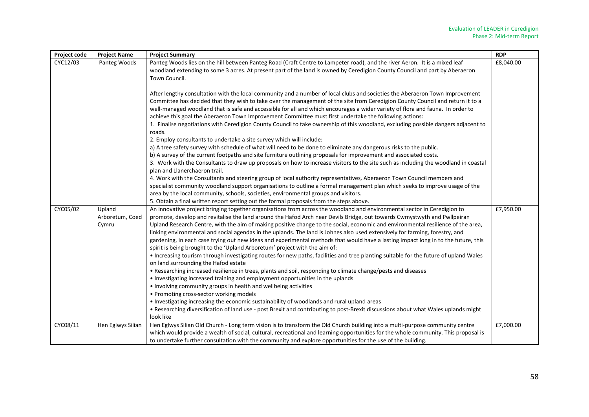| Project code | <b>Project Name</b>                | <b>Project Summary</b>                                                                                                                                                                                                                                                                                                                                                                                                                                                                                                                                                                                                                                                                                                                                                                                                                                                                                                                                                                                                                                                                                                                                                                                                                                                                                                                                                                                                                                                                          | <b>RDP</b> |
|--------------|------------------------------------|-------------------------------------------------------------------------------------------------------------------------------------------------------------------------------------------------------------------------------------------------------------------------------------------------------------------------------------------------------------------------------------------------------------------------------------------------------------------------------------------------------------------------------------------------------------------------------------------------------------------------------------------------------------------------------------------------------------------------------------------------------------------------------------------------------------------------------------------------------------------------------------------------------------------------------------------------------------------------------------------------------------------------------------------------------------------------------------------------------------------------------------------------------------------------------------------------------------------------------------------------------------------------------------------------------------------------------------------------------------------------------------------------------------------------------------------------------------------------------------------------|------------|
| CYC12/03     | Panteg Woods                       | Panteg Woods lies on the hill between Panteg Road (Craft Centre to Lampeter road), and the river Aeron. It is a mixed leaf<br>woodland extending to some 3 acres. At present part of the land is owned by Ceredigion County Council and part by Aberaeron<br>Town Council.                                                                                                                                                                                                                                                                                                                                                                                                                                                                                                                                                                                                                                                                                                                                                                                                                                                                                                                                                                                                                                                                                                                                                                                                                      | £8,040.00  |
|              |                                    | After lengthy consultation with the local community and a number of local clubs and societies the Aberaeron Town Improvement<br>Committee has decided that they wish to take over the management of the site from Ceredigion County Council and return it to a<br>well-managed woodland that is safe and accessible for all and which encourages a wider variety of flora and fauna. In order to<br>achieve this goal the Aberaeron Town Improvement Committee must first undertake the following actions:<br>1. Finalise negotiations with Ceredigion County Council to take ownership of this woodland, excluding possible dangers adjacent to<br>roads.<br>2. Employ consultants to undertake a site survey which will include:<br>a) A tree safety survey with schedule of what will need to be done to eliminate any dangerous risks to the public.                                                                                                                                                                                                                                                                                                                                                                                                                                                                                                                                                                                                                                        |            |
|              |                                    | b) A survey of the current footpaths and site furniture outlining proposals for improvement and associated costs.<br>3. Work with the Consultants to draw up proposals on how to increase visitors to the site such as including the woodland in coastal<br>plan and Llanerchaeron trail.<br>4. Work with the Consultants and steering group of local authority representatives, Aberaeron Town Council members and<br>specialist community woodland support organisations to outline a formal management plan which seeks to improve usage of the<br>area by the local community, schools, societies, environmental groups and visitors.<br>5. Obtain a final written report setting out the formal proposals from the steps above.                                                                                                                                                                                                                                                                                                                                                                                                                                                                                                                                                                                                                                                                                                                                                            |            |
| CYC05/02     | Upland<br>Arboretum, Coed<br>Cymru | An innovative project bringing together organisations from across the woodland and environmental sector in Ceredigion to<br>promote, develop and revitalise the land around the Hafod Arch near Devils Bridge, out towards Cwmystwyth and Pwllpeiran<br>Upland Research Centre, with the aim of making positive change to the social, economic and environmental resilience of the area,<br>linking environmental and social agendas in the uplands. The land is Johnes also used extensively for farming, forestry, and<br>gardening, in each case trying out new ideas and experimental methods that would have a lasting impact long in to the future, this<br>spirit is being brought to the 'Upland Arboretum' project with the aim of:<br>. Increasing tourism through investigating routes for new paths, facilities and tree planting suitable for the future of upland Wales<br>on land surrounding the Hafod estate<br>• Researching increased resilience in trees, plants and soil, responding to climate change/pests and diseases<br>• Investigating increased training and employment opportunities in the uplands<br>• Involving community groups in health and wellbeing activities<br>• Promoting cross-sector working models<br>. Investigating increasing the economic sustainability of woodlands and rural upland areas<br>. Researching diversification of land use - post Brexit and contributing to post-Brexit discussions about what Wales uplands might<br>look like | £7,950.00  |
| CYC08/11     | Hen Eglwys Silian                  | Hen Eglwys Silian Old Church - Long term vision is to transform the Old Church building into a multi-purpose community centre<br>which would provide a wealth of social, cultural, recreational and learning opportunities for the whole community. This proposal is<br>to undertake further consultation with the community and explore opportunities for the use of the building.                                                                                                                                                                                                                                                                                                                                                                                                                                                                                                                                                                                                                                                                                                                                                                                                                                                                                                                                                                                                                                                                                                             | £7,000.00  |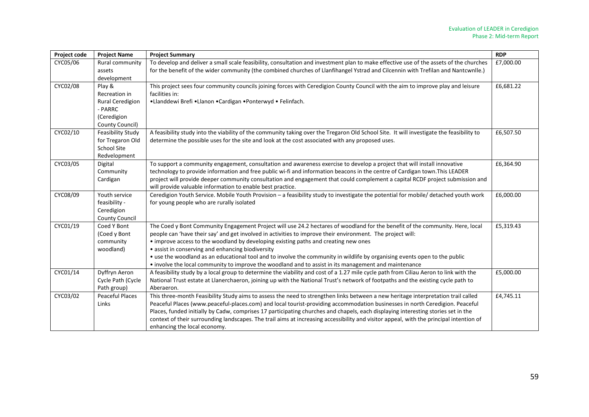| Project code | <b>Project Name</b>                                                                      | <b>Project Summary</b>                                                                                                                                                                                                                                                                                                                                                                                                                                                                                                                                                                                                         |           |
|--------------|------------------------------------------------------------------------------------------|--------------------------------------------------------------------------------------------------------------------------------------------------------------------------------------------------------------------------------------------------------------------------------------------------------------------------------------------------------------------------------------------------------------------------------------------------------------------------------------------------------------------------------------------------------------------------------------------------------------------------------|-----------|
| CYC05/06     | Rural community<br>assets<br>development                                                 | To develop and deliver a small scale feasibility, consultation and investment plan to make effective use of the assets of the churches<br>for the benefit of the wider community (the combined churches of Llanfihangel Ystrad and Cilcennin with Trefilan and Nantcwnlle.)                                                                                                                                                                                                                                                                                                                                                    |           |
| CYC02/08     | Play &<br>Recreation in<br>Rural Ceredigion<br>- PARRC<br>(Ceredigion<br>County Council) | This project sees four community councils joining forces with Ceredigion County Council with the aim to improve play and leisure<br>facilities in:<br>•Llanddewi Brefi •Llanon •Cardigan •Ponterwyd • Felinfach.                                                                                                                                                                                                                                                                                                                                                                                                               |           |
| CYC02/10     | <b>Feasibility Study</b><br>for Tregaron Old<br>School Site<br>Redvelopment              | A feasibility study into the viability of the community taking over the Tregaron Old School Site. It will investigate the feasibility to<br>determine the possible uses for the site and look at the cost associated with any proposed uses.                                                                                                                                                                                                                                                                                                                                                                                   |           |
| CYC03/05     | Digital<br>Community<br>Cardigan                                                         | To support a community engagement, consultation and awareness exercise to develop a project that will install innovative<br>technology to provide information and free public wi-fi and information beacons in the centre of Cardigan town. This LEADER<br>project will provide deeper community consultation and engagement that could complement a capital RCDF project submission and<br>will provide valuable information to enable best practice.                                                                                                                                                                         | £6,364.90 |
| CYC08/09     | Youth service<br>feasibility -<br>Ceredigion<br>County Council                           | Ceredigion Youth Service. Mobile Youth Provision - a feasibility study to investigate the potential for mobile/ detached youth work<br>for young people who are rurally isolated                                                                                                                                                                                                                                                                                                                                                                                                                                               | £6,000.00 |
| CYC01/19     | Coed Y Bont<br>(Coed y Bont<br>community<br>woodland)                                    | The Coed y Bont Community Engagement Project will use 24.2 hectares of woodland for the benefit of the community. Here, local<br>people can 'have their say' and get involved in activities to improve their environment. The project will:<br>• improve access to the woodland by developing existing paths and creating new ones<br>· assist in conserving and enhancing biodiversity<br>• use the woodland as an educational tool and to involve the community in wildlife by organising events open to the public<br>• involve the local community to improve the woodland and to assist in its management and maintenance | £5,319.43 |
| CYC01/14     | Dyffryn Aeron<br>Cycle Path (Cycle<br>Path group)                                        | A feasibility study by a local group to determine the viability and cost of a 1.27 mile cycle path from Ciliau Aeron to link with the<br>National Trust estate at Llanerchaeron, joining up with the National Trust's network of footpaths and the existing cycle path to<br>Aberaeron.                                                                                                                                                                                                                                                                                                                                        | £5,000.00 |
| CYC03/02     | <b>Peaceful Places</b><br>Links                                                          | This three-month Feasibility Study aims to assess the need to strengthen links between a new heritage interpretation trail called<br>Peaceful Places (www.peaceful-places.com) and local tourist-providing accommodation businesses in north Ceredigion. Peaceful<br>Places, funded initially by Cadw, comprises 17 participating churches and chapels, each displaying interesting stories set in the<br>context of their surrounding landscapes. The trail aims at increasing accessibility and visitor appeal, with the principal intention of<br>enhancing the local economy.                                              | £4,745.11 |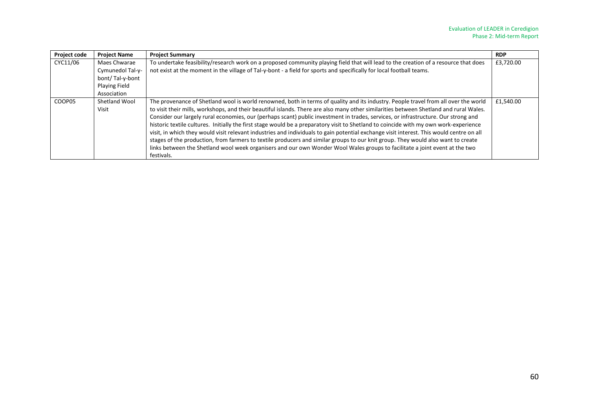| <b>Project code</b> | <b>Project Name</b>                                                                 | <b>Project Summary</b>                                                                                                                                                                                                                                                                                                                                                                                                                                                                                                                                                                                                                                                                                                                                                                                                                                                                                                                                                                    | <b>RDP</b> |
|---------------------|-------------------------------------------------------------------------------------|-------------------------------------------------------------------------------------------------------------------------------------------------------------------------------------------------------------------------------------------------------------------------------------------------------------------------------------------------------------------------------------------------------------------------------------------------------------------------------------------------------------------------------------------------------------------------------------------------------------------------------------------------------------------------------------------------------------------------------------------------------------------------------------------------------------------------------------------------------------------------------------------------------------------------------------------------------------------------------------------|------------|
| CYC11/06            | Maes Chwarae<br>Cymunedol Tal-y-<br>bont/Tal-y-bont<br>Playing Field<br>Association | To undertake feasibility/research work on a proposed community playing field that will lead to the creation of a resource that does<br>not exist at the moment in the village of Tal-y-bont - a field for sports and specifically for local football teams.                                                                                                                                                                                                                                                                                                                                                                                                                                                                                                                                                                                                                                                                                                                               | £3,720.00  |
| COOP05              | Shetland Wool<br>Visit                                                              | The provenance of Shetland wool is world renowned, both in terms of quality and its industry. People travel from all over the world<br>to visit their mills, workshops, and their beautiful islands. There are also many other similarities between Shetland and rural Wales.<br>Consider our largely rural economies, our (perhaps scant) public investment in trades, services, or infrastructure. Our strong and<br>historic textile cultures. Initially the first stage would be a preparatory visit to Shetland to coincide with my own work-experience<br>visit, in which they would visit relevant industries and individuals to gain potential exchange visit interest. This would centre on all<br>stages of the production, from farmers to textile producers and similar groups to our knit group. They would also want to create<br>links between the Shetland wool week organisers and our own Wonder Wool Wales groups to facilitate a joint event at the two<br>festivals. | £1,540.00  |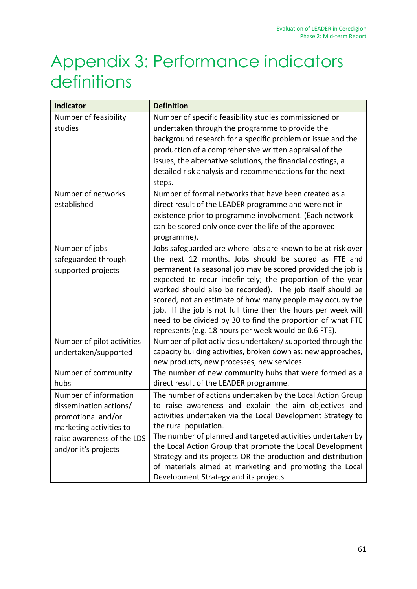# Appendix 3: Performance indicators definitions

| <b>Indicator</b>                                                                                                                                       | <b>Definition</b>                                                                                                                                                                                                                                                                                                                                                                                                                                                                                                                                                    |  |
|--------------------------------------------------------------------------------------------------------------------------------------------------------|----------------------------------------------------------------------------------------------------------------------------------------------------------------------------------------------------------------------------------------------------------------------------------------------------------------------------------------------------------------------------------------------------------------------------------------------------------------------------------------------------------------------------------------------------------------------|--|
| Number of feasibility<br>studies                                                                                                                       | Number of specific feasibility studies commissioned or<br>undertaken through the programme to provide the<br>background research for a specific problem or issue and the<br>production of a comprehensive written appraisal of the<br>issues, the alternative solutions, the financial costings, a<br>detailed risk analysis and recommendations for the next<br>steps.                                                                                                                                                                                              |  |
| Number of networks<br>established                                                                                                                      | Number of formal networks that have been created as a<br>direct result of the LEADER programme and were not in<br>existence prior to programme involvement. (Each network<br>can be scored only once over the life of the approved<br>programme).                                                                                                                                                                                                                                                                                                                    |  |
| Number of jobs<br>safeguarded through<br>supported projects                                                                                            | Jobs safeguarded are where jobs are known to be at risk over<br>the next 12 months. Jobs should be scored as FTE and<br>permanent (a seasonal job may be scored provided the job is<br>expected to recur indefinitely; the proportion of the year<br>worked should also be recorded). The job itself should be<br>scored, not an estimate of how many people may occupy the<br>job. If the job is not full time then the hours per week will<br>need to be divided by 30 to find the proportion of what FTE<br>represents (e.g. 18 hours per week would be 0.6 FTE). |  |
| Number of pilot activities<br>undertaken/supported                                                                                                     | Number of pilot activities undertaken/ supported through the<br>capacity building activities, broken down as: new approaches,<br>new products, new processes, new services.                                                                                                                                                                                                                                                                                                                                                                                          |  |
| Number of community<br>hubs                                                                                                                            | The number of new community hubs that were formed as a<br>direct result of the LEADER programme.                                                                                                                                                                                                                                                                                                                                                                                                                                                                     |  |
| Number of information<br>dissemination actions/<br>promotional and/or<br>marketing activities to<br>raise awareness of the LDS<br>and/or it's projects | The number of actions undertaken by the Local Action Group<br>to raise awareness and explain the aim objectives and<br>activities undertaken via the Local Development Strategy to<br>the rural population.<br>The number of planned and targeted activities undertaken by<br>the Local Action Group that promote the Local Development<br>Strategy and its projects OR the production and distribution<br>of materials aimed at marketing and promoting the Local<br>Development Strategy and its projects.                                                         |  |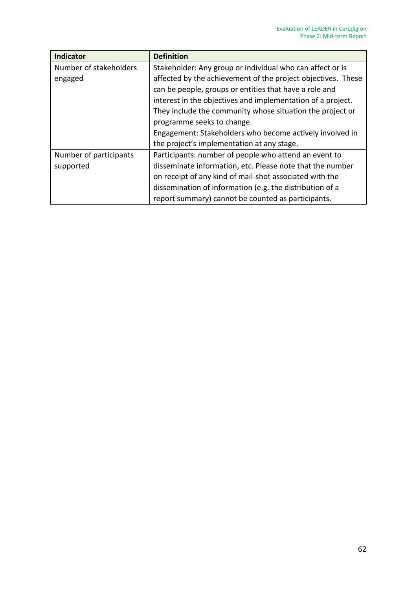| <b>Indicator</b>       | <b>Definition</b>                                            |  |
|------------------------|--------------------------------------------------------------|--|
| Number of stakeholders | Stakeholder: Any group or individual who can affect or is    |  |
| engaged                | affected by the achievement of the project objectives. These |  |
|                        | can be people, groups or entities that have a role and       |  |
|                        | interest in the objectives and implementation of a project.  |  |
|                        | They include the community whose situation the project or    |  |
|                        | programme seeks to change.                                   |  |
|                        | Engagement: Stakeholders who become actively involved in     |  |
|                        | the project's implementation at any stage.                   |  |
| Number of participants | Participants: number of people who attend an event to        |  |
| supported              | disseminate information, etc. Please note that the number    |  |
|                        | on receipt of any kind of mail-shot associated with the      |  |
|                        | dissemination of information (e.g. the distribution of a     |  |
|                        | report summary) cannot be counted as participants.           |  |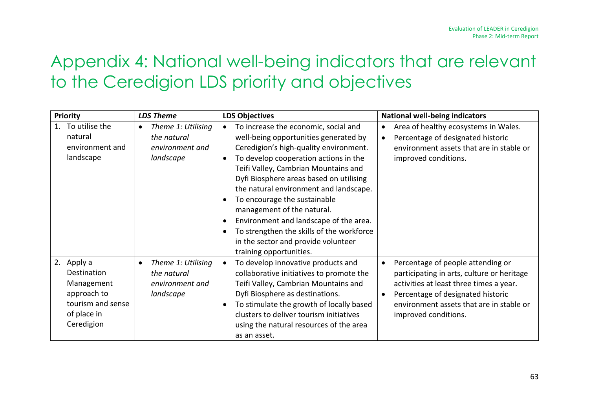# Appendix 4: National well-being indicators that are relevant to the Ceredigion LDS priority and objectives

| <b>Priority</b>                                                                                             | <b>LDS Theme</b>                                                               | <b>LDS Objectives</b>                                                                                                                                                                                                                                                                                                                                                                                                                                                                                                                                       | <b>National well-being indicators</b>                                                                                                                                                                                               |
|-------------------------------------------------------------------------------------------------------------|--------------------------------------------------------------------------------|-------------------------------------------------------------------------------------------------------------------------------------------------------------------------------------------------------------------------------------------------------------------------------------------------------------------------------------------------------------------------------------------------------------------------------------------------------------------------------------------------------------------------------------------------------------|-------------------------------------------------------------------------------------------------------------------------------------------------------------------------------------------------------------------------------------|
| To utilise the<br>$1_{\cdot}$<br>natural<br>environment and<br>landscape                                    | Theme 1: Utilising<br>the natural<br>environment and<br>landscape              | To increase the economic, social and<br>$\bullet$<br>well-being opportunities generated by<br>Ceredigion's high-quality environment.<br>To develop cooperation actions in the<br>$\bullet$<br>Teifi Valley, Cambrian Mountains and<br>Dyfi Biosphere areas based on utilising<br>the natural environment and landscape.<br>To encourage the sustainable<br>management of the natural.<br>Environment and landscape of the area.<br>$\bullet$<br>To strengthen the skills of the workforce<br>in the sector and provide volunteer<br>training opportunities. | Area of healthy ecosystems in Wales.<br>Percentage of designated historic<br>environment assets that are in stable or<br>improved conditions.                                                                                       |
| 2.<br>Apply a<br>Destination<br>Management<br>approach to<br>tourism and sense<br>of place in<br>Ceredigion | Theme 1: Utilising<br>$\bullet$<br>the natural<br>environment and<br>landscape | To develop innovative products and<br>collaborative initiatives to promote the<br>Teifi Valley, Cambrian Mountains and<br>Dyfi Biosphere as destinations.<br>To stimulate the growth of locally based<br>clusters to deliver tourism initiatives<br>using the natural resources of the area<br>as an asset.                                                                                                                                                                                                                                                 | Percentage of people attending or<br>participating in arts, culture or heritage<br>activities at least three times a year.<br>Percentage of designated historic<br>environment assets that are in stable or<br>improved conditions. |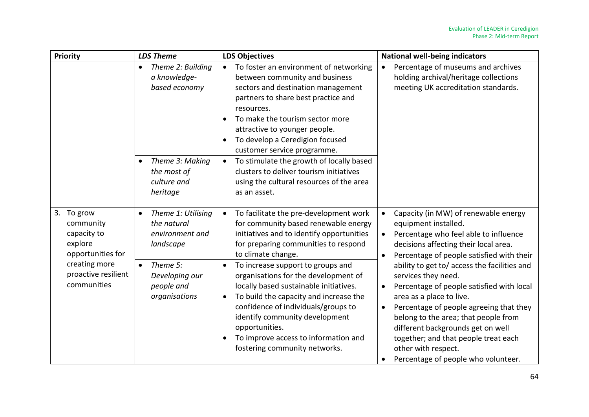| Priority                                                               | <b>LDS Theme</b>                                                               | <b>LDS Objectives</b>                                                                                                                                                                                                                                                                                                                                       | <b>National well-being indicators</b>                                                                                                                                                                                                                                                                                                                                      |
|------------------------------------------------------------------------|--------------------------------------------------------------------------------|-------------------------------------------------------------------------------------------------------------------------------------------------------------------------------------------------------------------------------------------------------------------------------------------------------------------------------------------------------------|----------------------------------------------------------------------------------------------------------------------------------------------------------------------------------------------------------------------------------------------------------------------------------------------------------------------------------------------------------------------------|
|                                                                        | Theme 2: Building<br>$\bullet$<br>a knowledge-<br>based economy                | To foster an environment of networking<br>between community and business<br>sectors and destination management<br>partners to share best practice and<br>resources.<br>To make the tourism sector more<br>attractive to younger people.<br>To develop a Ceredigion focused<br>$\bullet$<br>customer service programme.                                      | Percentage of museums and archives<br>$\bullet$<br>holding archival/heritage collections<br>meeting UK accreditation standards.                                                                                                                                                                                                                                            |
|                                                                        | Theme 3: Making<br>$\bullet$<br>the most of<br>culture and<br>heritage         | To stimulate the growth of locally based<br>$\bullet$<br>clusters to deliver tourism initiatives<br>using the cultural resources of the area<br>as an asset.                                                                                                                                                                                                |                                                                                                                                                                                                                                                                                                                                                                            |
| 3. To grow<br>community<br>capacity to<br>explore<br>opportunities for | Theme 1: Utilising<br>$\bullet$<br>the natural<br>environment and<br>landscape | To facilitate the pre-development work<br>for community based renewable energy<br>initiatives and to identify opportunities<br>for preparing communities to respond<br>to climate change.                                                                                                                                                                   | Capacity (in MW) of renewable energy<br>equipment installed.<br>Percentage who feel able to influence<br>decisions affecting their local area.<br>Percentage of people satisfied with their                                                                                                                                                                                |
| creating more<br>proactive resilient<br>communities                    | Theme 5:<br>$\bullet$<br>Developing our<br>people and<br>organisations         | To increase support to groups and<br>$\bullet$<br>organisations for the development of<br>locally based sustainable initiatives.<br>To build the capacity and increase the<br>$\bullet$<br>confidence of individuals/groups to<br>identify community development<br>opportunities.<br>To improve access to information and<br>fostering community networks. | ability to get to/ access the facilities and<br>services they need.<br>Percentage of people satisfied with local<br>area as a place to live.<br>Percentage of people agreeing that they<br>belong to the area; that people from<br>different backgrounds get on well<br>together; and that people treat each<br>other with respect.<br>Percentage of people who volunteer. |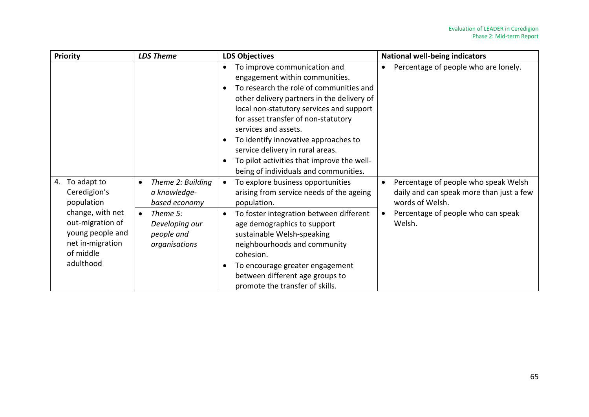| Priority                                                                                               | <b>LDS Theme</b>                                                       | <b>LDS Objectives</b>                                                                                                                                                                                                                                                                                                                                                                                                                                                                     | <b>National well-being indicators</b>                                                               |
|--------------------------------------------------------------------------------------------------------|------------------------------------------------------------------------|-------------------------------------------------------------------------------------------------------------------------------------------------------------------------------------------------------------------------------------------------------------------------------------------------------------------------------------------------------------------------------------------------------------------------------------------------------------------------------------------|-----------------------------------------------------------------------------------------------------|
|                                                                                                        |                                                                        | To improve communication and<br>$\bullet$<br>engagement within communities.<br>To research the role of communities and<br>$\bullet$<br>other delivery partners in the delivery of<br>local non-statutory services and support<br>for asset transfer of non-statutory<br>services and assets.<br>To identify innovative approaches to<br>$\bullet$<br>service delivery in rural areas.<br>To pilot activities that improve the well-<br>$\bullet$<br>being of individuals and communities. | Percentage of people who are lonely.                                                                |
| To adapt to<br>4.<br>Ceredigion's<br>population                                                        | Theme 2: Building<br>$\bullet$<br>a knowledge-<br>based economy        | To explore business opportunities<br>arising from service needs of the ageing<br>population.                                                                                                                                                                                                                                                                                                                                                                                              | Percentage of people who speak Welsh<br>daily and can speak more than just a few<br>words of Welsh. |
| change, with net<br>out-migration of<br>young people and<br>net in-migration<br>of middle<br>adulthood | Theme 5:<br>$\bullet$<br>Developing our<br>people and<br>organisations | To foster integration between different<br>$\bullet$<br>age demographics to support<br>sustainable Welsh-speaking<br>neighbourhoods and community<br>cohesion.<br>To encourage greater engagement<br>between different age groups to<br>promote the transfer of skills.                                                                                                                                                                                                                   | Percentage of people who can speak<br>Welsh.                                                        |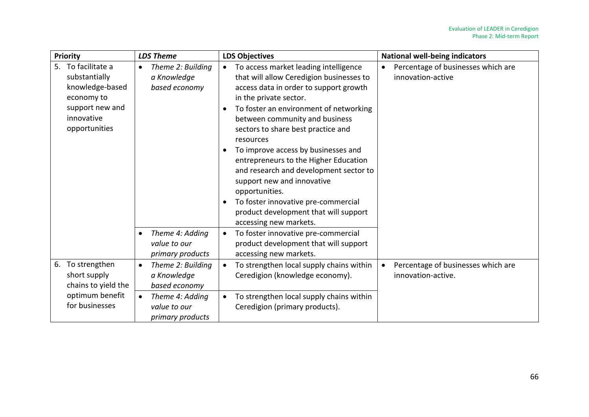| <b>Priority</b>                                                                                                        | <b>LDS Theme</b>                                                                               | <b>LDS Objectives</b>                                                                                                                                                                                                                                                                                                                                                                                                                                                                                                                                                                                                                                  | <b>National well-being indicators</b>                    |
|------------------------------------------------------------------------------------------------------------------------|------------------------------------------------------------------------------------------------|--------------------------------------------------------------------------------------------------------------------------------------------------------------------------------------------------------------------------------------------------------------------------------------------------------------------------------------------------------------------------------------------------------------------------------------------------------------------------------------------------------------------------------------------------------------------------------------------------------------------------------------------------------|----------------------------------------------------------|
| 5. To facilitate a<br>substantially<br>knowledge-based<br>economy to<br>support new and<br>innovative<br>opportunities | Theme 2: Building<br>$\bullet$<br>a Knowledge<br>based economy<br>Theme 4: Adding<br>$\bullet$ | To access market leading intelligence<br>$\bullet$<br>that will allow Ceredigion businesses to<br>access data in order to support growth<br>in the private sector.<br>To foster an environment of networking<br>between community and business<br>sectors to share best practice and<br>resources<br>To improve access by businesses and<br>entrepreneurs to the Higher Education<br>and research and development sector to<br>support new and innovative<br>opportunities.<br>To foster innovative pre-commercial<br>$\bullet$<br>product development that will support<br>accessing new markets.<br>To foster innovative pre-commercial<br>$\bullet$ | Percentage of businesses which are<br>innovation-active  |
|                                                                                                                        | value to our<br>primary products                                                               | product development that will support<br>accessing new markets.                                                                                                                                                                                                                                                                                                                                                                                                                                                                                                                                                                                        |                                                          |
| To strengthen<br>6.<br>short supply<br>chains to yield the                                                             | Theme 2: Building<br>$\bullet$<br>a Knowledge<br>based economy                                 | To strengthen local supply chains within<br>Ceredigion (knowledge economy).                                                                                                                                                                                                                                                                                                                                                                                                                                                                                                                                                                            | Percentage of businesses which are<br>innovation-active. |
| optimum benefit<br>for businesses                                                                                      | Theme 4: Adding<br>$\bullet$<br>value to our<br>primary products                               | To strengthen local supply chains within<br>Ceredigion (primary products).                                                                                                                                                                                                                                                                                                                                                                                                                                                                                                                                                                             |                                                          |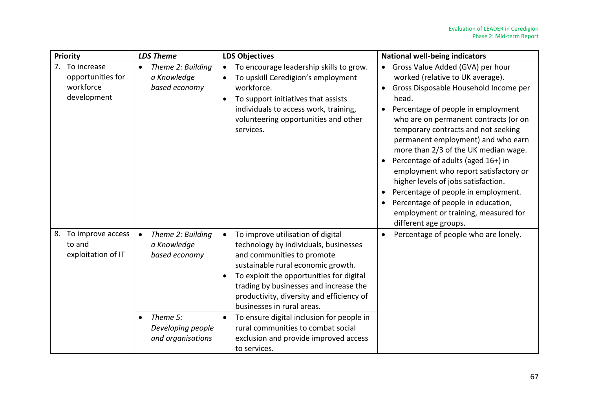| Priority                                                        | <b>LDS Theme</b>                                                                                                                  | <b>LDS Objectives</b>                                                                                                                                                                                                                                                                                                                                                                                                                                                    | <b>National well-being indicators</b>                                                                                                                                                                                                                                                                                                                                                                                                                                                                                                                                                          |
|-----------------------------------------------------------------|-----------------------------------------------------------------------------------------------------------------------------------|--------------------------------------------------------------------------------------------------------------------------------------------------------------------------------------------------------------------------------------------------------------------------------------------------------------------------------------------------------------------------------------------------------------------------------------------------------------------------|------------------------------------------------------------------------------------------------------------------------------------------------------------------------------------------------------------------------------------------------------------------------------------------------------------------------------------------------------------------------------------------------------------------------------------------------------------------------------------------------------------------------------------------------------------------------------------------------|
| 7. To increase<br>opportunities for<br>workforce<br>development | Theme 2: Building<br>$\bullet$<br>a Knowledge<br>based economy                                                                    | To encourage leadership skills to grow.<br>To upskill Ceredigion's employment<br>$\bullet$<br>workforce.<br>To support initiatives that assists<br>$\bullet$<br>individuals to access work, training,<br>volunteering opportunities and other<br>services.                                                                                                                                                                                                               | Gross Value Added (GVA) per hour<br>worked (relative to UK average).<br>Gross Disposable Household Income per<br>head.<br>Percentage of people in employment<br>who are on permanent contracts (or on<br>temporary contracts and not seeking<br>permanent employment) and who earn<br>more than 2/3 of the UK median wage.<br>Percentage of adults (aged 16+) in<br>employment who report satisfactory or<br>higher levels of jobs satisfaction.<br>Percentage of people in employment.<br>Percentage of people in education,<br>employment or training, measured for<br>different age groups. |
| To improve access<br>8.<br>to and<br>exploitation of IT         | Theme 2: Building<br>$\bullet$<br>a Knowledge<br>based economy<br>Theme 5:<br>$\bullet$<br>Developing people<br>and organisations | To improve utilisation of digital<br>technology by individuals, businesses<br>and communities to promote<br>sustainable rural economic growth.<br>To exploit the opportunities for digital<br>$\bullet$<br>trading by businesses and increase the<br>productivity, diversity and efficiency of<br>businesses in rural areas.<br>To ensure digital inclusion for people in<br>rural communities to combat social<br>exclusion and provide improved access<br>to services. | Percentage of people who are lonely.                                                                                                                                                                                                                                                                                                                                                                                                                                                                                                                                                           |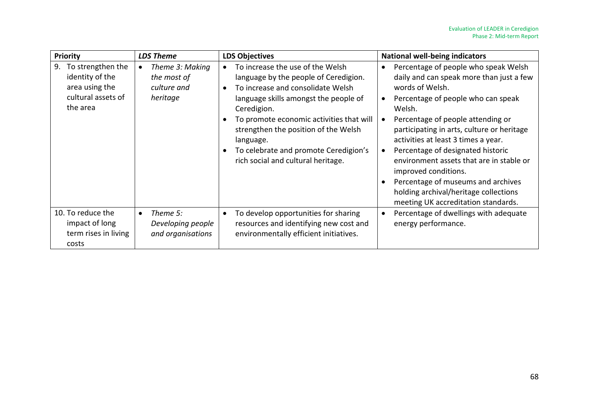| <b>Priority</b>                                                                                | <b>LDS Theme</b>                                                       | <b>LDS Objectives</b>                                                                                                                                                                                                                                                                                                                                  | <b>National well-being indicators</b>                                                                                                                                                                                                                                                                                                                                                                                                                                                                                     |
|------------------------------------------------------------------------------------------------|------------------------------------------------------------------------|--------------------------------------------------------------------------------------------------------------------------------------------------------------------------------------------------------------------------------------------------------------------------------------------------------------------------------------------------------|---------------------------------------------------------------------------------------------------------------------------------------------------------------------------------------------------------------------------------------------------------------------------------------------------------------------------------------------------------------------------------------------------------------------------------------------------------------------------------------------------------------------------|
| To strengthen the<br>9.<br>identity of the<br>area using the<br>cultural assets of<br>the area | Theme 3: Making<br>$\bullet$<br>the most of<br>culture and<br>heritage | To increase the use of the Welsh<br>language by the people of Ceredigion.<br>To increase and consolidate Welsh<br>language skills amongst the people of<br>Ceredigion.<br>To promote economic activities that will<br>strengthen the position of the Welsh<br>language.<br>To celebrate and promote Ceredigion's<br>rich social and cultural heritage. | Percentage of people who speak Welsh<br>$\bullet$<br>daily and can speak more than just a few<br>words of Welsh.<br>Percentage of people who can speak<br>Welsh.<br>Percentage of people attending or<br>participating in arts, culture or heritage<br>activities at least 3 times a year.<br>Percentage of designated historic<br>environment assets that are in stable or<br>improved conditions.<br>Percentage of museums and archives<br>holding archival/heritage collections<br>meeting UK accreditation standards. |
| 10. To reduce the<br>impact of long<br>term rises in living<br>costs                           | Theme 5:<br>$\bullet$<br>Developing people<br>and organisations        | To develop opportunities for sharing<br>resources and identifying new cost and<br>environmentally efficient initiatives.                                                                                                                                                                                                                               | Percentage of dwellings with adequate<br>energy performance.                                                                                                                                                                                                                                                                                                                                                                                                                                                              |